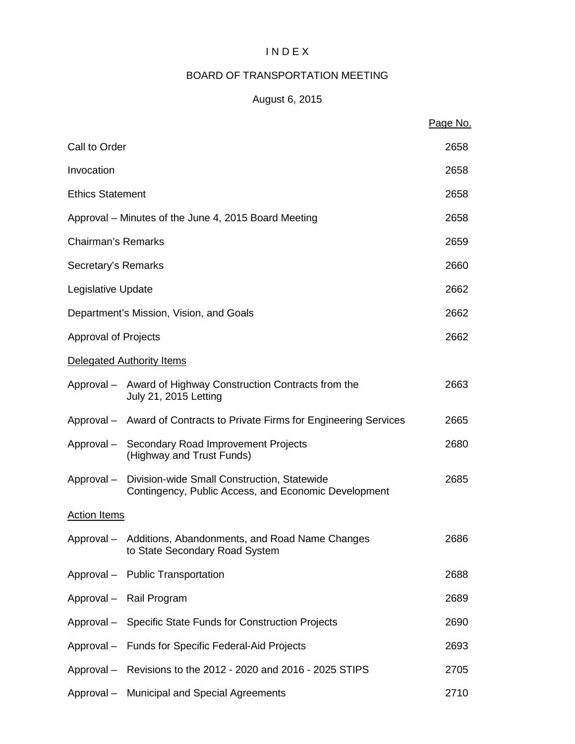#### I N D E X

### BOARD OF TRANSPORTATION MEETING

### August 6, 2015

|                             |                                                                                                                | Page No. |
|-----------------------------|----------------------------------------------------------------------------------------------------------------|----------|
| Call to Order               |                                                                                                                | 2658     |
| Invocation                  |                                                                                                                | 2658     |
| <b>Ethics Statement</b>     |                                                                                                                | 2658     |
|                             | Approval – Minutes of the June 4, 2015 Board Meeting                                                           | 2658     |
| <b>Chairman's Remarks</b>   |                                                                                                                | 2659     |
| Secretary's Remarks         |                                                                                                                | 2660     |
| Legislative Update          |                                                                                                                | 2662     |
|                             | Department's Mission, Vision, and Goals                                                                        | 2662     |
| <b>Approval of Projects</b> |                                                                                                                | 2662     |
|                             | Delegated Authority Items                                                                                      |          |
|                             | Approval – Award of Highway Construction Contracts from the<br><b>July 21, 2015 Letting</b>                    | 2663     |
|                             | Approval – Award of Contracts to Private Firms for Engineering Services                                        | 2665     |
|                             | Approval - Secondary Road Improvement Projects<br>(Highway and Trust Funds)                                    | 2680     |
|                             | Approval - Division-wide Small Construction, Statewide<br>Contingency, Public Access, and Economic Development | 2685     |
| <b>Action Items</b>         |                                                                                                                |          |
|                             | Approval - Additions, Abandonments, and Road Name Changes<br>to State Secondary Road System                    | 2686     |
|                             | Approval - Public Transportation                                                                               | 2688     |
|                             | Approval - Rail Program                                                                                        | 2689     |
|                             | Approval - Specific State Funds for Construction Projects                                                      | 2690     |
|                             | Approval - Funds for Specific Federal-Aid Projects                                                             | 2693     |
|                             | Approval - Revisions to the 2012 - 2020 and 2016 - 2025 STIPS                                                  | 2705     |
|                             | Approval - Municipal and Special Agreements                                                                    | 2710     |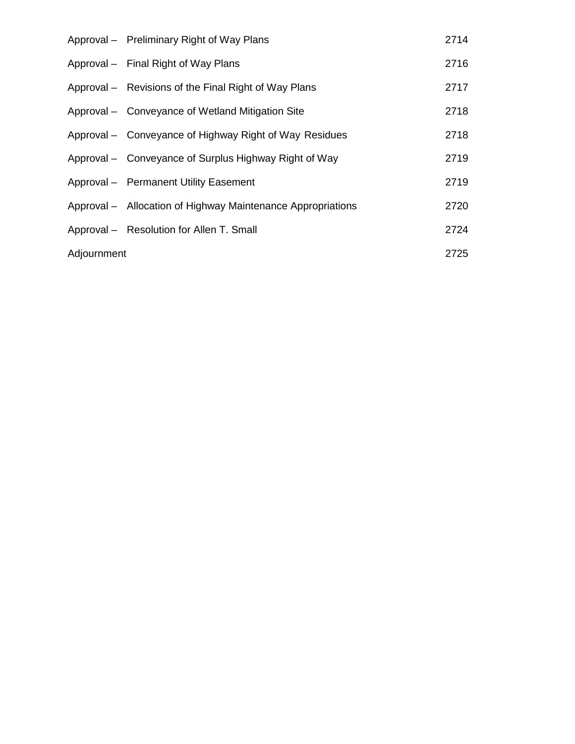|             | Approval – Preliminary Right of Way Plans                   | 2714 |
|-------------|-------------------------------------------------------------|------|
|             | Approval - Final Right of Way Plans                         | 2716 |
|             | Approval – Revisions of the Final Right of Way Plans        | 2717 |
|             | Approval – Conveyance of Wetland Mitigation Site            | 2718 |
|             | Approval – Conveyance of Highway Right of Way Residues      | 2718 |
|             | Approval – Conveyance of Surplus Highway Right of Way       | 2719 |
|             | Approval - Permanent Utility Easement                       | 2719 |
|             | Approval – Allocation of Highway Maintenance Appropriations | 2720 |
|             | Approval - Resolution for Allen T. Small                    | 2724 |
| Adjournment |                                                             | 2725 |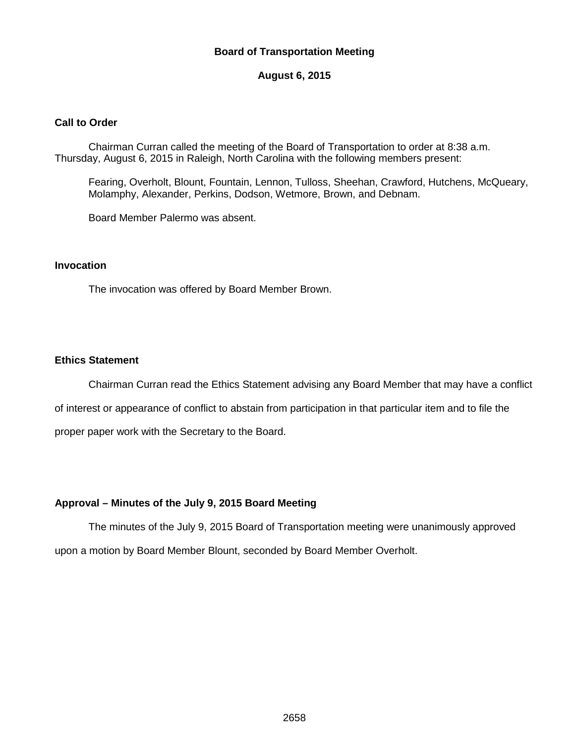#### **Board of Transportation Meeting**

#### **August 6, 2015**

#### **Call to Order**

Chairman Curran called the meeting of the Board of Transportation to order at 8:38 a.m. Thursday, August 6, 2015 in Raleigh, North Carolina with the following members present:

Fearing, Overholt, Blount, Fountain, Lennon, Tulloss, Sheehan, Crawford, Hutchens, McQueary, Molamphy, Alexander, Perkins, Dodson, Wetmore, Brown, and Debnam.

Board Member Palermo was absent.

#### **Invocation**

The invocation was offered by Board Member Brown.

#### **Ethics Statement**

Chairman Curran read the Ethics Statement advising any Board Member that may have a conflict of interest or appearance of conflict to abstain from participation in that particular item and to file the proper paper work with the Secretary to the Board.

#### **Approval – Minutes of the July 9, 2015 Board Meeting**

The minutes of the July 9, 2015 Board of Transportation meeting were unanimously approved upon a motion by Board Member Blount, seconded by Board Member Overholt.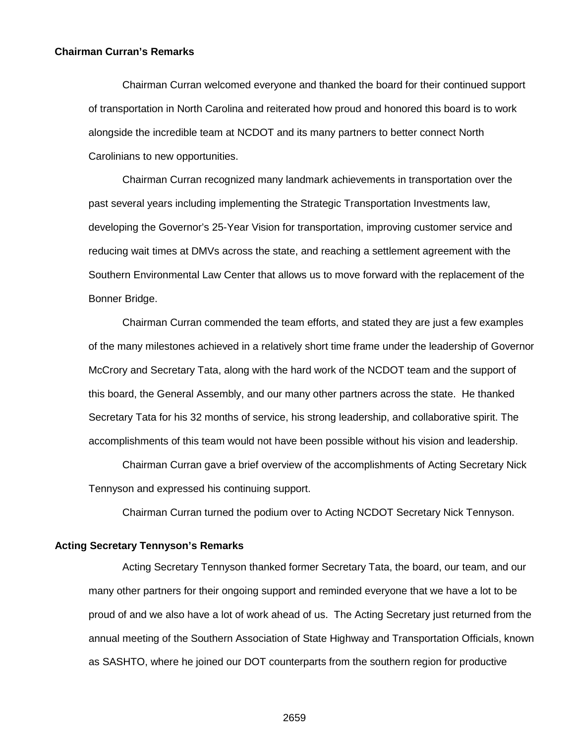#### **Chairman Curran's Remarks**

Chairman Curran welcomed everyone and thanked the board for their continued support of transportation in North Carolina and reiterated how proud and honored this board is to work alongside the incredible team at NCDOT and its many partners to better connect North Carolinians to new opportunities.

Chairman Curran recognized many landmark achievements in transportation over the past several years including implementing the Strategic Transportation Investments law, developing the Governor's 25-Year Vision for transportation, improving customer service and reducing wait times at DMVs across the state, and reaching a settlement agreement with the Southern Environmental Law Center that allows us to move forward with the replacement of the Bonner Bridge.

Chairman Curran commended the team efforts, and stated they are just a few examples of the many milestones achieved in a relatively short time frame under the leadership of Governor McCrory and Secretary Tata, along with the hard work of the NCDOT team and the support of this board, the General Assembly, and our many other partners across the state. He thanked Secretary Tata for his 32 months of service, his strong leadership, and collaborative spirit. The accomplishments of this team would not have been possible without his vision and leadership.

Chairman Curran gave a brief overview of the accomplishments of Acting Secretary Nick Tennyson and expressed his continuing support.

Chairman Curran turned the podium over to Acting NCDOT Secretary Nick Tennyson.

#### **Acting Secretary Tennyson's Remarks**

Acting Secretary Tennyson thanked former Secretary Tata, the board, our team, and our many other partners for their ongoing support and reminded everyone that we have a lot to be proud of and we also have a lot of work ahead of us. The Acting Secretary just returned from the annual meeting of the Southern Association of State Highway and Transportation Officials, known as SASHTO, where he joined our DOT counterparts from the southern region for productive

2659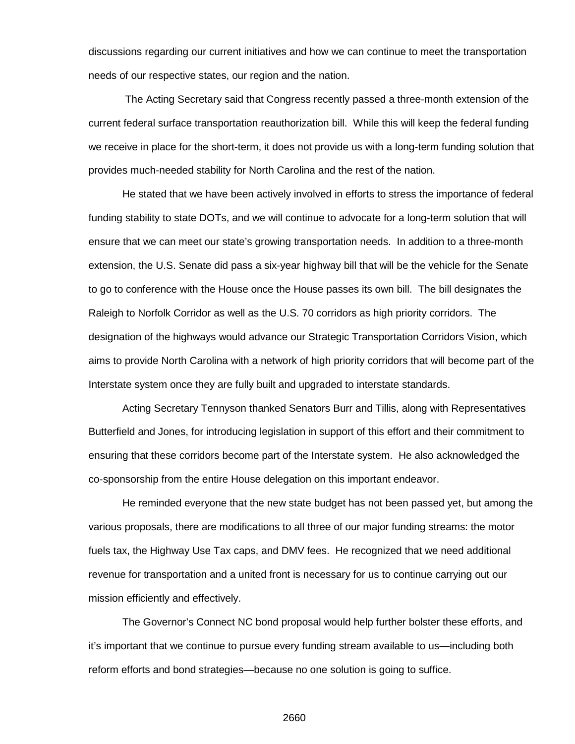discussions regarding our current initiatives and how we can continue to meet the transportation needs of our respective states, our region and the nation.

The Acting Secretary said that Congress recently passed a three-month extension of the current federal surface transportation reauthorization bill. While this will keep the federal funding we receive in place for the short-term, it does not provide us with a long-term funding solution that provides much-needed stability for North Carolina and the rest of the nation.

He stated that we have been actively involved in efforts to stress the importance of federal funding stability to state DOTs, and we will continue to advocate for a long-term solution that will ensure that we can meet our state's growing transportation needs. In addition to a three-month extension, the U.S. Senate did pass a six-year highway bill that will be the vehicle for the Senate to go to conference with the House once the House passes its own bill. The bill designates the Raleigh to Norfolk Corridor as well as the U.S. 70 corridors as high priority corridors. The designation of the highways would advance our Strategic Transportation Corridors Vision, which aims to provide North Carolina with a network of high priority corridors that will become part of the Interstate system once they are fully built and upgraded to interstate standards.

Acting Secretary Tennyson thanked Senators Burr and Tillis, along with Representatives Butterfield and Jones, for introducing legislation in support of this effort and their commitment to ensuring that these corridors become part of the Interstate system. He also acknowledged the co-sponsorship from the entire House delegation on this important endeavor.

He reminded everyone that the new state budget has not been passed yet, but among the various proposals, there are modifications to all three of our major funding streams: the motor fuels tax, the Highway Use Tax caps, and DMV fees. He recognized that we need additional revenue for transportation and a united front is necessary for us to continue carrying out our mission efficiently and effectively.

The Governor's Connect NC bond proposal would help further bolster these efforts, and it's important that we continue to pursue every funding stream available to us—including both reform efforts and bond strategies—because no one solution is going to suffice.

2660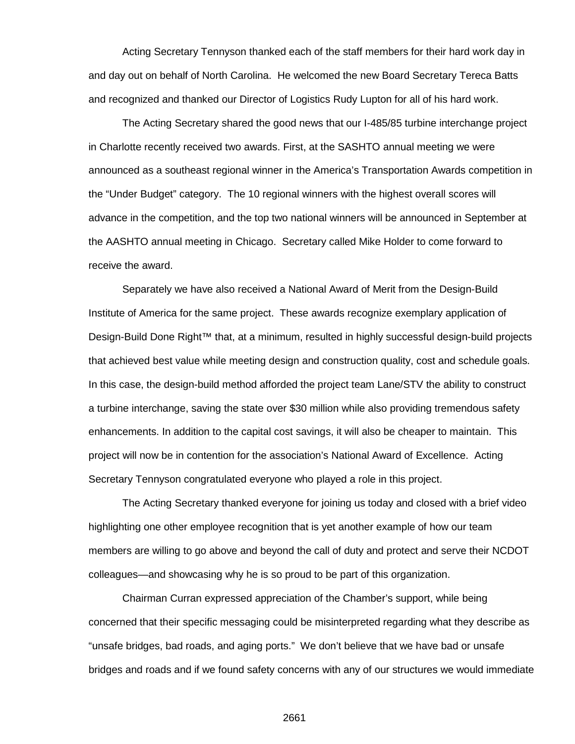Acting Secretary Tennyson thanked each of the staff members for their hard work day in and day out on behalf of North Carolina. He welcomed the new Board Secretary Tereca Batts and recognized and thanked our Director of Logistics Rudy Lupton for all of his hard work.

The Acting Secretary shared the good news that our I-485/85 turbine interchange project in Charlotte recently received two awards. First, at the SASHTO annual meeting we were announced as a southeast regional winner in the America's Transportation Awards competition in the "Under Budget" category. The 10 regional winners with the highest overall scores will advance in the competition, and the top two national winners will be announced in September at the AASHTO annual meeting in Chicago. Secretary called Mike Holder to come forward to receive the award.

Separately we have also received a National Award of Merit from the Design-Build Institute of America for the same project. These awards recognize exemplary application of Design-Build Done Right™ that, at a minimum, resulted in highly successful design-build projects that achieved best value while meeting design and construction quality, cost and schedule goals. In this case, the design-build method afforded the project team Lane/STV the ability to construct a turbine interchange, saving the state over \$30 million while also providing tremendous safety enhancements. In addition to the capital cost savings, it will also be cheaper to maintain. This project will now be in contention for the association's National Award of Excellence. Acting Secretary Tennyson congratulated everyone who played a role in this project.

The Acting Secretary thanked everyone for joining us today and closed with a brief video highlighting one other employee recognition that is yet another example of how our team members are willing to go above and beyond the call of duty and protect and serve their NCDOT colleagues—and showcasing why he is so proud to be part of this organization.

Chairman Curran expressed appreciation of the Chamber's support, while being concerned that their specific messaging could be misinterpreted regarding what they describe as "unsafe bridges, bad roads, and aging ports." We don't believe that we have bad or unsafe bridges and roads and if we found safety concerns with any of our structures we would immediate

2661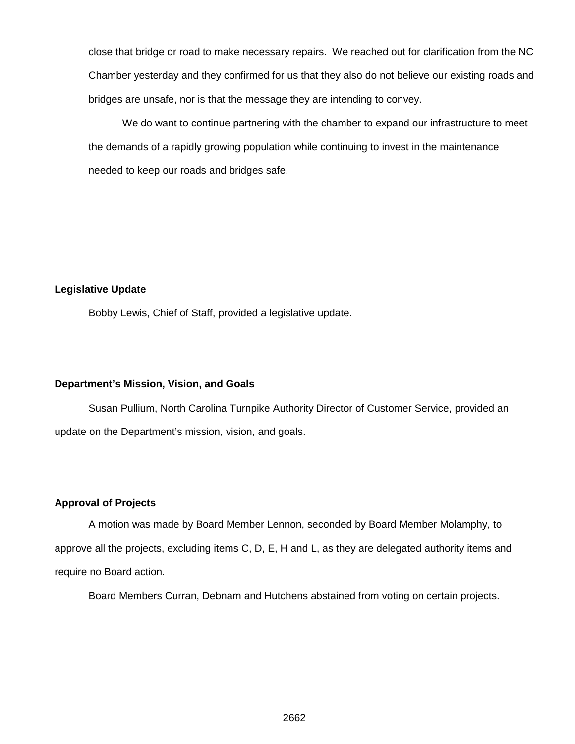close that bridge or road to make necessary repairs. We reached out for clarification from the NC Chamber yesterday and they confirmed for us that they also do not believe our existing roads and bridges are unsafe, nor is that the message they are intending to convey.

We do want to continue partnering with the chamber to expand our infrastructure to meet the demands of a rapidly growing population while continuing to invest in the maintenance needed to keep our roads and bridges safe.

#### **Legislative Update**

Bobby Lewis, Chief of Staff, provided a legislative update.

#### **Department's Mission, Vision, and Goals**

Susan Pullium, North Carolina Turnpike Authority Director of Customer Service, provided an update on the Department's mission, vision, and goals.

### **Approval of Projects**

A motion was made by Board Member Lennon, seconded by Board Member Molamphy, to approve all the projects, excluding items C, D, E, H and L, as they are delegated authority items and require no Board action.

Board Members Curran, Debnam and Hutchens abstained from voting on certain projects.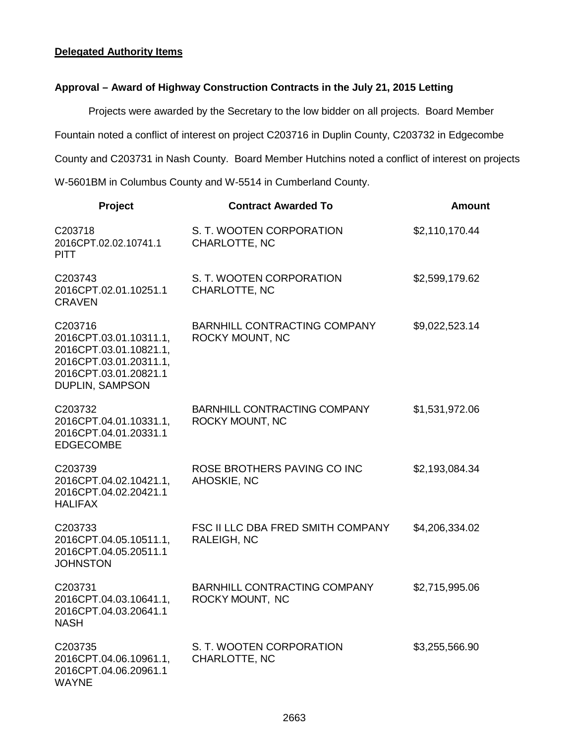#### **Delegated Authority Items**

### **Approval – Award of Highway Construction Contracts in the July 21, 2015 Letting**

Projects were awarded by the Secretary to the low bidder on all projects. Board Member

Fountain noted a conflict of interest on project C203716 in Duplin County, C203732 in Edgecombe

County and C203731 in Nash County. Board Member Hutchins noted a conflict of interest on projects

W-5601BM in Columbus County and W-5514 in Cumberland County.

| Project                                                                                                                           | <b>Contract Awarded To</b>                             | Amount         |
|-----------------------------------------------------------------------------------------------------------------------------------|--------------------------------------------------------|----------------|
| C203718<br>2016CPT.02.02.10741.1<br><b>PITT</b>                                                                                   | S. T. WOOTEN CORPORATION<br>CHARLOTTE, NC              | \$2,110,170.44 |
| C203743<br>2016CPT.02.01.10251.1<br><b>CRAVEN</b>                                                                                 | S. T. WOOTEN CORPORATION<br>CHARLOTTE, NC              | \$2,599,179.62 |
| C203716<br>2016CPT.03.01.10311.1,<br>2016CPT.03.01.10821.1,<br>2016CPT.03.01.20311.1,<br>2016CPT.03.01.20821.1<br>DUPLIN, SAMPSON | BARNHILL CONTRACTING COMPANY<br>ROCKY MOUNT, NC        | \$9,022,523.14 |
| C203732<br>2016CPT.04.01.10331.1,<br>2016CPT.04.01.20331.1<br><b>EDGECOMBE</b>                                                    | <b>BARNHILL CONTRACTING COMPANY</b><br>ROCKY MOUNT, NC | \$1,531,972.06 |
| C203739<br>2016CPT.04.02.10421.1,<br>2016CPT.04.02.20421.1<br><b>HALIFAX</b>                                                      | ROSE BROTHERS PAVING CO INC<br>AHOSKIE, NC             | \$2,193,084.34 |
| C203733<br>2016CPT.04.05.10511.1,<br>2016CPT.04.05.20511.1<br><b>JOHNSTON</b>                                                     | FSC II LLC DBA FRED SMITH COMPANY<br>RALEIGH, NC       | \$4,206,334.02 |
| C203731<br>2016CPT.04.03.10641.1,<br>2016CPT.04.03.20641.1<br><b>NASH</b>                                                         | <b>BARNHILL CONTRACTING COMPANY</b><br>ROCKY MOUNT, NC | \$2,715,995.06 |
| C203735<br>2016CPT.04.06.10961.1,<br>2016CPT.04.06.20961.1<br><b>WAYNE</b>                                                        | S. T. WOOTEN CORPORATION<br>CHARLOTTE, NC              | \$3,255,566.90 |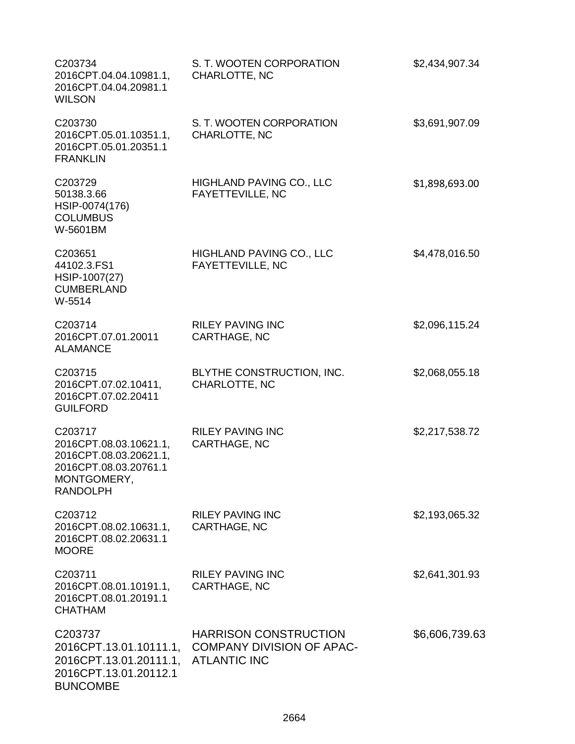| C203734<br>2016CPT.04.04.10981.1,<br>2016CPT.04.04.20981.1<br><b>WILSON</b>                                            | S. T. WOOTEN CORPORATION<br>CHARLOTTE, NC                                               | \$2,434,907.34 |
|------------------------------------------------------------------------------------------------------------------------|-----------------------------------------------------------------------------------------|----------------|
| C203730<br>2016CPT.05.01.10351.1,<br>2016CPT.05.01.20351.1<br><b>FRANKLIN</b>                                          | S. T. WOOTEN CORPORATION<br>CHARLOTTE, NC                                               | \$3,691,907.09 |
| C203729<br>50138.3.66<br>HSIP-0074(176)<br><b>COLUMBUS</b><br>W-5601BM                                                 | HIGHLAND PAVING CO., LLC<br>FAYETTEVILLE, NC                                            | \$1,898,693.00 |
| C203651<br>44102.3.FS1<br>HSIP-1007(27)<br><b>CUMBERLAND</b><br>W-5514                                                 | <b>HIGHLAND PAVING CO., LLC</b><br><b>FAYETTEVILLE, NC</b>                              | \$4,478,016.50 |
| C203714<br>2016CPT.07.01.20011<br><b>ALAMANCE</b>                                                                      | <b>RILEY PAVING INC</b><br>CARTHAGE, NC                                                 | \$2,096,115.24 |
| C203715<br>2016CPT.07.02.10411,<br>2016CPT.07.02.20411<br><b>GUILFORD</b>                                              | BLYTHE CONSTRUCTION, INC.<br>CHARLOTTE, NC                                              | \$2,068,055.18 |
| C203717<br>2016CPT.08.03.10621.1,<br>2016CPT.08.03.20621.1,<br>2016CPT.08.03.20761.1<br>MONTGOMERY,<br><b>RANDOLPH</b> | <b>RILEY PAVING INC</b><br>CARTHAGE, NC                                                 | \$2,217,538.72 |
| C203712<br>2016CPT.08.02.10631.1,<br>2016CPT.08.02.20631.1<br><b>MOORE</b>                                             | <b>RILEY PAVING INC</b><br>CARTHAGE, NC                                                 | \$2,193,065.32 |
| C203711<br>2016CPT.08.01.10191.1,<br>2016CPT.08.01.20191.1<br><b>CHATHAM</b>                                           | <b>RILEY PAVING INC</b><br>CARTHAGE, NC                                                 | \$2,641,301.93 |
| C203737<br>2016CPT.13.01.10111.1,<br>2016CPT.13.01.20111.1,<br>2016CPT.13.01.20112.1<br><b>BUNCOMBE</b>                | <b>HARRISON CONSTRUCTION</b><br><b>COMPANY DIVISION OF APAC-</b><br><b>ATLANTIC INC</b> | \$6,606,739.63 |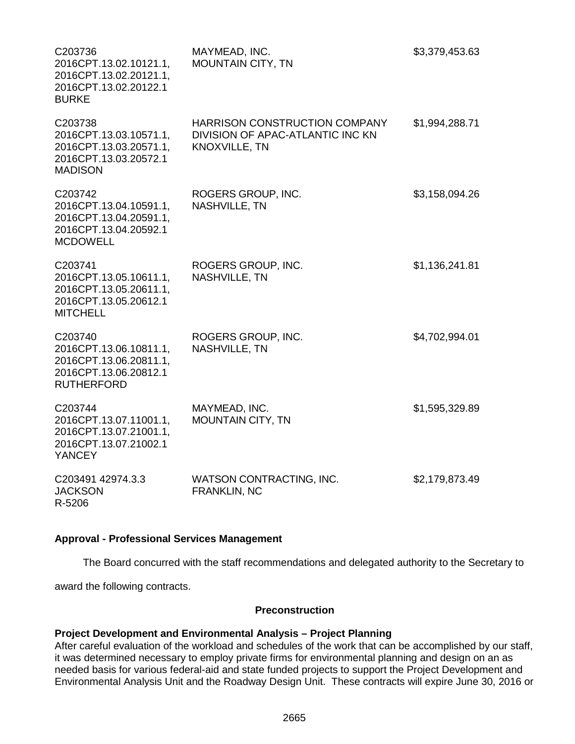| C203736<br>2016CPT.13.02.10121.1,<br>2016CPT.13.02.20121.1,<br>2016CPT.13.02.20122.1<br><b>BURKE</b>      | MAYMEAD, INC.<br><b>MOUNTAIN CITY, TN</b>                                                 | \$3,379,453.63 |
|-----------------------------------------------------------------------------------------------------------|-------------------------------------------------------------------------------------------|----------------|
| C203738<br>2016CPT.13.03.10571.1,<br>2016CPT.13.03.20571.1,<br>2016CPT.13.03.20572.1<br><b>MADISON</b>    | <b>HARRISON CONSTRUCTION COMPANY</b><br>DIVISION OF APAC-ATLANTIC INC KN<br>KNOXVILLE, TN | \$1,994,288.71 |
| C203742<br>2016CPT.13.04.10591.1,<br>2016CPT.13.04.20591.1,<br>2016CPT.13.04.20592.1<br><b>MCDOWELL</b>   | ROGERS GROUP, INC.<br>NASHVILLE, TN                                                       | \$3,158,094.26 |
| C203741<br>2016CPT.13.05.10611.1,<br>2016CPT.13.05.20611.1,<br>2016CPT.13.05.20612.1<br><b>MITCHELL</b>   | ROGERS GROUP, INC.<br><b>NASHVILLE, TN</b>                                                | \$1,136,241.81 |
| C203740<br>2016CPT.13.06.10811.1,<br>2016CPT.13.06.20811.1,<br>2016CPT.13.06.20812.1<br><b>RUTHERFORD</b> | ROGERS GROUP, INC.<br><b>NASHVILLE, TN</b>                                                | \$4,702,994.01 |
| C203744<br>2016CPT.13.07.11001.1,<br>2016CPT.13.07.21001.1,<br>2016CPT.13.07.21002.1<br><b>YANCEY</b>     | MAYMEAD, INC.<br><b>MOUNTAIN CITY, TN</b>                                                 | \$1,595,329.89 |
| C203491 42974.3.3<br><b>JACKSON</b><br>R-5206                                                             | WATSON CONTRACTING, INC.<br>FRANKLIN, NC                                                  | \$2,179,873.49 |

#### **Approval - Professional Services Management**

The Board concurred with the staff recommendations and delegated authority to the Secretary to award the following contracts.

#### **Preconstruction**

#### **Project Development and Environmental Analysis – Project Planning**

After careful evaluation of the workload and schedules of the work that can be accomplished by our staff, it was determined necessary to employ private firms for environmental planning and design on an as needed basis for various federal-aid and state funded projects to support the Project Development and Environmental Analysis Unit and the Roadway Design Unit. These contracts will expire June 30, 2016 or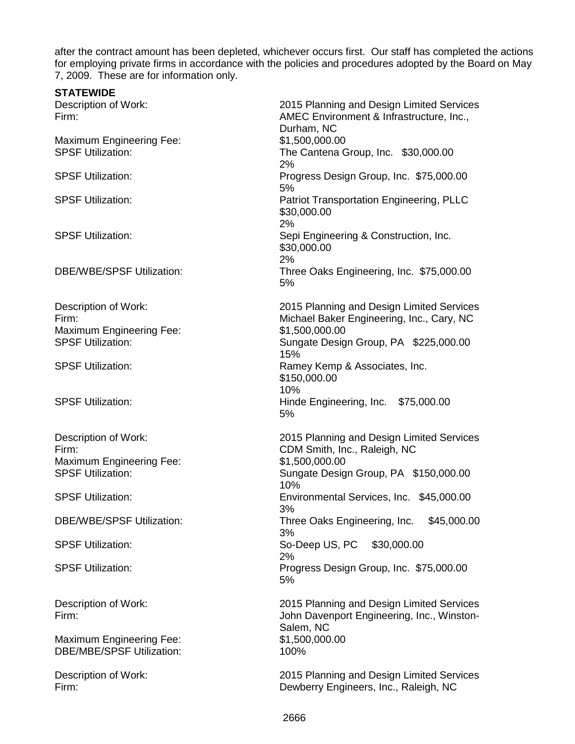after the contract amount has been depleted, whichever occurs first. Our staff has completed the actions for employing private firms in accordance with the policies and procedures adopted by the Board on May 7, 2009. These are for information only.

| <b>STATEWIDE</b>                                                                             |                                                                                                                                                          |
|----------------------------------------------------------------------------------------------|----------------------------------------------------------------------------------------------------------------------------------------------------------|
| Description of Work:<br>Firm:                                                                | 2015 Planning and Design Limited Services<br>AMEC Environment & Infrastructure, Inc.,<br>Durham, NC                                                      |
| <b>Maximum Engineering Fee:</b><br><b>SPSF Utilization:</b>                                  | \$1,500,000.00<br>The Cantena Group, Inc. \$30,000.00<br>2%                                                                                              |
| <b>SPSF Utilization:</b>                                                                     | Progress Design Group, Inc. \$75,000.00<br>5%                                                                                                            |
| <b>SPSF Utilization:</b>                                                                     | <b>Patriot Transportation Engineering, PLLC</b><br>\$30,000.00<br>2%                                                                                     |
| <b>SPSF Utilization:</b>                                                                     | Sepi Engineering & Construction, Inc.<br>\$30,000.00<br>2%                                                                                               |
| <b>DBE/WBE/SPSF Utilization:</b>                                                             | Three Oaks Engineering, Inc. \$75,000.00<br>5%                                                                                                           |
| Description of Work:<br>Firm:<br><b>Maximum Engineering Fee:</b><br><b>SPSF Utilization:</b> | 2015 Planning and Design Limited Services<br>Michael Baker Engineering, Inc., Cary, NC<br>\$1,500,000.00<br>Sungate Design Group, PA \$225,000.00<br>15% |
| <b>SPSF Utilization:</b>                                                                     | Ramey Kemp & Associates, Inc.<br>\$150,000.00<br>10%                                                                                                     |
| <b>SPSF Utilization:</b>                                                                     | Hinde Engineering, Inc. \$75,000.00<br>5%                                                                                                                |
| Description of Work:<br>Firm:<br><b>Maximum Engineering Fee:</b><br><b>SPSF Utilization:</b> | 2015 Planning and Design Limited Services<br>CDM Smith, Inc., Raleigh, NC<br>\$1,500,000.00<br>Sungate Design Group, PA \$150,000.00                     |
| <b>SPSF Utilization:</b>                                                                     | 10%<br>Environmental Services, Inc. \$45,000.00<br>3%                                                                                                    |
| <b>DBE/WBE/SPSF Utilization:</b>                                                             | Three Oaks Engineering, Inc.<br>\$45,000.00<br>3%                                                                                                        |
| <b>SPSF Utilization:</b>                                                                     | So-Deep US, PC \$30,000.00<br>2%                                                                                                                         |
| <b>SPSF Utilization:</b>                                                                     | Progress Design Group, Inc. \$75,000.00<br>5%                                                                                                            |
| Description of Work:<br>Firm:<br><b>Maximum Engineering Fee:</b>                             | 2015 Planning and Design Limited Services<br>John Davenport Engineering, Inc., Winston-<br>Salem, NC<br>\$1,500,000.00                                   |
| <b>DBE/MBE/SPSF Utilization:</b>                                                             | 100%                                                                                                                                                     |
| Description of Work:<br>Firm:                                                                | 2015 Planning and Design Limited Services<br>Dewberry Engineers, Inc., Raleigh, NC                                                                       |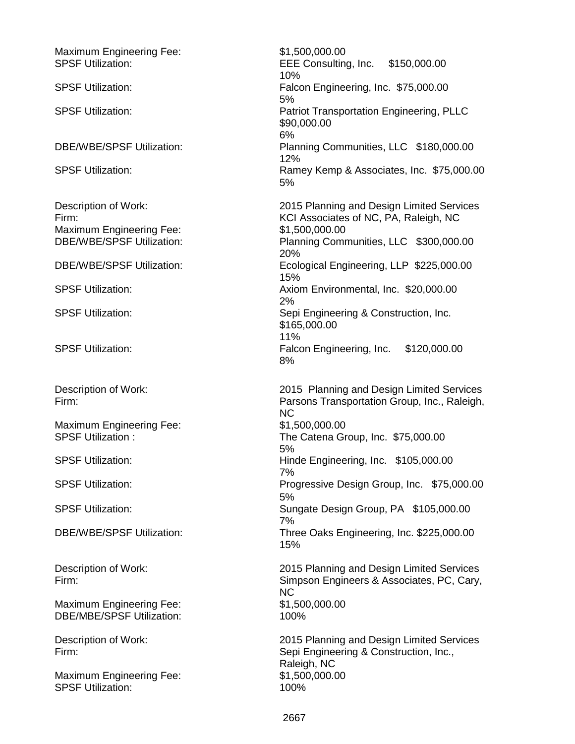Maximum Engineering Fee: \$1,500,000.00<br>SPSF Utilization: \$1,500,000.00 EEE Consulting, Inc. \$150,000.00 10% SPSF Utilization: Falcon Engineering, Inc. \$75,000.00 5% SPSF Utilization: Patriot Transportation Engineering, PLLC \$90,000.00 6% DBE/WBE/SPSF Utilization: Planning Communities, LLC \$180,000.00 12% SPSF Utilization: SPSF Utilization: Ramey Kemp & Associates, Inc. \$75,000.00 5% Description of Work: 2015 Planning and Design Limited Services Firm: KCI Associates of NC, PA, Raleigh, NC Maximum Engineering Fee:  $$1,500,000.00$ <br>DBE/WBE/SPSF Utilization: Planning Comr Planning Communities, LLC \$300,000.00 20% DBE/WBE/SPSF Utilization: Ecological Engineering, LLP \$225,000.00 15% SPSF Utilization: Axiom Environmental, Inc. \$20,000.00 2% SPSF Utilization: SPSF Utilization: Sepi Engineering & Construction, Inc. \$165,000.00 11% SPSF Utilization: Falcon Engineering, Inc. \$120,000.00 8% Description of Work: 2015 Planning and Design Limited Services Firm: Parsons Transportation Group, Inc., Raleigh, NC<br>\$1.500.000.00 Maximum Engineering Fee: SPSF Utilization : The Catena Group, Inc. \$75,000.00 5% SPSF Utilization: Hinde Engineering, Inc. \$105,000.00 7% SPSF Utilization: The Second of Progressive Design Group, Inc. \$75,000.00 5% SPSF Utilization: Sungate Design Group, PA \$105,000.00 7% DBE/WBE/SPSF Utilization: Three Oaks Engineering, Inc. \$225,000.00 15% Description of Work: 2015 Planning and Design Limited Services Firm: Simpson Engineers & Associates, PC, Cary, NC<br>\$1,500,000.00 Maximum Engineering Fee: DBE/MBE/SPSF Utilization: 100% Description of Work:<br>
Firm:<br>
Sepi Engineering & Construction, Inc.. Sepi Engineering & Construction, Inc., Raleigh, NC Maximum Engineering Fee: \$1,500,000.00 SPSF Utilization: 100%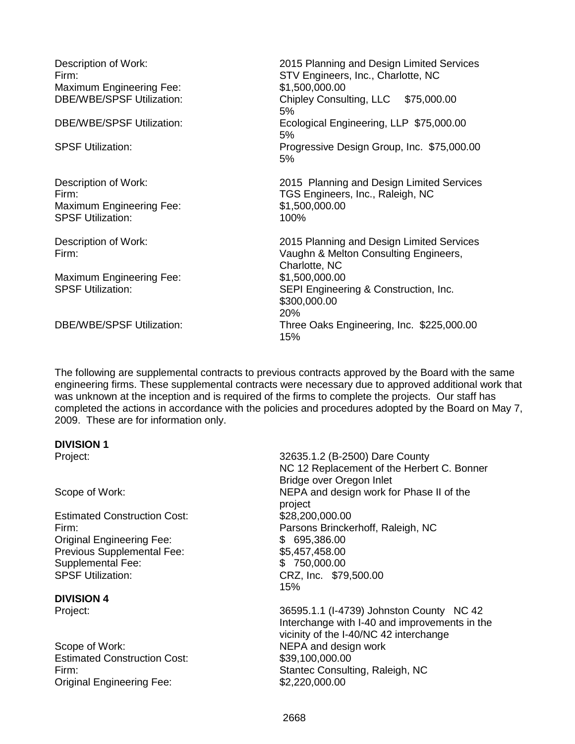| Description of Work:<br>Firm:<br><b>Maximum Engineering Fee:</b><br><b>DBE/WBE/SPSF Utilization:</b><br>DBE/WBE/SPSF Utilization: | 2015 Planning and Design Limited Services<br>STV Engineers, Inc., Charlotte, NC<br>\$1,500,000.00<br>Chipley Consulting, LLC \$75,000.00<br>5%<br>Ecological Engineering, LLP \$75,000.00 |
|-----------------------------------------------------------------------------------------------------------------------------------|-------------------------------------------------------------------------------------------------------------------------------------------------------------------------------------------|
| <b>SPSF Utilization:</b>                                                                                                          | 5%<br>Progressive Design Group, Inc. \$75,000.00<br>5%                                                                                                                                    |
| Description of Work:<br>Firm:<br><b>Maximum Engineering Fee:</b><br><b>SPSF Utilization:</b>                                      | 2015 Planning and Design Limited Services<br>TGS Engineers, Inc., Raleigh, NC<br>\$1,500,000.00<br>100%                                                                                   |
| Description of Work:<br>Firm:                                                                                                     | 2015 Planning and Design Limited Services<br>Vaughn & Melton Consulting Engineers,<br>Charlotte, NC                                                                                       |
| <b>Maximum Engineering Fee:</b><br><b>SPSF Utilization:</b>                                                                       | \$1,500,000.00<br>SEPI Engineering & Construction, Inc.<br>\$300,000.00<br>20%                                                                                                            |
| DBE/WBE/SPSF Utilization:                                                                                                         | Three Oaks Engineering, Inc. \$225,000.00<br>15%                                                                                                                                          |

The following are supplemental contracts to previous contracts approved by the Board with the same engineering firms. These supplemental contracts were necessary due to approved additional work that was unknown at the inception and is required of the firms to complete the projects. Our staff has completed the actions in accordance with the policies and procedures adopted by the Board on May 7, 2009. These are for information only.

#### **DIVISION 1**

Estimated Construction Cost: \$28,200,000.00 Original Engineering Fee: \$ 695,386.00 Previous Supplemental Fee: \$5,457,458.00 Supplemental Fee:  $$ 750,000.00$ <br>SPSF Utilization:  $$79$ 

**DIVISION 4**

Scope of Work: NEPA and design work Estimated Construction Cost: \$39,100,000.00 Original Engineering Fee: \$2,220,000.00

Project: 32635.1.2 (B-2500) Dare County NC 12 Replacement of the Herbert C. Bonner Bridge over Oregon Inlet Scope of Work:  $NEPA$  and design work for Phase II of the project Firm: Parsons Brinckerhoff, Raleigh, NC CRZ, Inc. \$79,500.00 15%

36595.1.1 (I-4739) Johnston County NC 42 Interchange with I-40 and improvements in the vicinity of the I-40/NC 42 interchange Firm: Stantec Consulting, Raleigh, NC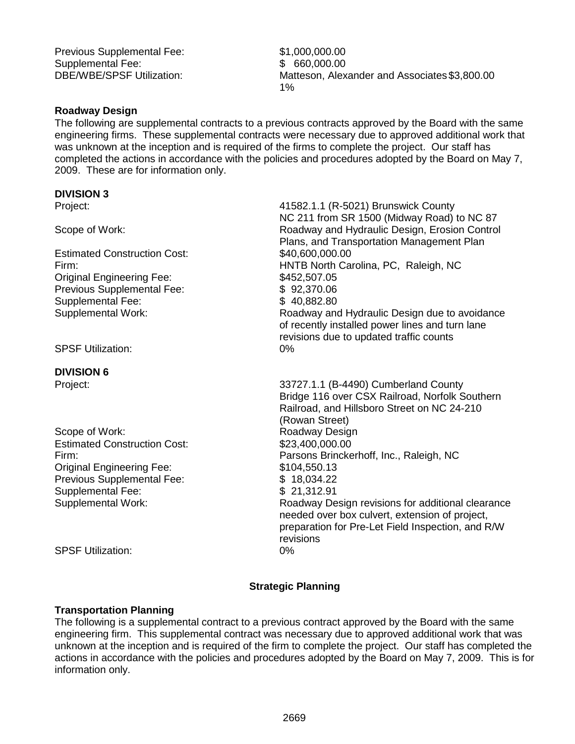Previous Supplemental Fee: \$1,000,000.00 Supplemental Fee:  $$60.000.00$ 

DBE/WBE/SPSF Utilization: Matteson, Alexander and Associates \$3,800.00 1%

> needed over box culvert, extension of project, preparation for Pre-Let Field Inspection, and R/W

#### **Roadway Design**

The following are supplemental contracts to a previous contracts approved by the Board with the same engineering firms. These supplemental contracts were necessary due to approved additional work that was unknown at the inception and is required of the firms to complete the project. Our staff has completed the actions in accordance with the policies and procedures adopted by the Board on May 7, 2009. These are for information only.

#### **DIVISION 3**

| Project:                            | 41582.1.1 (R-5021) Brunswick County<br>NC 211 from SR 1500 (Midway Road) to NC 87          |
|-------------------------------------|--------------------------------------------------------------------------------------------|
| Scope of Work:                      | Roadway and Hydraulic Design, Erosion Control<br>Plans, and Transportation Management Plan |
| <b>Estimated Construction Cost:</b> | \$40,600,000.00                                                                            |
| Firm:                               | HNTB North Carolina, PC, Raleigh, NC                                                       |
| <b>Original Engineering Fee:</b>    | \$452,507.05                                                                               |
| Previous Supplemental Fee:          | \$92,370.06                                                                                |
| Supplemental Fee:                   | \$40,882.80                                                                                |
| Supplemental Work:                  | Roadway and Hydraulic Design due to avoidance                                              |
|                                     | of recently installed power lines and turn lane                                            |
|                                     | revisions due to updated traffic counts                                                    |
| <b>SPSF Utilization:</b>            | 0%                                                                                         |
| <b>DIVISION 6</b>                   |                                                                                            |
| Project:                            | 33727.1.1 (B-4490) Cumberland County                                                       |
|                                     | Bridge 116 over CSX Railroad, Norfolk Southern                                             |
|                                     | Railroad, and Hillsboro Street on NC 24-210                                                |
|                                     | (Rowan Street)                                                                             |
| Scope of Work:                      | Roadway Design                                                                             |
| <b>Estimated Construction Cost:</b> | \$23,400,000.00                                                                            |
| Firm:                               | Parsons Brinckerhoff, Inc., Raleigh, NC                                                    |
| Original Engineering Fee:           | \$104,550.13                                                                               |
| Drovious Supplemental Fee:          |                                                                                            |

Previous Supplemental Fee: \$ 18,034.22<br>Supplemental Fee: \$ 21,312.91 Supplemental Fee: Supplemental Work: Roadway Design revisions for additional clearance

SPSF Utilization: 0%

#### **Strategic Planning**

revisions

#### **Transportation Planning**

The following is a supplemental contract to a previous contract approved by the Board with the same engineering firm. This supplemental contract was necessary due to approved additional work that was unknown at the inception and is required of the firm to complete the project. Our staff has completed the actions in accordance with the policies and procedures adopted by the Board on May 7, 2009. This is for information only.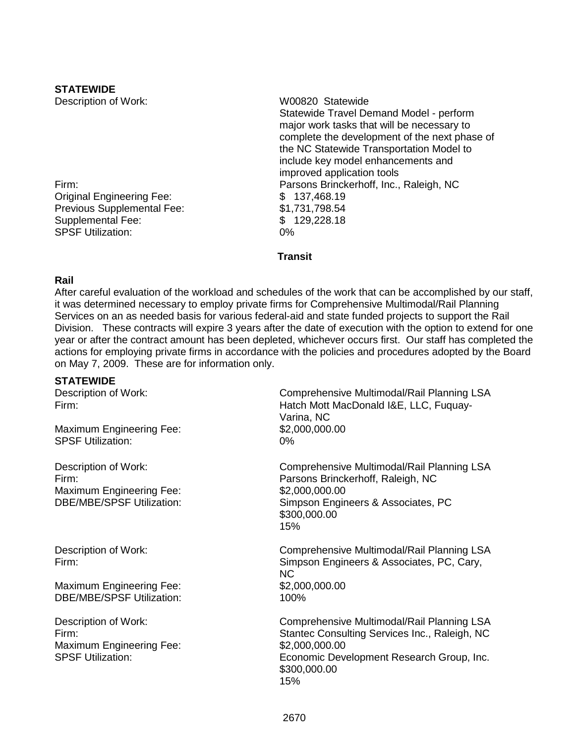### **STATEWIDE**

Original Engineering Fee:  $$ 137,468.19$ <br>Previous Supplemental Fee:  $$ 1,731,798.54$ Previous Supplemental Fee: Supplemental Fee:  $$ 129,228.18$ <br>SPSF Utilization:  $0\%$ SPSF Utilization:

Description of Work: WOO820 Statewide Statewide Travel Demand Model - perform major work tasks that will be necessary to complete the development of the next phase of the NC Statewide Transportation Model to include key model enhancements and improved application tools Firm: Parsons Brinckerhoff, Inc., Raleigh, NC

**Transit**

#### **Rail**

After careful evaluation of the workload and schedules of the work that can be accomplished by our staff, it was determined necessary to employ private firms for Comprehensive Multimodal/Rail Planning Services on an as needed basis for various federal-aid and state funded projects to support the Rail Division. These contracts will expire 3 years after the date of execution with the option to extend for one year or after the contract amount has been depleted, whichever occurs first. Our staff has completed the actions for employing private firms in accordance with the policies and procedures adopted by the Board on May 7, 2009. These are for information only.

#### **STATEWIDE**

| Description of Work:<br>Firm:<br><b>Maximum Engineering Fee:</b><br><b>SPSF Utilization:</b>         | Comprehensive Multimodal/Rail Planning LSA<br>Hatch Mott MacDonald I&E, LLC, Fuquay-<br>Varina, NC<br>\$2,000,000.00<br>0%                                                        |
|------------------------------------------------------------------------------------------------------|-----------------------------------------------------------------------------------------------------------------------------------------------------------------------------------|
| Description of Work:<br>Firm:<br><b>Maximum Engineering Fee:</b><br><b>DBE/MBE/SPSF Utilization:</b> | Comprehensive Multimodal/Rail Planning LSA<br>Parsons Brinckerhoff, Raleigh, NC<br>\$2,000,000.00<br>Simpson Engineers & Associates, PC<br>\$300,000.00<br>15%                    |
| Description of Work:<br>Firm:<br>Maximum Engineering Fee:<br><b>DBE/MBE/SPSF Utilization:</b>        | Comprehensive Multimodal/Rail Planning LSA<br>Simpson Engineers & Associates, PC, Cary,<br><b>NC</b><br>\$2,000,000.00<br>100%                                                    |
| Description of Work:<br>Firm:<br><b>Maximum Engineering Fee:</b><br><b>SPSF Utilization:</b>         | Comprehensive Multimodal/Rail Planning LSA<br>Stantec Consulting Services Inc., Raleigh, NC<br>\$2,000,000.00<br>Economic Development Research Group, Inc.<br>\$300,000.00<br>15% |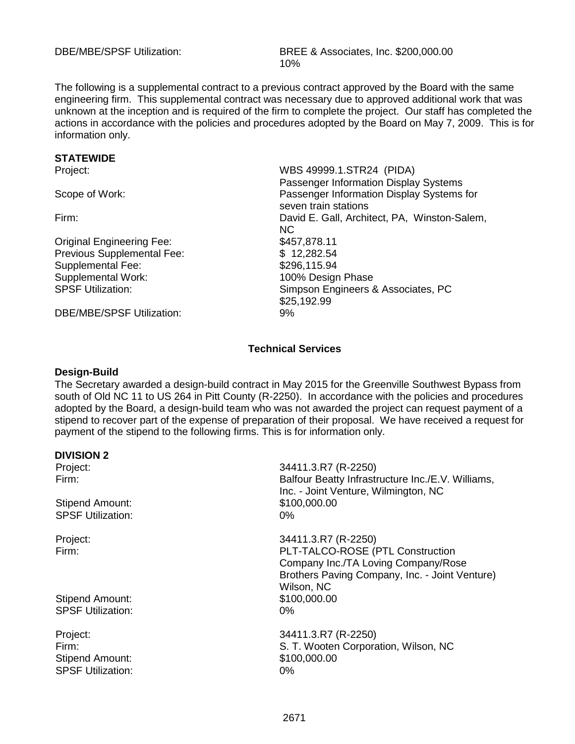The following is a supplemental contract to a previous contract approved by the Board with the same engineering firm. This supplemental contract was necessary due to approved additional work that was unknown at the inception and is required of the firm to complete the project. Our staff has completed the actions in accordance with the policies and procedures adopted by the Board on May 7, 2009. This is for information only.

# **STATEWIDE**<br>Project:

Original Engineering Fee: \$457,878.11 Previous Supplemental Fee: \$ 12,282.54 Supplemental Fee: \$296,115.94 Supplemental Work:<br>
SPSF Utilization:<br>
SPSF Utilization:<br>
100% Design Phase

DBE/MBE/SPSE Utilization: 9%

WBS 49999.1.STR24 (PIDA) Passenger Information Display Systems Scope of Work: Passenger Information Display Systems for seven train stations Firm: David E. Gall, Architect, PA, Winston-Salem, NC Simpson Engineers & Associates, PC \$25,192.99

#### **Technical Services**

#### **Design-Build**

The Secretary awarded a design-build contract in May 2015 for the Greenville Southwest Bypass from south of Old NC 11 to US 264 in Pitt County (R-2250). In accordance with the policies and procedures adopted by the Board, a design-build team who was not awarded the project can request payment of a stipend to recover part of the expense of preparation of their proposal. We have received a request for payment of the stipend to the following firms. This is for information only.

#### **DIVISION 2**

Stipend Amount: \$100,000.00 SPSF Utilization: 0%

Stipend Amount: \$100,000.00 SPSF Utilization: 0%

Stipend Amount: \$100,000.00 SPSF Utilization: 0%

Project: 34411.3.R7 (R-2250) Firm: Balfour Beatty Infrastructure Inc./E.V. Williams, Inc. - Joint Venture, Wilmington, NC

Project: 34411.3.R7 (R-2250) Firm: PLT-TALCO-ROSE (PTL Construction Company Inc./TA Loving Company/Rose Brothers Paving Company, Inc. - Joint Venture) Wilson, NC

Project: 34411.3.R7 (R-2250) Firm: S. T. Wooten Corporation, Wilson, NC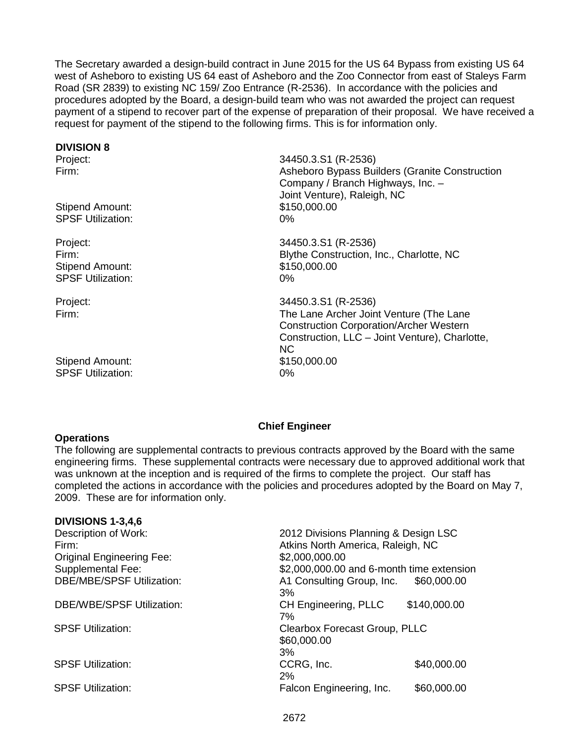The Secretary awarded a design-build contract in June 2015 for the US 64 Bypass from existing US 64 west of Asheboro to existing US 64 east of Asheboro and the Zoo Connector from east of Staleys Farm Road (SR 2839) to existing NC 159/ Zoo Entrance (R-2536). In accordance with the policies and procedures adopted by the Board, a design-build team who was not awarded the project can request payment of a stipend to recover part of the expense of preparation of their proposal. We have received a request for payment of the stipend to the following firms. This is for information only.

#### **DIVISION 8**

Stipend Amount: \$150,000.00 SPSF Utilization: 0%

Stipend Amount: \$150,000.00 SPSF Utilization: 0%

Stipend Amount: \$150,000.00 SPSF Utilization: 0%

Project: 34450.3.S1 (R-2536) Asheboro Bypass Builders (Granite Construction Company / Branch Highways, Inc. – Joint Venture), Raleigh, NC

Project: 34450.3.S1 (R-2536) Firm: Blythe Construction, Inc., Charlotte, NC

Project: 34450.3.S1 (R-2536) Firm: The Lane Archer Joint Venture (The Lane Construction Corporation/Archer Western Construction, LLC – Joint Venture), Charlotte, NC

#### **Chief Engineer**

**Operations**

The following are supplemental contracts to previous contracts approved by the Board with the same engineering firms. These supplemental contracts were necessary due to approved additional work that was unknown at the inception and is required of the firms to complete the project. Our staff has completed the actions in accordance with the policies and procedures adopted by the Board on May 7, 2009. These are for information only.

#### **DIVISIONS 1-3,4,6**

| Description of Work:<br>Firm:    | 2012 Divisions Planning & Design LSC<br>Atkins North America, Raleigh, NC |              |
|----------------------------------|---------------------------------------------------------------------------|--------------|
| <b>Original Engineering Fee:</b> | \$2,000,000.00                                                            |              |
| Supplemental Fee:                | \$2,000,000.00 and 6-month time extension                                 |              |
| <b>DBE/MBE/SPSF Utilization:</b> | A1 Consulting Group, Inc.<br>3%                                           | \$60,000.00  |
| <b>DBE/WBE/SPSF Utilization:</b> | CH Engineering, PLLC<br>7%                                                | \$140,000.00 |
| <b>SPSF Utilization:</b>         | Clearbox Forecast Group, PLLC<br>\$60,000.00<br>3%                        |              |
| <b>SPSF Utilization:</b>         | CCRG, Inc.<br>2%                                                          | \$40,000.00  |
| <b>SPSF Utilization:</b>         | Falcon Engineering, Inc.                                                  | \$60,000.00  |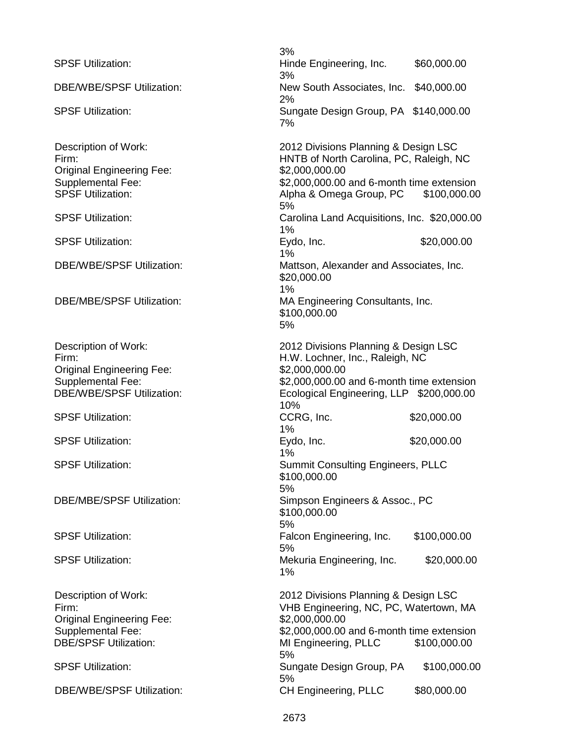|                                                                                                                               | 3%                                                                                                                                                                                          |              |
|-------------------------------------------------------------------------------------------------------------------------------|---------------------------------------------------------------------------------------------------------------------------------------------------------------------------------------------|--------------|
| <b>SPSF Utilization:</b>                                                                                                      | Hinde Engineering, Inc.<br>3%                                                                                                                                                               | \$60,000.00  |
| <b>DBE/WBE/SPSF Utilization:</b>                                                                                              | New South Associates, Inc. \$40,000.00<br>2%                                                                                                                                                |              |
| <b>SPSF Utilization:</b>                                                                                                      | Sungate Design Group, PA \$140,000.00<br>7%                                                                                                                                                 |              |
| Description of Work:<br>Firm:<br><b>Original Engineering Fee:</b><br>Supplemental Fee:<br><b>SPSF Utilization:</b>            | 2012 Divisions Planning & Design LSC<br>HNTB of North Carolina, PC, Raleigh, NC<br>\$2,000,000.00<br>\$2,000,000.00 and 6-month time extension<br>Alpha & Omega Group, PC \$100,000.00      |              |
| <b>SPSF Utilization:</b>                                                                                                      | 5%<br>Carolina Land Acquisitions, Inc. \$20,000.00<br>1%                                                                                                                                    |              |
| <b>SPSF Utilization:</b>                                                                                                      | Eydo, Inc.<br>1%                                                                                                                                                                            | \$20,000.00  |
| <b>DBE/WBE/SPSF Utilization:</b>                                                                                              | Mattson, Alexander and Associates, Inc.<br>\$20,000.00                                                                                                                                      |              |
| <b>DBE/MBE/SPSF Utilization:</b>                                                                                              | 1%<br>MA Engineering Consultants, Inc.<br>\$100,000.00<br>5%                                                                                                                                |              |
| Description of Work:<br>Firm:<br><b>Original Engineering Fee:</b><br>Supplemental Fee:<br><b>DBE/WBE/SPSF Utilization:</b>    | 2012 Divisions Planning & Design LSC<br>H.W. Lochner, Inc., Raleigh, NC<br>\$2,000,000.00<br>\$2,000,000.00 and 6-month time extension<br>Ecological Engineering, LLP \$200,000.00<br>10%   |              |
| <b>SPSF Utilization:</b>                                                                                                      | CCRG, Inc.<br>1%                                                                                                                                                                            | \$20,000.00  |
| <b>SPSF Utilization:</b>                                                                                                      | Eydo, Inc.<br>1%                                                                                                                                                                            | \$20,000.00  |
| <b>SPSF Utilization:</b>                                                                                                      | <b>Summit Consulting Engineers, PLLC</b><br>\$100,000.00<br>5%                                                                                                                              |              |
| <b>DBE/MBE/SPSF Utilization:</b>                                                                                              | Simpson Engineers & Assoc., PC<br>\$100,000.00<br>5%                                                                                                                                        |              |
| <b>SPSF Utilization:</b>                                                                                                      | Falcon Engineering, Inc.<br>5%                                                                                                                                                              | \$100,000.00 |
| <b>SPSF Utilization:</b>                                                                                                      | Mekuria Engineering, Inc.<br>1%                                                                                                                                                             | \$20,000.00  |
| Description of Work:<br>Firm:<br><b>Original Engineering Fee:</b><br><b>Supplemental Fee:</b><br><b>DBE/SPSF Utilization:</b> | 2012 Divisions Planning & Design LSC<br>VHB Engineering, NC, PC, Watertown, MA<br>\$2,000,000.00<br>\$2,000,000.00 and 6-month time extension<br>MI Engineering, PLLC<br>\$100,000.00<br>5% |              |
| <b>SPSF Utilization:</b>                                                                                                      | Sungate Design Group, PA<br>5%                                                                                                                                                              | \$100,000.00 |
| <b>DBE/WBE/SPSF Utilization:</b>                                                                                              | CH Engineering, PLLC                                                                                                                                                                        | \$80,000.00  |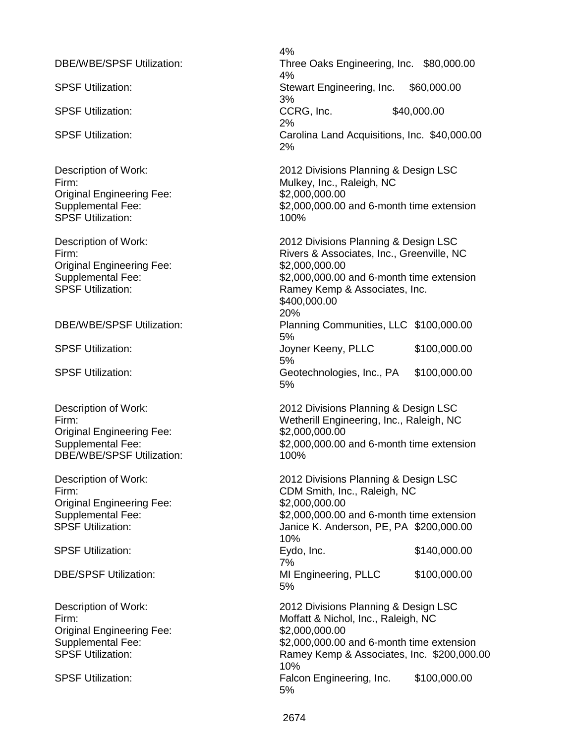Original Engineering Fee: SPSF Utilization: 100%

Original Engineering Fee: \$2,000,000.00<br>Supplemental Fee: \$2,000.000.00

Original Engineering Fee: \$2,000,000.00 DBE/WBE/SPSF Utilization: 100%

Original Engineering Fee: \$2,000,000.00

Original Engineering Fee: \$2,000,000.00

4% DBE/WBE/SPSF Utilization: Three Oaks Engineering, Inc. \$80,000.00 4% SPSF Utilization: SPSF Utilization: Stewart Engineering, Inc. \$60,000.00 3% SPSF Utilization:  $CCRG$ , Inc.  $$40,000.00$ 2% SPSF Utilization: Carolina Land Acquisitions, Inc. \$40,000.00 2%

Description of Work: 2012 Divisions Planning & Design LSC Firm:<br>
Original Engineering Fee:<br>
S2,000,000.00<br>
\$2,000,000.00 Supplemental Fee: \$2,000,000.00 and 6-month time extension

Description of Work: 2012 Divisions Planning & Design LSC Firm: Rivers & Associates, Inc., Greenville, NC Supplemental Fee:  $$2,000,000.00$  and 6-month time extension<br>SPSF Utilization: SPSF Utilization: Ramey Kemp & Associates. Inc. Ramey Kemp & Associates, Inc. \$400,000.00 20% DBE/WBE/SPSF Utilization: Planning Communities, LLC \$100,000.00 5% SPSF Utilization: Joyner Keeny, PLLC \$100,000.00 5% SPSF Utilization: Geotechnologies, Inc., PA \$100,000.00 5%

Description of Work: 2012 Divisions Planning & Design LSC<br>Firm: 2012 Wetherill Fnaineering, Inc., Raleigh, NC Wetherill Engineering, Inc., Raleigh, NC Supplemental Fee: \$2,000,000.00 and 6-month time extension

Description of Work: 2012 Divisions Planning & Design LSC Firm: CDM Smith, Inc., Raleigh, NC Supplemental Fee:  $$2,000,000.00$  and 6-month time extension<br>SPSF Utilization:  $$3,000,000.00$  and 6-month time extension Janice K. Anderson, PE, PA \$200,000.00 10% SPSF Utilization: The Second Level of the Eydo, Inc. \$140,000.00 7% DBE/SPSF Utilization: MI Engineering, PLLC \$100,000.00 5%

Description of Work: 2012 Divisions Planning & Design LSC Firm: Moffatt & Nichol, Inc., Raleigh, NC Supplemental Fee:  $$2,000,000.00$  and 6-month time extension<br>SPSF Utilization: SPSF Utilization: Ramey Kemp & Associates. Inc. \$200.000. Ramey Kemp & Associates, Inc. \$200,000.00 10% SPSF Utilization: Falcon Engineering, Inc. \$100,000.00 5%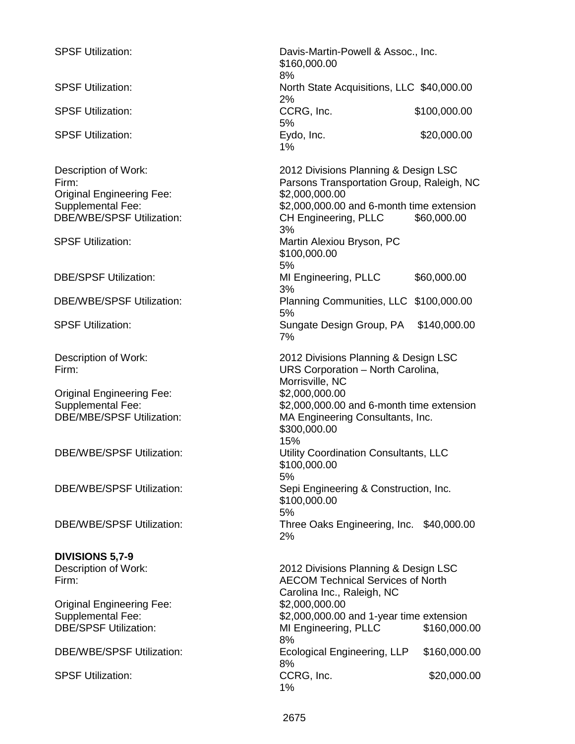| <b>SPSF Utilization:</b>                                                                                                   | Davis-Martin-Powell & Assoc., Inc.<br>\$160,000.00<br>8%                                                                                                                                      |              |
|----------------------------------------------------------------------------------------------------------------------------|-----------------------------------------------------------------------------------------------------------------------------------------------------------------------------------------------|--------------|
| <b>SPSF Utilization:</b>                                                                                                   | North State Acquisitions, LLC \$40,000.00<br>2%                                                                                                                                               |              |
| <b>SPSF Utilization:</b>                                                                                                   | CCRG, Inc.<br>5%                                                                                                                                                                              | \$100,000.00 |
| <b>SPSF Utilization:</b>                                                                                                   | Eydo, Inc.<br>1%                                                                                                                                                                              | \$20,000.00  |
| Description of Work:<br>Firm:<br><b>Original Engineering Fee:</b><br>Supplemental Fee:<br><b>DBE/WBE/SPSF Utilization:</b> | 2012 Divisions Planning & Design LSC<br>Parsons Transportation Group, Raleigh, NC<br>\$2,000,000.00<br>\$2,000,000.00 and 6-month time extension<br>CH Engineering, PLLC<br>\$60,000.00<br>3% |              |
| <b>SPSF Utilization:</b>                                                                                                   | Martin Alexiou Bryson, PC<br>\$100,000.00<br>5%                                                                                                                                               |              |
| <b>DBE/SPSF Utilization:</b>                                                                                               | MI Engineering, PLLC<br>3%                                                                                                                                                                    | \$60,000.00  |
| <b>DBE/WBE/SPSF Utilization:</b>                                                                                           | Planning Communities, LLC \$100,000.00<br>5%                                                                                                                                                  |              |
| <b>SPSF Utilization:</b>                                                                                                   | Sungate Design Group, PA<br>7%                                                                                                                                                                | \$140,000.00 |
| Description of Work:<br>Firm:                                                                                              | 2012 Divisions Planning & Design LSC<br>URS Corporation - North Carolina,<br>Morrisville, NC                                                                                                  |              |
| <b>Original Engineering Fee:</b><br>Supplemental Fee:<br><b>DBE/MBE/SPSF Utilization:</b>                                  | \$2,000,000.00<br>\$2,000,000.00 and 6-month time extension<br>MA Engineering Consultants, Inc.<br>\$300,000.00                                                                               |              |
| <b>DBE/WBE/SPSF Utilization:</b>                                                                                           | 15%<br>Utility Coordination Consultants, LLC<br>\$100,000.00<br>5%                                                                                                                            |              |
| <b>DBE/WBE/SPSF Utilization:</b>                                                                                           | Sepi Engineering & Construction, Inc.<br>\$100,000.00<br>5%                                                                                                                                   |              |
| <b>DBE/WBE/SPSF Utilization:</b>                                                                                           | Three Oaks Engineering, Inc. \$40,000.00<br>2%                                                                                                                                                |              |
| <b>DIVISIONS 5,7-9</b>                                                                                                     |                                                                                                                                                                                               |              |
| <b>Description of Work:</b><br>Firm:                                                                                       | 2012 Divisions Planning & Design LSC<br><b>AECOM Technical Services of North</b><br>Carolina Inc., Raleigh, NC                                                                                |              |
| <b>Original Engineering Fee:</b><br><b>Supplemental Fee:</b><br><b>DBE/SPSF Utilization:</b>                               | \$2,000,000.00<br>\$2,000,000.00 and 1-year time extension<br>MI Engineering, PLLC<br>8%                                                                                                      | \$160,000.00 |
| <b>DBE/WBE/SPSF Utilization:</b>                                                                                           | Ecological Engineering, LLP<br>8%                                                                                                                                                             | \$160,000.00 |
| <b>SPSF Utilization:</b>                                                                                                   | CCRG, Inc.<br>1%                                                                                                                                                                              | \$20,000.00  |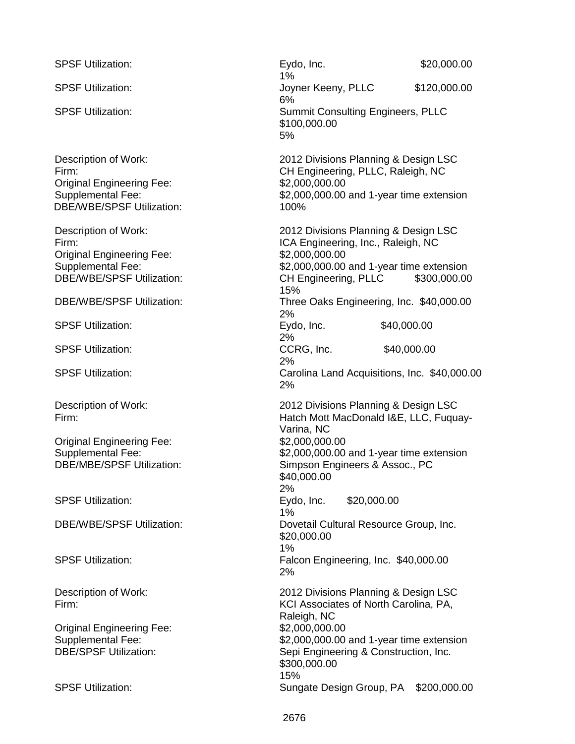SPSF Utilization: The Second Level of the Eydo, Inc. 520,000.00 1% SPSF Utilization: SPSF Utilization: Joyner Keeny, PLLC \$120,000.00 6% SPSF Utilization: Summit Consulting Engineers, PLLC \$100,000.00 5% Description of Work: 2012 Divisions Planning & Design LSC Firm: CH Engineering, PLLC, Raleigh, NC Original Engineering Fee: \$2,000,000.00 Supplemental Fee: \$2,000,000.00 and 1-year time extension DBE/WBE/SPSF Utilization: 100% Description of Work: 2012 Divisions Planning & Design LSC<br>Firm: 2012 Divisions Planning & Design LSC ICA Engineering, Inc., Raleigh, NC Original Engineering Fee: \$2,000,000.00 Supplemental Fee: \$2,000,000.00 and 1-year time extension DBE/WBE/SPSF Utilization: CH Engineering, PLLC \$300,000.00 15% DBE/WBE/SPSF Utilization: Three Oaks Engineering, Inc. \$40,000.00 2%<br>Eydo, Inc. SPSF Utilization: The Second Level of the Eydo, Inc. \$40,000.00 2% SPSF Utilization: The Second CCRG, Inc. \$40,000.00 2% SPSF Utilization: Carolina Land Acquisitions, Inc. \$40,000.00 2% Description of Work: 2012 Divisions Planning & Design LSC Firm: Hatch Mott MacDonald I&E, LLC, Fuquay-Varina, NC Original Engineering Fee: \$2,000,000.00 Supplemental Fee:<br>
DBE/MBE/SPSF Utilization: Simpson Engineers & Assoc.. PC Simpson Engineers & Assoc., PC \$40,000.00 2% SPSF Utilization: Eydo, Inc. \$20,000.00 1% DBE/WBE/SPSF Utilization: Dovetail Cultural Resource Group, Inc. \$20,000.00 1% SPSF Utilization: Falcon Engineering, Inc. \$40,000.00 2% Description of Work: 2012 Divisions Planning & Design LSC Firm: KCI Associates of North Carolina, PA, Raleigh, NC Original Engineering Fee: \$2,000,000.00 Supplemental Fee:<br>
DBE/SPSF Utilization:<br>
DBE/SPSF Utilization:<br>  $\begin{array}{c}\n\text{Seoi Enaineering & Construction. Inc.}\n\end{array}$ Sepi Engineering & Construction, Inc. \$300,000.00 15% SPSF Utilization: Sungate Design Group, PA \$200,000.00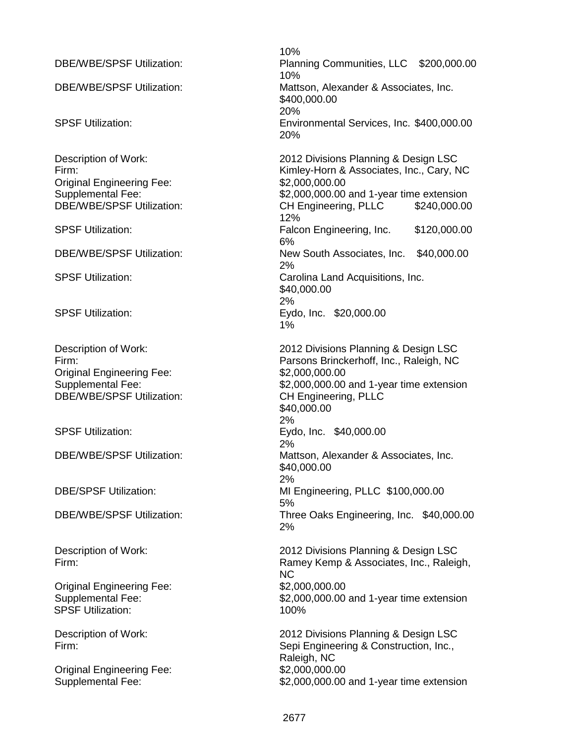| <b>DBE/WBE/SPSF Utilization:</b><br><b>DBE/WBE/SPSF Utilization:</b><br><b>SPSF Utilization:</b>                                                                                                                                                               | 10%<br><b>Planning Com</b><br>10%<br>Mattson, Alexa<br>\$400,000.00<br>20%<br>Environmental<br>20%                                                                                                                                     |
|----------------------------------------------------------------------------------------------------------------------------------------------------------------------------------------------------------------------------------------------------------------|----------------------------------------------------------------------------------------------------------------------------------------------------------------------------------------------------------------------------------------|
| Description of Work:<br>Firm:<br><b>Original Engineering Fee:</b><br>Supplemental Fee:<br><b>DBE/WBE/SPSF Utilization:</b><br><b>SPSF Utilization:</b><br><b>DBE/WBE/SPSF Utilization:</b><br><b>SPSF Utilization:</b>                                         | 2012 Divisions<br>Kimley-Horn &<br>\$2,000,000.00<br>\$2,000,000.00<br><b>CH Engineerin</b><br>12%<br><b>Falcon Engine</b><br>6%<br>New South As<br>2%<br>Carolina Land<br>\$40,000.00<br>2%                                           |
| <b>SPSF Utilization:</b>                                                                                                                                                                                                                                       | Eydo, Inc. \$2<br>1%                                                                                                                                                                                                                   |
| Description of Work:<br>Firm:<br><b>Original Engineering Fee:</b><br>Supplemental Fee:<br><b>DBE/WBE/SPSF Utilization:</b><br><b>SPSF Utilization:</b><br><b>DBE/WBE/SPSF Utilization:</b><br><b>DBE/SPSF Utilization:</b><br><b>DBE/WBE/SPSF Utilization:</b> | 2012 Divisions<br><b>Parsons Brincl</b><br>\$2,000,000.00<br>\$2,000,000.00<br><b>CH Engineerin</b><br>\$40,000.00<br>2%<br>Eydo, Inc. \$4<br>2%<br>Mattson, Alexa<br>\$40,000.00<br>2%<br>MI Engineering<br>5%<br>Three Oaks Er<br>2% |
| Description of Work:<br>Firm:<br><b>Original Engineering Fee:</b><br>Supplemental Fee:<br><b>SPSF Utilization:</b>                                                                                                                                             | 2012 Divisions<br>Ramey Kemp<br><b>NC</b><br>\$2,000,000.00<br>\$2,000,000.00<br>100%                                                                                                                                                  |
| Description of Work:<br>Firm:<br><b>Original Engineering Fee:</b><br><b>Supplemental Fee:</b>                                                                                                                                                                  | 2012 Divisions<br>Sepi Engineeri<br>Raleigh, NC<br>\$2,000,000.00<br>\$2,000,000.00                                                                                                                                                    |

g Communities, LLC \$200,000.00 Alexander & Associates, Inc.  $0.00$ nental Services, Inc. \$400,000.00 visions Planning & Design LSC Horn & Associates, Inc., Cary, NC 000.00 and 1-year time extension Ineering, PLLC \$240,000.00 Engineering, Inc. \$120,000.00 uth Associates, Inc. \$40,000.00 Land Acquisitions, Inc. .00 c. \$20,000.00 visions Planning & Design LSC Brinckerhoff, Inc., Raleigh, NC 000.00 and 1-year time extension ineering, PLLC .00 c. \$40,000.00 Alexander & Associates, Inc. .00 neering, PLLC \$100,000.00 aks Engineering, Inc. \$40,000.00 visions Planning & Design LSC Kemp & Associates, Inc., Raleigh,

000.00 and 1-year time extension

visions Planning & Design LSC gineering & Construction, Inc., N<sub>C</sub> 000.00 and 1-year time extension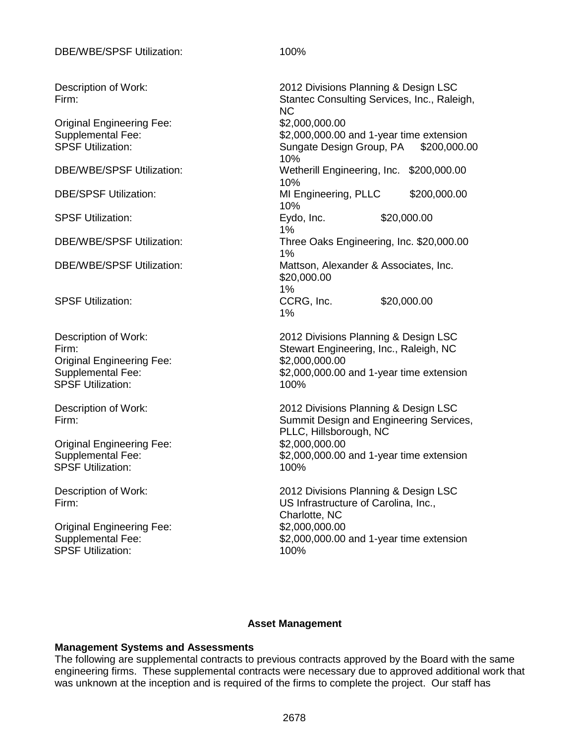Original Engineering Fee:  $$2,000,000.00$ <br>Supplemental Fee:  $$2,000,000.00$ 

Original Engineering Fee: \$2,000,000.00<br>Supplemental Fee: \$2,000,000.00 SPSF Utilization: 100%

Original Engineering Fee:  $$2,000,000.00$ <br>Supplemental Fee:  $$2,000,000.00$ SPSF Utilization: 100%

Original Engineering Fee:  $$2,000,000.00$ <br>Supplemental Fee:  $$2,000,000.00$ SPSF Utilization: 100%

Description of Work: 2012 Divisions Planning & Design LSC<br>Firm: 2012 Divisions Planning & Design LSC Stantec Consulting Services, Inc., Raleigh, NC Supplemental Fee:  $$2,000,000.00$  and 1-year time extension<br>SPSF Utilization: Supplemental Supplemental Supplemental Service Service SPSF Utilization: Sungate Design Group, PA \$200,000.00 10% DBE/WBE/SPSF Utilization: Wetherill Engineering, Inc. \$200,000.00 10% DBE/SPSF Utilization: MI Engineering, PLLC \$200,000.00 10%<br>Eydo, Inc. SPSF Utilization: The Second Level of the Eydo, Inc. \$20,000.00 1% DBE/WBE/SPSF Utilization: Three Oaks Engineering, Inc. \$20,000.00 1% DBE/WBE/SPSF Utilization: Mattson, Alexander & Associates, Inc. \$20,000.00 1%<br>CCRG, Inc. SPSF Utilization: The Second CCRG, Inc. \$20,000.00 1% Description of Work: 2012 Divisions Planning & Design LSC

Firm: Stewart Engineering, Inc., Raleigh, NC  $$2,000,000.00$  and 1-year time extension

Description of Work: 2012 Divisions Planning & Design LSC<br>Firm: 2012 Divisions Planning & Design LSC Summit Design and Engineering Services, PLLC, Hillsborough, NC  $$2,000,000.00$  and 1-year time extension

Description of Work: 2012 Divisions Planning & Design LSC Firm: US Infrastructure of Carolina, Inc., Charlotte, NC  $$2,000,000.00$  and 1-year time extension

#### **Asset Management**

#### **Management Systems and Assessments**

The following are supplemental contracts to previous contracts approved by the Board with the same engineering firms. These supplemental contracts were necessary due to approved additional work that was unknown at the inception and is required of the firms to complete the project. Our staff has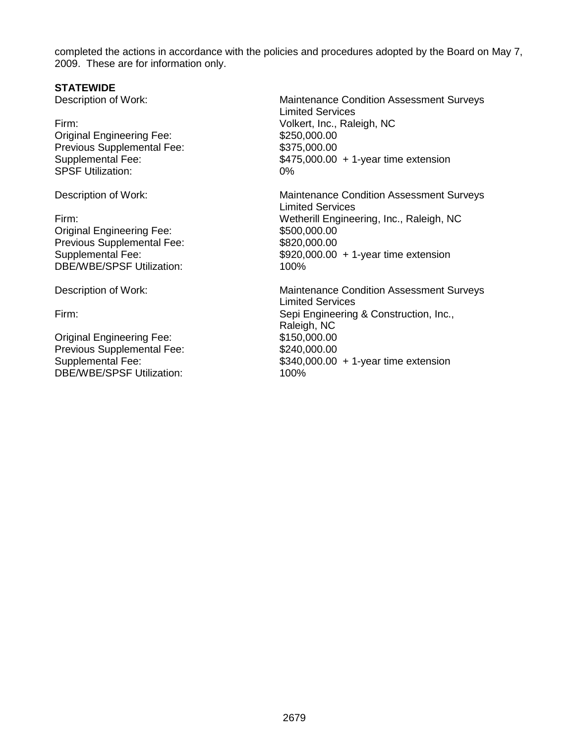completed the actions in accordance with the policies and procedures adopted by the Board on May 7, 2009. These are for information only.

#### **STATEWIDE**

Original Engineering Fee: \$250,000.00<br>Previous Supplemental Fee: \$375,000.00 Previous Supplemental Fee: SPSF Utilization: 0%

Original Engineering Fee:  $$500,000.00$ <br>Previous Supplemental Fee:  $$820,000.00$ Previous Supplemental Fee:<br>Supplemental Fee: DBE/WBE/SPSF Utilization: 100%

Original Engineering Fee: \$150,000.00 Previous Supplemental Fee: \$240,000.00 DBE/WBE/SPSF Utilization: 100%

Description of Work: Maintenance Condition Assessment Surveys Limited Services Firm: Volkert, Inc., Raleigh, NC Supplemental Fee: \$475,000.00 + 1-year time extension

Description of Work: **Maintenance Condition Assessment Surveys** Limited Services Firm: Wetherill Engineering, Inc., Raleigh, NC  $$920,000.00 + 1$ -year time extension

Description of Work: Maintenance Condition Assessment Surveys Limited Services Firm: Sepi Engineering & Construction, Inc., Raleigh, NC Supplemental Fee:  $$340,000.00 + 1$ -year time extension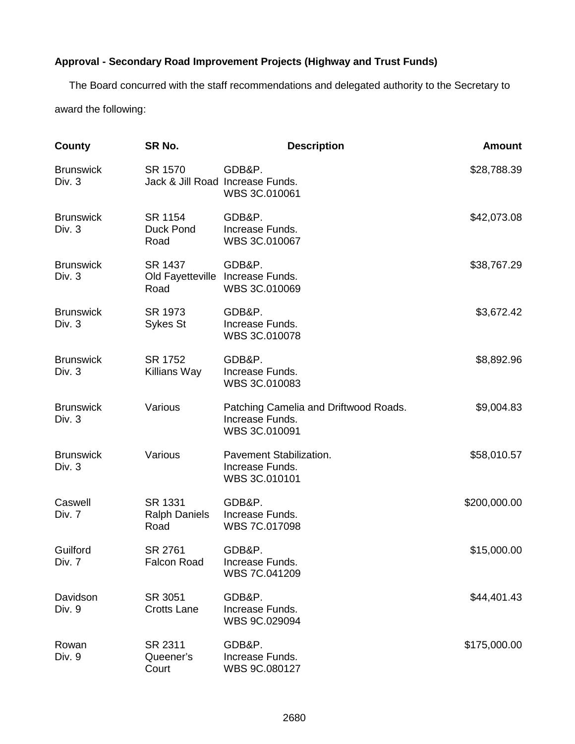### **Approval - Secondary Road Improvement Projects (Highway and Trust Funds)**

The Board concurred with the staff recommendations and delegated authority to the Secretary to award the following:

| County                     | SR No.                                  | <b>Description</b>                                                        | <b>Amount</b> |
|----------------------------|-----------------------------------------|---------------------------------------------------------------------------|---------------|
| <b>Brunswick</b><br>Div. 3 | SR 1570                                 | GDB&P.<br>Jack & Jill Road Increase Funds.<br>WBS 3C.010061               | \$28,788.39   |
| <b>Brunswick</b><br>Div. 3 | SR 1154<br><b>Duck Pond</b><br>Road     | GDB&P.<br>Increase Funds.<br>WBS 3C.010067                                | \$42,073.08   |
| <b>Brunswick</b><br>Div. 3 | SR 1437<br>Road                         | GDB&P.<br>Old Fayetteville Increase Funds.<br>WBS 3C.010069               | \$38,767.29   |
| <b>Brunswick</b><br>Div. 3 | SR 1973<br>Sykes St                     | GDB&P.<br>Increase Funds.<br>WBS 3C.010078                                | \$3,672.42    |
| <b>Brunswick</b><br>Div. 3 | SR 1752<br>Killians Way                 | GDB&P.<br>Increase Funds.<br>WBS 3C.010083                                | \$8,892.96    |
| <b>Brunswick</b><br>Div. 3 | Various                                 | Patching Camelia and Driftwood Roads.<br>Increase Funds.<br>WBS 3C.010091 | \$9,004.83    |
| <b>Brunswick</b><br>Div. 3 | Various                                 | Pavement Stabilization.<br>Increase Funds.<br>WBS 3C.010101               | \$58,010.57   |
| Caswell<br>Div. 7          | SR 1331<br><b>Ralph Daniels</b><br>Road | GDB&P.<br>Increase Funds.<br>WBS 7C.017098                                | \$200,000.00  |
| Guilford<br>Div. 7         | SR 2761<br><b>Falcon Road</b>           | GDB&P.<br>Increase Funds.<br>WBS 7C.041209                                | \$15,000.00   |
| Davidson<br>Div. 9         | SR 3051<br><b>Crotts Lane</b>           | GDB&P.<br>Increase Funds.<br>WBS 9C.029094                                | \$44,401.43   |
| Rowan<br>Div. 9            | SR 2311<br>Queener's<br>Court           | GDB&P.<br>Increase Funds.<br>WBS 9C.080127                                | \$175,000.00  |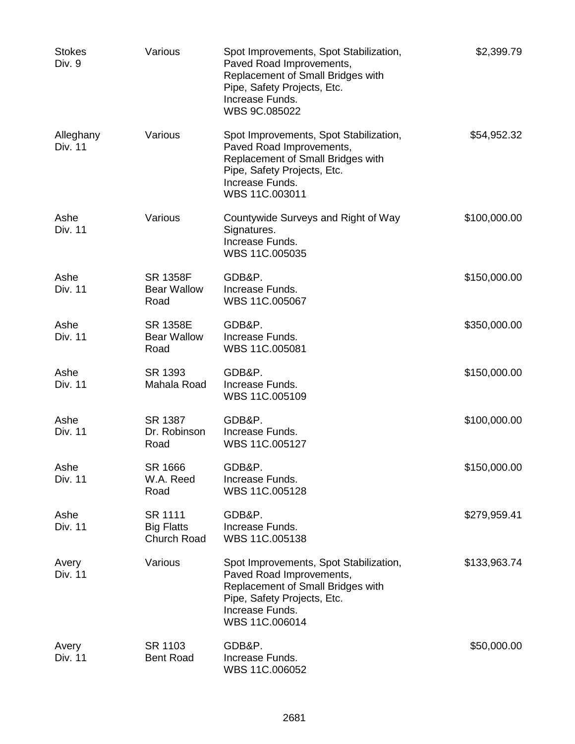| <b>Stokes</b><br>Div. 9 | Various                                       | Spot Improvements, Spot Stabilization,<br>Paved Road Improvements,<br>Replacement of Small Bridges with<br>Pipe, Safety Projects, Etc.<br>Increase Funds.<br>WBS 9C.085022  | \$2,399.79   |
|-------------------------|-----------------------------------------------|-----------------------------------------------------------------------------------------------------------------------------------------------------------------------------|--------------|
| Alleghany<br>Div. 11    | Various                                       | Spot Improvements, Spot Stabilization,<br>Paved Road Improvements,<br>Replacement of Small Bridges with<br>Pipe, Safety Projects, Etc.<br>Increase Funds.<br>WBS 11C.003011 | \$54,952.32  |
| Ashe<br><b>Div. 11</b>  | Various                                       | Countywide Surveys and Right of Way<br>Signatures.<br>Increase Funds.<br>WBS 11C.005035                                                                                     | \$100,000.00 |
| Ashe<br><b>Div. 11</b>  | <b>SR 1358F</b><br><b>Bear Wallow</b><br>Road | GDB&P.<br>Increase Funds.<br>WBS 11C.005067                                                                                                                                 | \$150,000.00 |
| Ashe<br>Div. 11         | <b>SR 1358E</b><br><b>Bear Wallow</b><br>Road | GDB&P.<br>Increase Funds.<br>WBS 11C.005081                                                                                                                                 | \$350,000.00 |
| Ashe<br><b>Div. 11</b>  | SR 1393<br>Mahala Road                        | GDB&P.<br>Increase Funds.<br>WBS 11C.005109                                                                                                                                 | \$150,000.00 |
| Ashe<br>Div. 11         | SR 1387<br>Dr. Robinson<br>Road               | GDB&P.<br>Increase Funds.<br>WBS 11C.005127                                                                                                                                 | \$100,000.00 |
| Ashe<br><b>Div. 11</b>  | SR 1666<br>W.A. Reed<br>Road                  | GDB&P.<br>Increase Funds.<br>WBS 11C.005128                                                                                                                                 | \$150,000.00 |
| Ashe<br>Div. 11         | SR 1111<br><b>Big Flatts</b><br>Church Road   | GDB&P.<br>Increase Funds.<br>WBS 11C.005138                                                                                                                                 | \$279,959.41 |
| Avery<br>Div. 11        | Various                                       | Spot Improvements, Spot Stabilization,<br>Paved Road Improvements,<br>Replacement of Small Bridges with<br>Pipe, Safety Projects, Etc.<br>Increase Funds.<br>WBS 11C.006014 | \$133,963.74 |
| Avery<br>Div. 11        | SR 1103<br><b>Bent Road</b>                   | GDB&P.<br>Increase Funds.<br>WBS 11C.006052                                                                                                                                 | \$50,000.00  |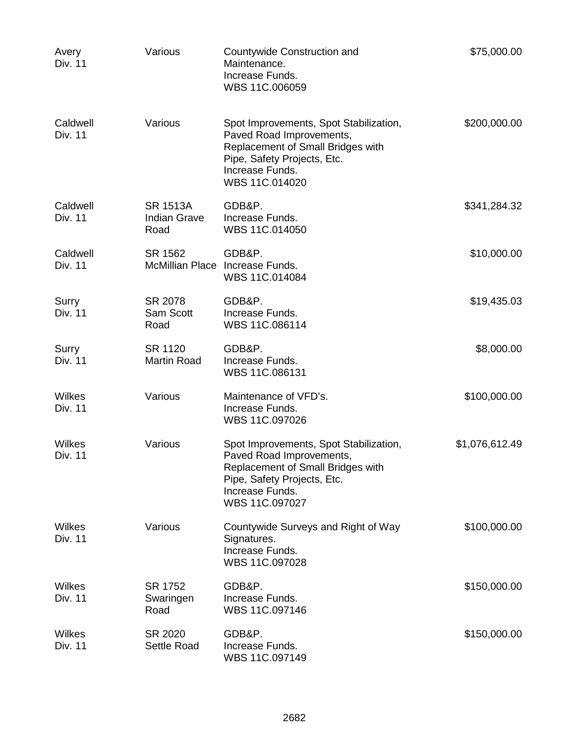| Avery<br><b>Div. 11</b>    | Various                                        | Countywide Construction and<br>Maintenance.<br>Increase Funds.<br>WBS 11C.006059                                                                                            | \$75,000.00    |
|----------------------------|------------------------------------------------|-----------------------------------------------------------------------------------------------------------------------------------------------------------------------------|----------------|
| Caldwell<br>Div. 11        | Various                                        | Spot Improvements, Spot Stabilization,<br>Paved Road Improvements,<br>Replacement of Small Bridges with<br>Pipe, Safety Projects, Etc.<br>Increase Funds.<br>WBS 11C.014020 | \$200,000.00   |
| Caldwell<br><b>Div. 11</b> | <b>SR 1513A</b><br><b>Indian Grave</b><br>Road | GDB&P.<br>Increase Funds.<br>WBS 11C.014050                                                                                                                                 | \$341,284.32   |
| Caldwell<br>Div. 11        | SR 1562                                        | GDB&P.<br>McMillian Place Increase Funds.<br>WBS 11C.014084                                                                                                                 | \$10,000.00    |
| Surry<br>Div. 11           | SR 2078<br>Sam Scott<br>Road                   | GDB&P.<br>Increase Funds.<br>WBS 11C.086114                                                                                                                                 | \$19,435.03    |
| Surry<br><b>Div. 11</b>    | SR 1120<br><b>Martin Road</b>                  | GDB&P.<br>Increase Funds.<br>WBS 11C.086131                                                                                                                                 | \$8,000.00     |
| Wilkes<br><b>Div. 11</b>   | Various                                        | Maintenance of VFD's.<br>Increase Funds.<br>WBS 11C.097026                                                                                                                  | \$100,000.00   |
| Wilkes<br><b>Div. 11</b>   | Various                                        | Spot Improvements, Spot Stabilization,<br>Paved Road Improvements,<br>Replacement of Small Bridges with<br>Pipe, Safety Projects, Etc.<br>Increase Funds.<br>WBS 11C.097027 | \$1,076,612.49 |
| Wilkes<br>Div. 11          | Various                                        | Countywide Surveys and Right of Way<br>Signatures.<br>Increase Funds.<br>WBS 11C.097028                                                                                     | \$100,000.00   |
| Wilkes<br>Div. 11          | SR 1752<br>Swaringen<br>Road                   | GDB&P.<br>Increase Funds.<br>WBS 11C.097146                                                                                                                                 | \$150,000.00   |
| Wilkes<br>Div. 11          | SR 2020<br><b>Settle Road</b>                  | GDB&P.<br>Increase Funds.<br>WBS 11C.097149                                                                                                                                 | \$150,000.00   |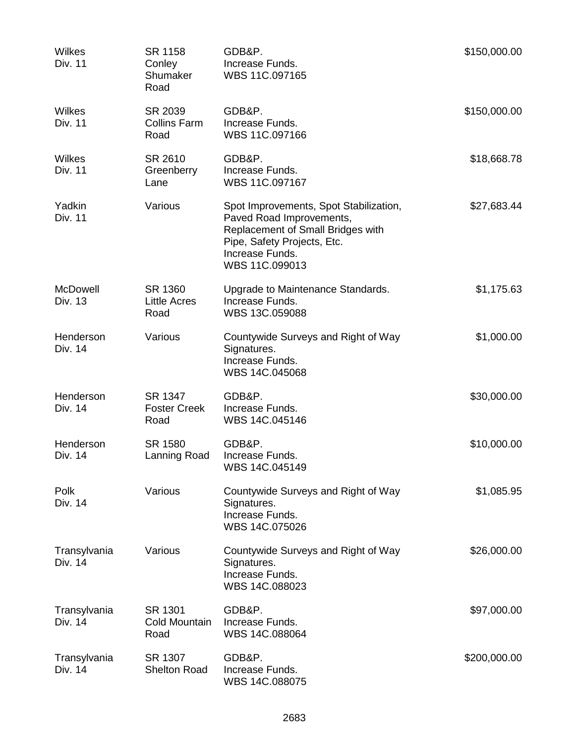| Wilkes<br>Div. 11          | SR 1158<br>Conley<br>Shumaker<br>Road  | GDB&P.<br>Increase Funds.<br>WBS 11C.097165                                                                                                                                 | \$150,000.00 |
|----------------------------|----------------------------------------|-----------------------------------------------------------------------------------------------------------------------------------------------------------------------------|--------------|
| Wilkes<br><b>Div. 11</b>   | SR 2039<br><b>Collins Farm</b><br>Road | GDB&P.<br>Increase Funds.<br>WBS 11C.097166                                                                                                                                 | \$150,000.00 |
| Wilkes<br><b>Div. 11</b>   | SR 2610<br>Greenberry<br>Lane          | GDB&P.<br>Increase Funds.<br>WBS 11C.097167                                                                                                                                 | \$18,668.78  |
| Yadkin<br><b>Div. 11</b>   | Various                                | Spot Improvements, Spot Stabilization,<br>Paved Road Improvements,<br>Replacement of Small Bridges with<br>Pipe, Safety Projects, Etc.<br>Increase Funds.<br>WBS 11C.099013 | \$27,683.44  |
| <b>McDowell</b><br>Div. 13 | SR 1360<br><b>Little Acres</b><br>Road | Upgrade to Maintenance Standards.<br>Increase Funds.<br>WBS 13C.059088                                                                                                      | \$1,175.63   |
| Henderson<br>Div. 14       | Various                                | Countywide Surveys and Right of Way<br>Signatures.<br>Increase Funds.<br>WBS 14C.045068                                                                                     | \$1,000.00   |
| Henderson<br>Div. 14       | SR 1347<br><b>Foster Creek</b><br>Road | GDB&P.<br>Increase Funds.<br>WBS 14C.045146                                                                                                                                 | \$30,000.00  |
| Henderson<br>Div. 14       | SR 1580<br>Lanning Road                | GDB&P.<br>Increase Funds.<br>WBS 14C.045149                                                                                                                                 | \$10,000.00  |
| Polk<br>Div. 14            | Various                                | Countywide Surveys and Right of Way<br>Signatures.<br>Increase Funds.<br>WBS 14C.075026                                                                                     | \$1,085.95   |
| Transylvania<br>Div. 14    | Various                                | Countywide Surveys and Right of Way<br>Signatures.<br>Increase Funds.<br>WBS 14C.088023                                                                                     | \$26,000.00  |
| Transylvania<br>Div. 14    | SR 1301<br>Cold Mountain<br>Road       | GDB&P.<br>Increase Funds.<br>WBS 14C.088064                                                                                                                                 | \$97,000.00  |
| Transylvania<br>Div. 14    | SR 1307<br><b>Shelton Road</b>         | GDB&P.<br>Increase Funds.<br>WBS 14C.088075                                                                                                                                 | \$200,000.00 |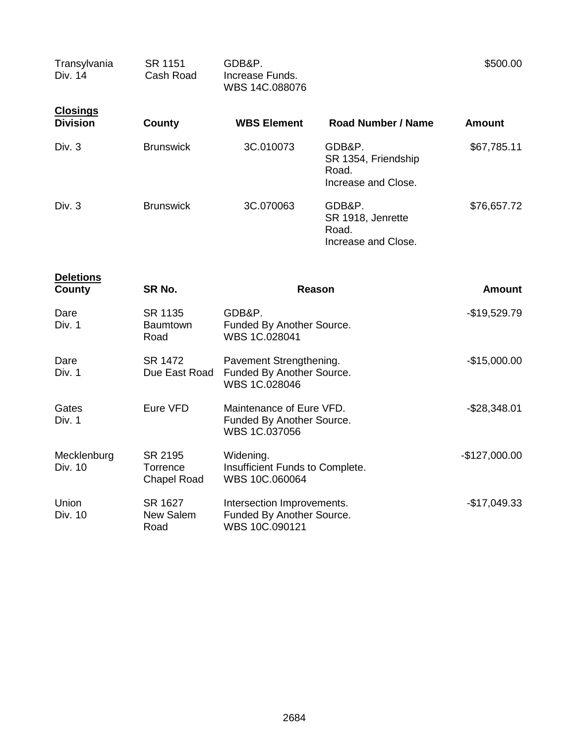| Transylvania<br>Div. 14            | <b>SR 1151</b><br>Cash Road               | GDB&P.<br>Increase Funds.<br>WBS 14C.088076                               |                                                               | \$500.00      |
|------------------------------------|-------------------------------------------|---------------------------------------------------------------------------|---------------------------------------------------------------|---------------|
| <b>Closings</b><br><b>Division</b> | <b>County</b>                             | <b>WBS Element</b>                                                        | Road Number / Name                                            | <b>Amount</b> |
| Div. 3                             | <b>Brunswick</b>                          | 3C.010073                                                                 | GDB&P.<br>SR 1354, Friendship<br>Road.<br>Increase and Close. | \$67,785.11   |
| Div. 3                             | <b>Brunswick</b>                          | 3C.070063                                                                 | GDB&P.<br>SR 1918, Jenrette<br>Road.<br>Increase and Close.   | \$76,657.72   |
| <b>Deletions</b><br><b>County</b>  | SR No.                                    | <b>Reason</b>                                                             |                                                               | <b>Amount</b> |
| Dare<br>Div. 1                     | SR 1135<br>Baumtown<br>Road               | GDB&P.<br>Funded By Another Source.<br>WBS 1C.028041                      |                                                               | $-$19,529.79$ |
| Dare<br>Div. 1                     | SR 1472<br>Due East Road                  | Pavement Strengthening.<br>Funded By Another Source.<br>WBS 1C.028046     | $-$15,000.00$                                                 |               |
| Gates<br>Div. 1                    | Eure VFD                                  | Maintenance of Eure VFD.<br>Funded By Another Source.<br>WBS 1C.037056    | $-$28,348.01$                                                 |               |
| Mecklenburg<br>Div. 10             | SR 2195<br>Torrence<br><b>Chapel Road</b> | Widening.<br>Insufficient Funds to Complete.<br>WBS 10C.060064            | $-$127,000.00$                                                |               |
| Union<br>Div. 10                   | SR 1627<br>New Salem<br>Road              | Intersection Improvements.<br>Funded By Another Source.<br>WBS 10C.090121 |                                                               | $-$17,049.33$ |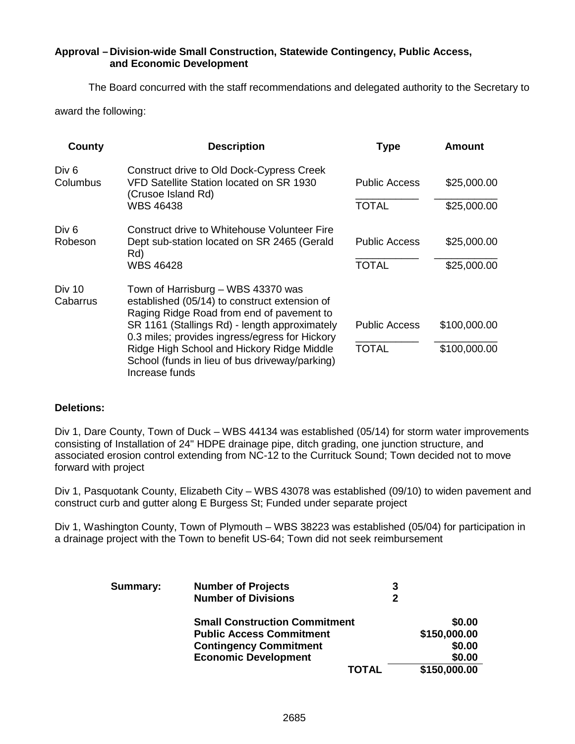#### **Approval – Division-wide Small Construction, Statewide Contingency, Public Access, and Economic Development**

The Board concurred with the staff recommendations and delegated authority to the Secretary to

award the following:

| County                       | <b>Description</b>                                                                                                                                                                | <b>Type</b>          | <b>Amount</b> |
|------------------------------|-----------------------------------------------------------------------------------------------------------------------------------------------------------------------------------|----------------------|---------------|
| Div <sub>6</sub><br>Columbus | <b>Construct drive to Old Dock-Cypress Creek</b><br>VFD Satellite Station located on SR 1930<br>(Crusoe Island Rd)                                                                | <b>Public Access</b> | \$25,000.00   |
|                              | <b>WBS 46438</b>                                                                                                                                                                  | <b>TOTAL</b>         | \$25,000.00   |
| Div 6<br>Robeson             | Construct drive to Whitehouse Volunteer Fire<br>Dept sub-station located on SR 2465 (Gerald<br>Rd)                                                                                | <b>Public Access</b> | \$25,000.00   |
|                              | <b>WBS 46428</b>                                                                                                                                                                  | <b>TOTAL</b>         | \$25,000.00   |
| Div 10<br>Cabarrus           | Town of Harrisburg - WBS 43370 was<br>established (05/14) to construct extension of<br>Raging Ridge Road from end of pavement to<br>SR 1161 (Stallings Rd) - length approximately | <b>Public Access</b> | \$100,000.00  |
|                              | 0.3 miles; provides ingress/egress for Hickory<br>Ridge High School and Hickory Ridge Middle<br>School (funds in lieu of bus driveway/parking)<br>Increase funds                  | <b>TOTAL</b>         | \$100,000.00  |

#### **Deletions:**

Div 1, Dare County, Town of Duck – WBS 44134 was established (05/14) for storm water improvements consisting of Installation of 24" HDPE drainage pipe, ditch grading, one junction structure, and associated erosion control extending from NC-12 to the Currituck Sound; Town decided not to move forward with project

Div 1, Pasquotank County, Elizabeth City – WBS 43078 was established (09/10) to widen pavement and construct curb and gutter along E Burgess St; Funded under separate project

Div 1, Washington County, Town of Plymouth – WBS 38223 was established (05/04) for participation in a drainage project with the Town to benefit US-64; Town did not seek reimbursement

| Summary: | <b>Number of Projects</b>            | 3 |              |
|----------|--------------------------------------|---|--------------|
|          | <b>Number of Divisions</b>           | 2 |              |
|          | <b>Small Construction Commitment</b> |   | \$0.00       |
|          | <b>Public Access Commitment</b>      |   | \$150,000.00 |
|          | <b>Contingency Commitment</b>        |   | \$0.00       |
|          | <b>Economic Development</b>          |   | \$0.00       |
|          | <b>TOTAL</b>                         |   | \$150,000.00 |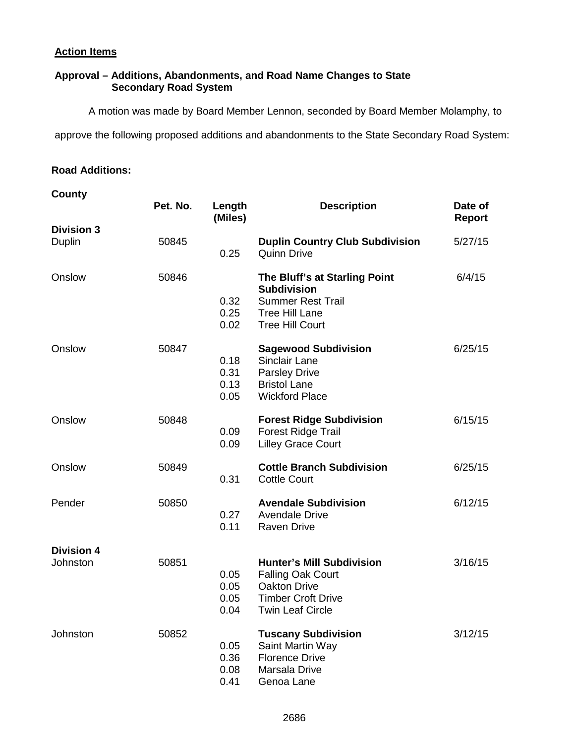### **Action Items**

### **Approval – Additions, Abandonments, and Road Name Changes to State Secondary Road System**

A motion was made by Board Member Lennon, seconded by Board Member Molamphy, to

approve the following proposed additions and abandonments to the State Secondary Road System:

#### **Road Additions:**

### **County**

|                               | Pet. No. | Length<br>(Miles)            | <b>Description</b>                                                                                                                          | Date of<br><b>Report</b> |
|-------------------------------|----------|------------------------------|---------------------------------------------------------------------------------------------------------------------------------------------|--------------------------|
| <b>Division 3</b><br>Duplin   | 50845    | 0.25                         | <b>Duplin Country Club Subdivision</b><br><b>Quinn Drive</b>                                                                                | 5/27/15                  |
| Onslow                        | 50846    | 0.32<br>0.25<br>0.02         | The Bluff's at Starling Point<br><b>Subdivision</b><br><b>Summer Rest Trail</b><br><b>Tree Hill Lane</b><br><b>Tree Hill Court</b>          | 6/4/15                   |
| Onslow                        | 50847    | 0.18<br>0.31<br>0.13<br>0.05 | <b>Sagewood Subdivision</b><br><b>Sinclair Lane</b><br><b>Parsley Drive</b><br><b>Bristol Lane</b><br><b>Wickford Place</b>                 | 6/25/15                  |
| Onslow                        | 50848    | 0.09<br>0.09                 | <b>Forest Ridge Subdivision</b><br><b>Forest Ridge Trail</b><br><b>Lilley Grace Court</b>                                                   | 6/15/15                  |
| Onslow                        | 50849    | 0.31                         | <b>Cottle Branch Subdivision</b><br><b>Cottle Court</b>                                                                                     | 6/25/15                  |
| Pender                        | 50850    | 0.27<br>0.11                 | <b>Avendale Subdivision</b><br><b>Avendale Drive</b><br><b>Raven Drive</b>                                                                  | 6/12/15                  |
| <b>Division 4</b><br>Johnston | 50851    | 0.05<br>0.05<br>0.05<br>0.04 | <b>Hunter's Mill Subdivision</b><br><b>Falling Oak Court</b><br><b>Oakton Drive</b><br><b>Timber Croft Drive</b><br><b>Twin Leaf Circle</b> | 3/16/15                  |
| Johnston                      | 50852    | 0.05<br>0.36<br>0.08<br>0.41 | <b>Tuscany Subdivision</b><br>Saint Martin Way<br><b>Florence Drive</b><br>Marsala Drive<br>Genoa Lane                                      | 3/12/15                  |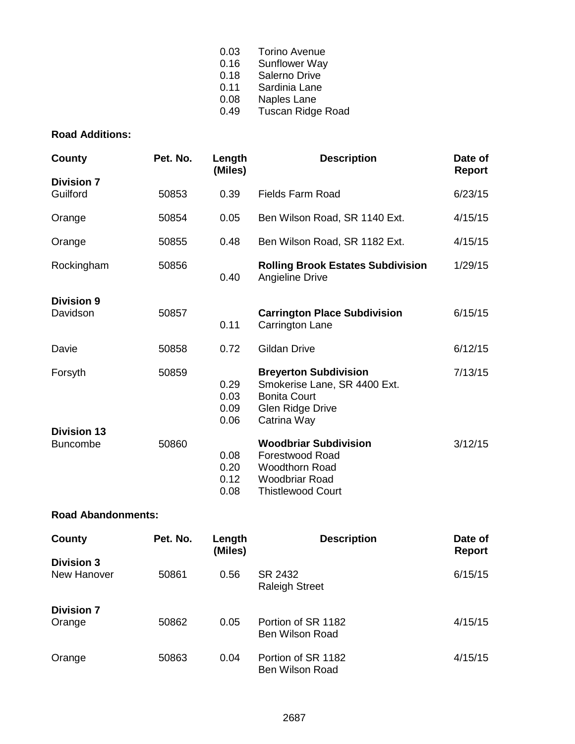| 0.03 | <b>Torino Avenue</b>     |
|------|--------------------------|
| 0.16 | <b>Sunflower Way</b>     |
| 0.18 | Salerno Drive            |
| 0.11 | Sardinia Lane            |
| 0.08 | Naples Lane              |
| 0.49 | <b>Tuscan Ridge Road</b> |
|      |                          |

### **Road Additions:**

| County                                | Pet. No. | Length<br>(Miles)            | <b>Description</b>                                                                                                                   | Date of<br>Report |
|---------------------------------------|----------|------------------------------|--------------------------------------------------------------------------------------------------------------------------------------|-------------------|
| <b>Division 7</b><br>Guilford         | 50853    | 0.39                         | Fields Farm Road                                                                                                                     | 6/23/15           |
| Orange                                | 50854    | 0.05                         | Ben Wilson Road, SR 1140 Ext.                                                                                                        | 4/15/15           |
| Orange                                | 50855    | 0.48                         | Ben Wilson Road, SR 1182 Ext.                                                                                                        | 4/15/15           |
| Rockingham                            | 50856    | 0.40                         | <b>Rolling Brook Estates Subdivision</b><br>Angieline Drive                                                                          | 1/29/15           |
| <b>Division 9</b><br>Davidson         | 50857    | 0.11                         | <b>Carrington Place Subdivision</b><br>Carrington Lane                                                                               | 6/15/15           |
| Davie                                 | 50858    | 0.72                         | <b>Gildan Drive</b>                                                                                                                  | 6/12/15           |
| Forsyth                               | 50859    | 0.29<br>0.03<br>0.09<br>0.06 | <b>Breyerton Subdivision</b><br>Smokerise Lane, SR 4400 Ext.<br><b>Bonita Court</b><br><b>Glen Ridge Drive</b><br>Catrina Way        | 7/13/15           |
| <b>Division 13</b><br><b>Buncombe</b> | 50860    | 0.08<br>0.20<br>0.12<br>0.08 | <b>Woodbriar Subdivision</b><br><b>Forestwood Road</b><br><b>Woodthorn Road</b><br><b>Woodbriar Road</b><br><b>Thistlewood Court</b> | 3/12/15           |

### **Road Abandonments:**

| County                           | Pet. No. | Length<br>(Miles) | <b>Description</b>                           | Date of<br>Report |
|----------------------------------|----------|-------------------|----------------------------------------------|-------------------|
| <b>Division 3</b><br>New Hanover | 50861    | 0.56              | SR 2432<br><b>Raleigh Street</b>             | 6/15/15           |
| <b>Division 7</b><br>Orange      | 50862    | 0.05              | Portion of SR 1182<br><b>Ben Wilson Road</b> | 4/15/15           |
| Orange                           | 50863    | 0.04              | Portion of SR 1182<br>Ben Wilson Road        | 4/15/15           |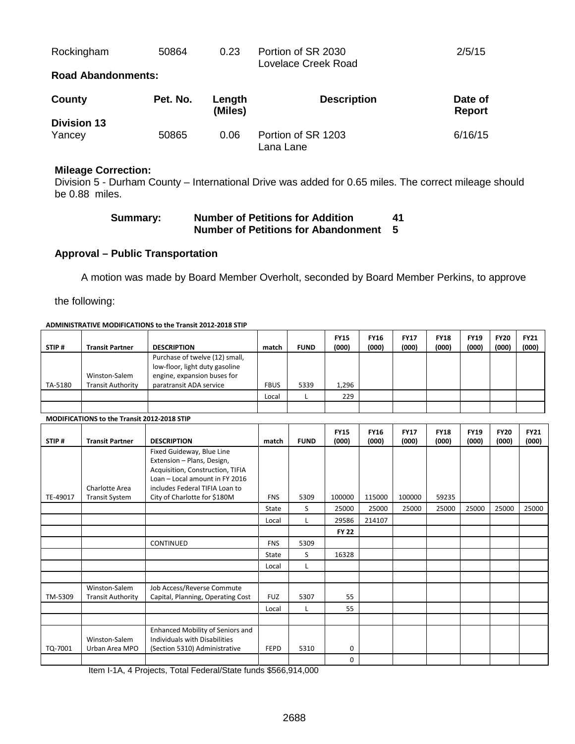| Rockingham               | 50864 | 0.23 | Portion of SR 2030<br>Lovelace Creek Road | 2/5/15 |
|--------------------------|-------|------|-------------------------------------------|--------|
| Board Alexandria and the |       |      |                                           |        |

#### **Road Abandonments:**

| County             | Pet. No. | Length<br>(Miles) | <b>Description</b>              | Date of<br>Report |
|--------------------|----------|-------------------|---------------------------------|-------------------|
| <b>Division 13</b> |          |                   |                                 |                   |
| Yancey             | 50865    | 0.06              | Portion of SR 1203<br>Lana Lane | 6/16/15           |

#### **Mileage Correction:**

Division 5 - Durham County – International Drive was added for 0.65 miles. The correct mileage should be 0.88 miles.

| <b>Summary:</b> | <b>Number of Petitions for Addition</b> | 41 |
|-----------------|-----------------------------------------|----|
|                 | Number of Petitions for Abandonment 5   |    |

#### **Approval – Public Transportation**

A motion was made by Board Member Overholt, seconded by Board Member Perkins, to approve

the following:

#### **ADMINISTRATIVE MODIFICATIONS to the Transit 2012-2018 STIP**

| STIP#   | <b>Transit Partner</b>                                                                       | <b>DESCRIPTION</b>             | match       | <b>FUND</b> | <b>FY15</b><br>(000) | <b>FY16</b><br>(000) | <b>FY17</b><br>(000) | <b>FY18</b><br>(000) | <b>FY19</b><br>(000) | <b>FY20</b><br>(000) | <b>FY21</b><br>(000) |
|---------|----------------------------------------------------------------------------------------------|--------------------------------|-------------|-------------|----------------------|----------------------|----------------------|----------------------|----------------------|----------------------|----------------------|
|         |                                                                                              | Purchase of twelve (12) small, |             |             |                      |                      |                      |                      |                      |                      |                      |
|         |                                                                                              | low-floor, light duty gasoline |             |             |                      |                      |                      |                      |                      |                      |                      |
|         | Winston-Salem                                                                                | engine, expansion buses for    |             |             |                      |                      |                      |                      |                      |                      |                      |
| TA-5180 | <b>Transit Authority</b>                                                                     | paratransit ADA service        | <b>FBUS</b> | 5339        | 1,296                |                      |                      |                      |                      |                      |                      |
|         |                                                                                              |                                |             |             |                      |                      |                      |                      |                      |                      |                      |
|         |                                                                                              |                                | Local       |             | 229                  |                      |                      |                      |                      |                      |                      |
|         |                                                                                              |                                |             |             |                      |                      |                      |                      |                      |                      |                      |
|         | $\ldots \ldots \ldots \ldots \ldots \ldots \ldots \ldots \ldots \ldots \ldots \ldots \ldots$ |                                |             |             |                      |                      |                      |                      |                      |                      |                      |

#### **MODIFICATIONS to the Transit 2012-2018 STIP**

| STIP#    | <b>Transit Partner</b>   | <b>DESCRIPTION</b>                | match        | <b>FUND</b> | <b>FY15</b><br>(000) | <b>FY16</b><br>(000) | <b>FY17</b><br>(000) | <b>FY18</b><br>(000) | <b>FY19</b><br>(000) | <b>FY20</b><br>(000) | <b>FY21</b><br>(000) |
|----------|--------------------------|-----------------------------------|--------------|-------------|----------------------|----------------------|----------------------|----------------------|----------------------|----------------------|----------------------|
|          |                          | Fixed Guideway, Blue Line         |              |             |                      |                      |                      |                      |                      |                      |                      |
|          |                          | Extension - Plans, Design,        |              |             |                      |                      |                      |                      |                      |                      |                      |
|          |                          | Acquisition, Construction, TIFIA  |              |             |                      |                      |                      |                      |                      |                      |                      |
|          |                          | Loan - Local amount in FY 2016    |              |             |                      |                      |                      |                      |                      |                      |                      |
|          | Charlotte Area           | includes Federal TIFIA Loan to    |              |             |                      |                      |                      |                      |                      |                      |                      |
| TE-49017 | <b>Transit System</b>    | City of Charlotte for \$180M      | <b>FNS</b>   | 5309        | 100000               | 115000               | 100000               | 59235                |                      |                      |                      |
|          |                          |                                   | <b>State</b> | S           | 25000                | 25000                | 25000                | 25000                | 25000                | 25000                | 25000                |
|          |                          |                                   | Local        | L           | 29586                | 214107               |                      |                      |                      |                      |                      |
|          |                          |                                   |              |             | <b>FY 22</b>         |                      |                      |                      |                      |                      |                      |
|          |                          | <b>CONTINUED</b>                  | <b>FNS</b>   | 5309        |                      |                      |                      |                      |                      |                      |                      |
|          |                          |                                   | <b>State</b> | S           | 16328                |                      |                      |                      |                      |                      |                      |
|          |                          |                                   | Local        |             |                      |                      |                      |                      |                      |                      |                      |
|          |                          |                                   |              |             |                      |                      |                      |                      |                      |                      |                      |
|          | Winston-Salem            | Job Access/Reverse Commute        |              |             |                      |                      |                      |                      |                      |                      |                      |
| TM-5309  | <b>Transit Authority</b> | Capital, Planning, Operating Cost | <b>FUZ</b>   | 5307        | 55                   |                      |                      |                      |                      |                      |                      |
|          |                          |                                   | Local        |             | 55                   |                      |                      |                      |                      |                      |                      |
|          |                          |                                   |              |             |                      |                      |                      |                      |                      |                      |                      |
|          |                          | Enhanced Mobility of Seniors and  |              |             |                      |                      |                      |                      |                      |                      |                      |
|          | Winston-Salem            | Individuals with Disabilities     |              |             |                      |                      |                      |                      |                      |                      |                      |
| TQ-7001  | Urban Area MPO           | (Section 5310) Administrative     | <b>FEPD</b>  | 5310        | 0                    |                      |                      |                      |                      |                      |                      |
|          |                          |                                   |              |             | 0                    |                      |                      |                      |                      |                      |                      |

Item I-1A, 4 Projects, Total Federal/State funds \$566,914,000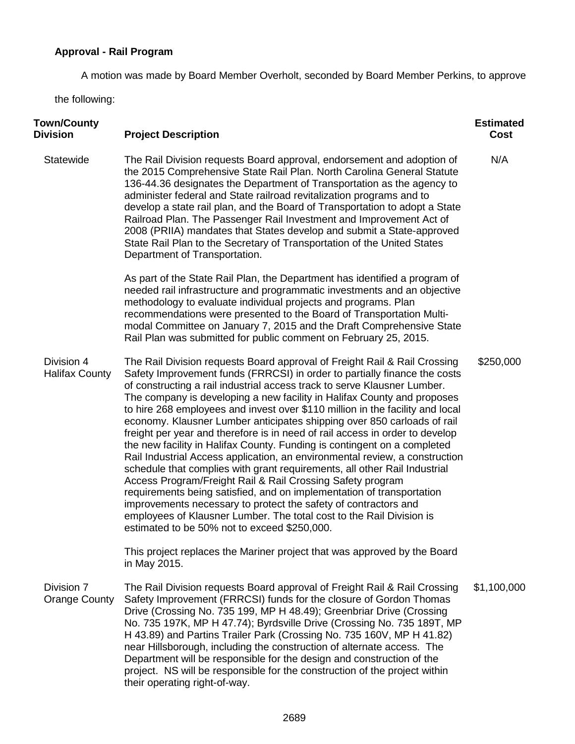### **Approval - Rail Program**

A motion was made by Board Member Overholt, seconded by Board Member Perkins, to approve

the following:

| <b>Town/County</b><br><b>Division</b> | <b>Project Description</b>                                                                                                                                                                                                                                                                                                                                                                                                                                                                                                                                                                                                                                                                                                                                                                                                                                                                                                                                                                                                                                                                                                          | <b>Estimated</b><br><b>Cost</b> |
|---------------------------------------|-------------------------------------------------------------------------------------------------------------------------------------------------------------------------------------------------------------------------------------------------------------------------------------------------------------------------------------------------------------------------------------------------------------------------------------------------------------------------------------------------------------------------------------------------------------------------------------------------------------------------------------------------------------------------------------------------------------------------------------------------------------------------------------------------------------------------------------------------------------------------------------------------------------------------------------------------------------------------------------------------------------------------------------------------------------------------------------------------------------------------------------|---------------------------------|
| Statewide                             | The Rail Division requests Board approval, endorsement and adoption of<br>the 2015 Comprehensive State Rail Plan. North Carolina General Statute<br>136-44.36 designates the Department of Transportation as the agency to<br>administer federal and State railroad revitalization programs and to<br>develop a state rail plan, and the Board of Transportation to adopt a State<br>Railroad Plan. The Passenger Rail Investment and Improvement Act of<br>2008 (PRIIA) mandates that States develop and submit a State-approved<br>State Rail Plan to the Secretary of Transportation of the United States<br>Department of Transportation.                                                                                                                                                                                                                                                                                                                                                                                                                                                                                       | N/A                             |
|                                       | As part of the State Rail Plan, the Department has identified a program of<br>needed rail infrastructure and programmatic investments and an objective<br>methodology to evaluate individual projects and programs. Plan<br>recommendations were presented to the Board of Transportation Multi-<br>modal Committee on January 7, 2015 and the Draft Comprehensive State<br>Rail Plan was submitted for public comment on February 25, 2015.                                                                                                                                                                                                                                                                                                                                                                                                                                                                                                                                                                                                                                                                                        |                                 |
| Division 4<br><b>Halifax County</b>   | The Rail Division requests Board approval of Freight Rail & Rail Crossing<br>Safety Improvement funds (FRRCSI) in order to partially finance the costs<br>of constructing a rail industrial access track to serve Klausner Lumber.<br>The company is developing a new facility in Halifax County and proposes<br>to hire 268 employees and invest over \$110 million in the facility and local<br>economy. Klausner Lumber anticipates shipping over 850 carloads of rail<br>freight per year and therefore is in need of rail access in order to develop<br>the new facility in Halifax County. Funding is contingent on a completed<br>Rail Industrial Access application, an environmental review, a construction<br>schedule that complies with grant requirements, all other Rail Industrial<br>Access Program/Freight Rail & Rail Crossing Safety program<br>requirements being satisfied, and on implementation of transportation<br>improvements necessary to protect the safety of contractors and<br>employees of Klausner Lumber. The total cost to the Rail Division is<br>estimated to be 50% not to exceed \$250,000. | \$250,000                       |
|                                       | This project replaces the Mariner project that was approved by the Board<br>in May 2015.                                                                                                                                                                                                                                                                                                                                                                                                                                                                                                                                                                                                                                                                                                                                                                                                                                                                                                                                                                                                                                            |                                 |
| Division 7<br><b>Orange County</b>    | The Rail Division requests Board approval of Freight Rail & Rail Crossing<br>Safety Improvement (FRRCSI) funds for the closure of Gordon Thomas<br>Drive (Crossing No. 735 199, MP H 48.49); Greenbriar Drive (Crossing<br>No. 735 197K, MP H 47.74); Byrdsville Drive (Crossing No. 735 189T, MP<br>H 43.89) and Partins Trailer Park (Crossing No. 735 160V, MP H 41.82)<br>near Hillsborough, including the construction of alternate access. The<br>Department will be responsible for the design and construction of the<br>project. NS will be responsible for the construction of the project within<br>their operating right-of-way.                                                                                                                                                                                                                                                                                                                                                                                                                                                                                        | \$1,100,000                     |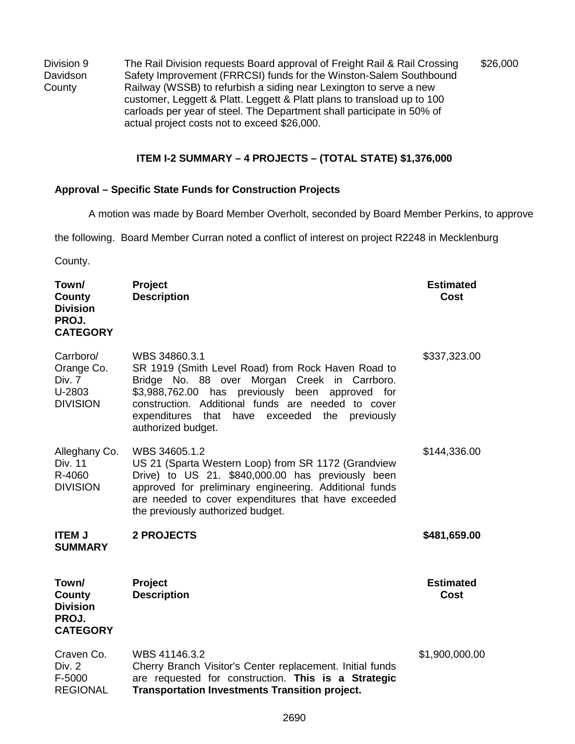Division 9 Davidson County The Rail Division requests Board approval of Freight Rail & Rail Crossing Safety Improvement (FRRCSI) funds for the Winston-Salem Southbound Railway (WSSB) to refurbish a siding near Lexington to serve a new customer, Leggett & Platt. Leggett & Platt plans to transload up to 100 carloads per year of steel. The Department shall participate in 50% of actual project costs not to exceed \$26,000. \$26,000

#### **ITEM I-2 SUMMARY – 4 PROJECTS – (TOTAL STATE) \$1,376,000**

#### **Approval – Specific State Funds for Construction Projects**

A motion was made by Board Member Overholt, seconded by Board Member Perkins, to approve

the following. Board Member Curran noted a conflict of interest on project R2248 in Mecklenburg

County.

| Town/<br>County<br><b>Division</b><br>PROJ.<br><b>CATEGORY</b> | Project<br><b>Description</b>                                                                                                                                                                                                                                                                                                         | <b>Estimated</b><br>Cost |
|----------------------------------------------------------------|---------------------------------------------------------------------------------------------------------------------------------------------------------------------------------------------------------------------------------------------------------------------------------------------------------------------------------------|--------------------------|
| Carrboro/<br>Orange Co.<br>Div. 7<br>U-2803<br><b>DIVISION</b> | WBS 34860.3.1<br>SR 1919 (Smith Level Road) from Rock Haven Road to<br>Bridge No. 88 over Morgan<br>Creek in Carrboro.<br>\$3,988,762.00<br>has<br>previously<br>been<br>approved<br>for<br>construction. Additional funds are needed to cover<br>expenditures<br>that<br>have<br>exceeded<br>the<br>previously<br>authorized budget. | \$337,323.00             |
| Alleghany Co.<br>Div. 11<br>R-4060<br><b>DIVISION</b>          | WBS 34605.1.2<br>US 21 (Sparta Western Loop) from SR 1172 (Grandview<br>Drive) to US 21. \$840,000.00 has previously been<br>approved for preliminary engineering. Additional funds<br>are needed to cover expenditures that have exceeded<br>the previously authorized budget.                                                       | \$144,336.00             |
| <b>ITEM J</b><br><b>SUMMARY</b>                                | <b>2 PROJECTS</b>                                                                                                                                                                                                                                                                                                                     | \$481,659.00             |
| Town/<br>County<br><b>Division</b><br>PROJ.<br><b>CATEGORY</b> | Project<br><b>Description</b>                                                                                                                                                                                                                                                                                                         | <b>Estimated</b><br>Cost |
| Craven Co.<br>Div. 2<br>F-5000<br><b>REGIONAL</b>              | WBS 41146.3.2<br>Cherry Branch Visitor's Center replacement. Initial funds<br>are requested for construction. This is a Strategic<br><b>Transportation Investments Transition project.</b>                                                                                                                                            | \$1,900,000.00           |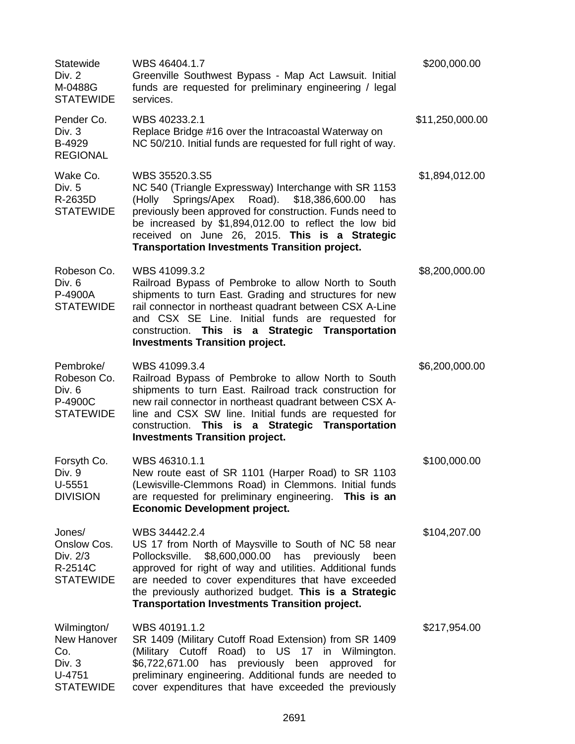| Statewide<br>Div. 2<br>M-0488G<br><b>STATEWIDE</b>                          | WBS 46404.1.7<br>Greenville Southwest Bypass - Map Act Lawsuit. Initial<br>funds are requested for preliminary engineering / legal<br>services.                                                                                                                                                                                                                        | \$200,000.00    |
|-----------------------------------------------------------------------------|------------------------------------------------------------------------------------------------------------------------------------------------------------------------------------------------------------------------------------------------------------------------------------------------------------------------------------------------------------------------|-----------------|
| Pender Co.<br>Div. 3<br>B-4929<br><b>REGIONAL</b>                           | WBS 40233.2.1<br>Replace Bridge #16 over the Intracoastal Waterway on<br>NC 50/210. Initial funds are requested for full right of way.                                                                                                                                                                                                                                 | \$11,250,000.00 |
| Wake Co.<br>Div. 5<br>R-2635D<br><b>STATEWIDE</b>                           | WBS 35520.3.S5<br>NC 540 (Triangle Expressway) Interchange with SR 1153<br>Springs/Apex Road). \$18,386,600.00<br>(Holly<br>has<br>previously been approved for construction. Funds need to<br>be increased by \$1,894,012.00 to reflect the low bid<br>received on June 26, 2015. This is a Strategic<br><b>Transportation Investments Transition project.</b>        | \$1,894,012.00  |
| Robeson Co.<br>Div. 6<br>P-4900A<br><b>STATEWIDE</b>                        | WBS 41099.3.2<br>Railroad Bypass of Pembroke to allow North to South<br>shipments to turn East. Grading and structures for new<br>rail connector in northeast quadrant between CSX A-Line<br>and CSX SE Line. Initial funds are requested for<br>construction. This is a Strategic Transportation<br><b>Investments Transition project.</b>                            | \$8,200,000.00  |
| Pembroke/<br>Robeson Co.<br>Div. 6<br>P-4900C<br><b>STATEWIDE</b>           | WBS 41099.3.4<br>Railroad Bypass of Pembroke to allow North to South<br>shipments to turn East. Railroad track construction for<br>new rail connector in northeast quadrant between CSX A-<br>line and CSX SW line. Initial funds are requested for<br>construction. This is a Strategic Transportation<br><b>Investments Transition project.</b>                      | \$6,200,000.00  |
| Forsyth Co.<br>Div. 9<br>$U-5551$<br><b>DIVISION</b>                        | WBS 46310.1.1<br>New route east of SR 1101 (Harper Road) to SR 1103<br>(Lewisville-Clemmons Road) in Clemmons. Initial funds<br>are requested for preliminary engineering. This is an<br><b>Economic Development project.</b>                                                                                                                                          | \$100,000.00    |
| Jones/<br>Onslow Cos.<br>Div. 2/3<br>R-2514C<br><b>STATEWIDE</b>            | WBS 34442.2.4<br>US 17 from North of Maysville to South of NC 58 near<br>\$8,600,000.00 has previously<br>Pollocksville.<br>been<br>approved for right of way and utilities. Additional funds<br>are needed to cover expenditures that have exceeded<br>the previously authorized budget. This is a Strategic<br><b>Transportation Investments Transition project.</b> | \$104,207.00    |
| Wilmington/<br>New Hanover<br>Co.<br>Div. 3<br>$U-4751$<br><b>STATEWIDE</b> | WBS 40191.1.2<br>SR 1409 (Military Cutoff Road Extension) from SR 1409<br>(Military Cutoff Road) to US<br>17 in Wilmington.<br>\$6,722,671.00<br>has previously been approved for<br>preliminary engineering. Additional funds are needed to<br>cover expenditures that have exceeded the previously                                                                   | \$217,954.00    |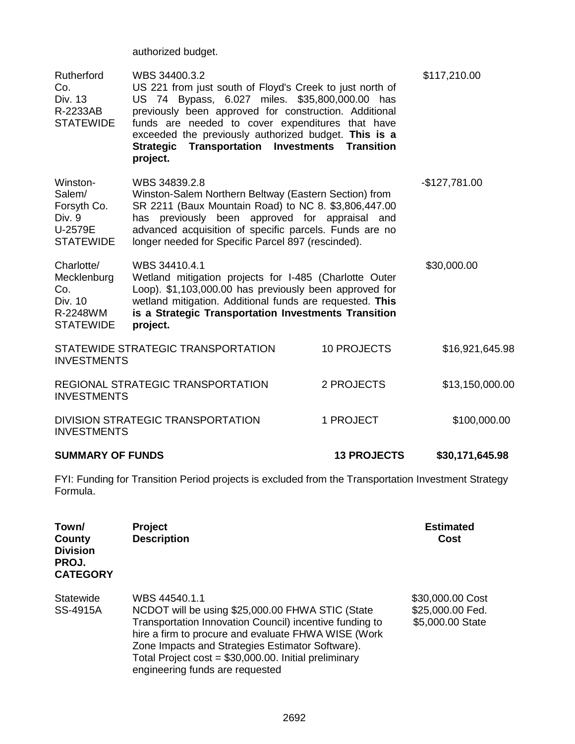authorized budget.

| Rutherford<br>Co.<br>Div. 13<br>R-2233AB<br><b>STATEWIDE</b>                | WBS 34400.3.2<br>US 221 from just south of Floyd's Creek to just north of<br>US 74 Bypass, 6.027 miles. \$35,800,000.00 has<br>previously been approved for construction. Additional<br>funds are needed to cover expenditures that have<br>exceeded the previously authorized budget. This is a<br><b>Strategic Transportation Investments</b><br>project. | <b>Transition</b>  | \$117,210.00    |
|-----------------------------------------------------------------------------|-------------------------------------------------------------------------------------------------------------------------------------------------------------------------------------------------------------------------------------------------------------------------------------------------------------------------------------------------------------|--------------------|-----------------|
| Winston-<br>Salem/<br>Forsyth Co.<br>Div. 9<br>U-2579E<br><b>STATEWIDE</b>  | WBS 34839.2.8<br>Winston-Salem Northern Beltway (Eastern Section) from<br>SR 2211 (Baux Mountain Road) to NC 8. \$3,806,447.00<br>has previously been approved for appraisal and<br>advanced acquisition of specific parcels. Funds are no<br>longer needed for Specific Parcel 897 (rescinded).                                                            |                    | $-$127,781.00$  |
| Charlotte/<br>Mecklenburg<br>Co.<br>Div. 10<br>R-2248WM<br><b>STATEWIDE</b> | WBS 34410.4.1<br>Wetland mitigation projects for I-485 (Charlotte Outer<br>Loop). \$1,103,000.00 has previously been approved for<br>wetland mitigation. Additional funds are requested. This<br>is a Strategic Transportation Investments Transition<br>project.                                                                                           |                    | \$30,000.00     |
| <b>INVESTMENTS</b>                                                          | STATEWIDE STRATEGIC TRANSPORTATION                                                                                                                                                                                                                                                                                                                          | <b>10 PROJECTS</b> | \$16,921,645.98 |
| <b>INVESTMENTS</b>                                                          | REGIONAL STRATEGIC TRANSPORTATION                                                                                                                                                                                                                                                                                                                           | 2 PROJECTS         | \$13,150,000.00 |
| <b>INVESTMENTS</b>                                                          | DIVISION STRATEGIC TRANSPORTATION                                                                                                                                                                                                                                                                                                                           | 1 PROJECT          | \$100,000.00    |

**SUMMARY OF FUNDS 13 PROJECTS \$30,171,645.98**

FYI: Funding for Transition Period projects is excluded from the Transportation Investment Strategy Formula.

| Town/<br>County<br><b>Division</b><br>PROJ.<br><b>CATEGORY</b> | <b>Project</b><br><b>Description</b>                                                                                                                                                                                                                                                                                                | <b>Estimated</b><br>Cost                                 |
|----------------------------------------------------------------|-------------------------------------------------------------------------------------------------------------------------------------------------------------------------------------------------------------------------------------------------------------------------------------------------------------------------------------|----------------------------------------------------------|
| Statewide<br>SS-4915A                                          | WBS 44540.1.1<br>NCDOT will be using \$25,000.00 FHWA STIC (State<br>Transportation Innovation Council) incentive funding to<br>hire a firm to procure and evaluate FHWA WISE (Work<br>Zone Impacts and Strategies Estimator Software).<br>Total Project cost = \$30,000.00. Initial preliminary<br>engineering funds are requested | \$30,000.00 Cost<br>\$25,000.00 Fed.<br>\$5,000.00 State |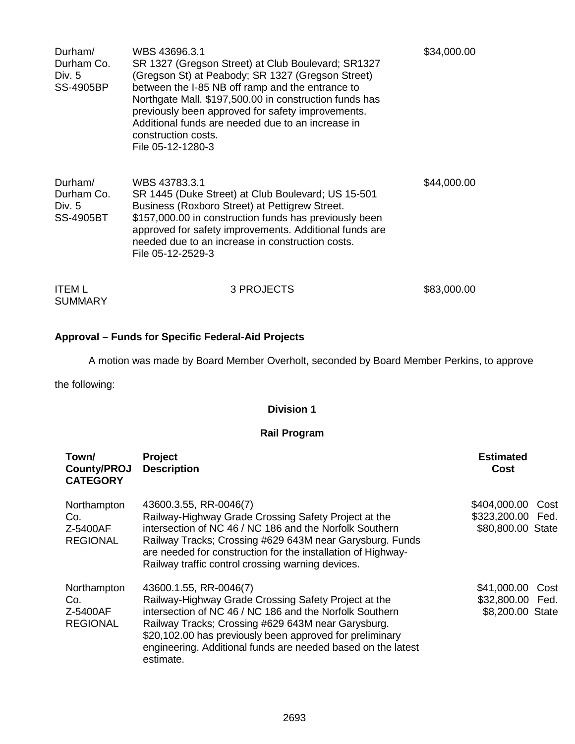| Durham/<br>Durham Co.<br>Div. 5<br><b>SS-4905BP</b> | WBS 43696.3.1<br>SR 1327 (Gregson Street) at Club Boulevard; SR1327<br>(Gregson St) at Peabody; SR 1327 (Gregson Street)<br>between the I-85 NB off ramp and the entrance to<br>Northgate Mall. \$197,500.00 in construction funds has<br>previously been approved for safety improvements.<br>Additional funds are needed due to an increase in<br>construction costs.<br>File 05-12-1280-3 | \$34,000.00 |
|-----------------------------------------------------|----------------------------------------------------------------------------------------------------------------------------------------------------------------------------------------------------------------------------------------------------------------------------------------------------------------------------------------------------------------------------------------------|-------------|
| Durham/<br>Durham Co.<br>Div. 5<br>SS-4905BT        | WBS 43783.3.1<br>SR 1445 (Duke Street) at Club Boulevard; US 15-501<br>Business (Roxboro Street) at Pettigrew Street.<br>\$157,000.00 in construction funds has previously been<br>approved for safety improvements. Additional funds are<br>needed due to an increase in construction costs.<br>File 05-12-2529-3                                                                           | \$44,000.00 |
| <b>ITEM L</b><br><b>SUMMARY</b>                     | 3 PROJECTS                                                                                                                                                                                                                                                                                                                                                                                   | \$83,000.00 |

### **Approval – Funds for Specific Federal-Aid Projects**

A motion was made by Board Member Overholt, seconded by Board Member Perkins, to approve

the following:

### **Division 1**

### **Rail Program**

| Town/<br>County/PROJ<br><b>CATEGORY</b>           | Project<br><b>Description</b>                                                                                                                                                                                                                                                                                                            | <b>Estimated</b><br>Cost                                       |
|---------------------------------------------------|------------------------------------------------------------------------------------------------------------------------------------------------------------------------------------------------------------------------------------------------------------------------------------------------------------------------------------------|----------------------------------------------------------------|
| Northampton<br>Co.<br>Z-5400AF<br><b>REGIONAL</b> | 43600.3.55, RR-0046(7)<br>Railway-Highway Grade Crossing Safety Project at the<br>intersection of NC 46 / NC 186 and the Norfolk Southern<br>Railway Tracks; Crossing #629 643M near Garysburg. Funds<br>are needed for construction for the installation of Highway-<br>Railway traffic control crossing warning devices.               | \$404,000.00<br>Cost<br>\$323,200.00 Fed.<br>\$80,800.00 State |
| Northampton<br>Co.<br>Z-5400AF<br><b>REGIONAL</b> | 43600.1.55, RR-0046(7)<br>Railway-Highway Grade Crossing Safety Project at the<br>intersection of NC 46 / NC 186 and the Norfolk Southern<br>Railway Tracks; Crossing #629 643M near Garysburg.<br>\$20,102.00 has previously been approved for preliminary<br>engineering. Additional funds are needed based on the latest<br>estimate. | \$41,000.00<br>Cost<br>\$32,800.00 Fed.<br>\$8,200.00 State    |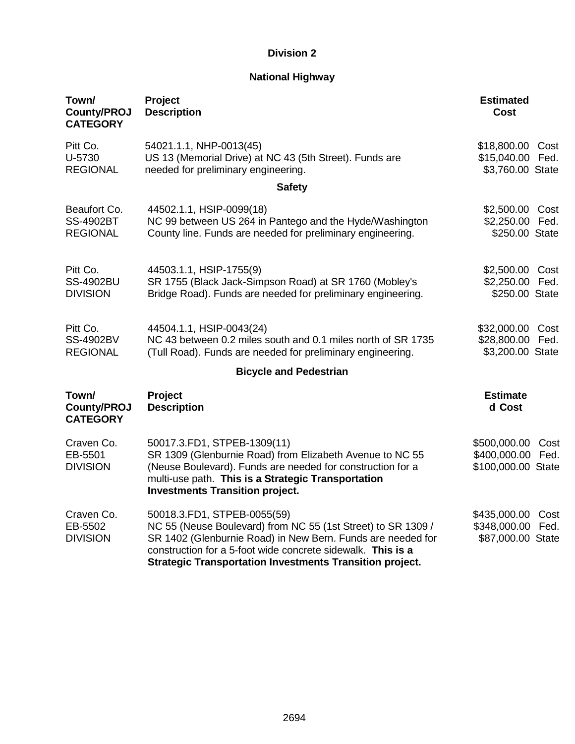### **National Highway**

| Town/<br><b>County/PROJ</b><br><b>CATEGORY</b>      | Project<br><b>Description</b>                                                                                                                                                                                                                                                                | <b>Estimated</b><br>Cost                                          |
|-----------------------------------------------------|----------------------------------------------------------------------------------------------------------------------------------------------------------------------------------------------------------------------------------------------------------------------------------------------|-------------------------------------------------------------------|
| Pitt Co.<br>U-5730<br><b>REGIONAL</b>               | 54021.1.1, NHP-0013(45)<br>US 13 (Memorial Drive) at NC 43 (5th Street). Funds are<br>needed for preliminary engineering.                                                                                                                                                                    | \$18,800.00<br>Cost<br>\$15,040.00 Fed.<br>\$3,760.00 State       |
|                                                     | <b>Safety</b>                                                                                                                                                                                                                                                                                |                                                                   |
| Beaufort Co.<br><b>SS-4902BT</b><br><b>REGIONAL</b> | 44502.1.1, HSIP-0099(18)<br>NC 99 between US 264 in Pantego and the Hyde/Washington<br>County line. Funds are needed for preliminary engineering.                                                                                                                                            | \$2,500.00<br>Cost<br>\$2,250.00 Fed.<br>\$250.00 State           |
| Pitt Co.<br><b>SS-4902BU</b><br><b>DIVISION</b>     | 44503.1.1, HSIP-1755(9)<br>SR 1755 (Black Jack-Simpson Road) at SR 1760 (Mobley's<br>Bridge Road). Funds are needed for preliminary engineering.                                                                                                                                             | \$2,500.00<br>Cost<br>\$2,250.00 Fed.<br>\$250.00 State           |
| Pitt Co.<br><b>SS-4902BV</b><br><b>REGIONAL</b>     | 44504.1.1, HSIP-0043(24)<br>NC 43 between 0.2 miles south and 0.1 miles north of SR 1735<br>(Tull Road). Funds are needed for preliminary engineering.                                                                                                                                       | \$32,000.00<br>Cost<br>\$28,800.00 Fed.<br>\$3,200.00 State       |
|                                                     | <b>Bicycle and Pedestrian</b>                                                                                                                                                                                                                                                                |                                                                   |
| Town/<br><b>County/PROJ</b><br><b>CATEGORY</b>      | Project<br><b>Description</b>                                                                                                                                                                                                                                                                | <b>Estimate</b><br>d Cost                                         |
| Craven Co.<br>EB-5501<br><b>DIVISION</b>            | 50017.3.FD1, STPEB-1309(11)<br>SR 1309 (Glenburnie Road) from Elizabeth Avenue to NC 55<br>(Neuse Boulevard). Funds are needed for construction for a<br>multi-use path. This is a Strategic Transportation<br><b>Investments Transition project.</b>                                        | \$500,000.00<br>Cost<br>\$400,000.00 Fed.<br>\$100,000.00 State   |
| Craven Co.<br>EB-5502<br><b>DIVISION</b>            | 50018.3.FD1, STPEB-0055(59)<br>NC 55 (Neuse Boulevard) from NC 55 (1st Street) to SR 1309 /<br>SR 1402 (Glenburnie Road) in New Bern. Funds are needed for<br>construction for a 5-foot wide concrete sidewalk. This is a<br><b>Strategic Transportation Investments Transition project.</b> | \$435,000.00<br>Cost<br>\$348,000.00<br>Fed.<br>\$87,000.00 State |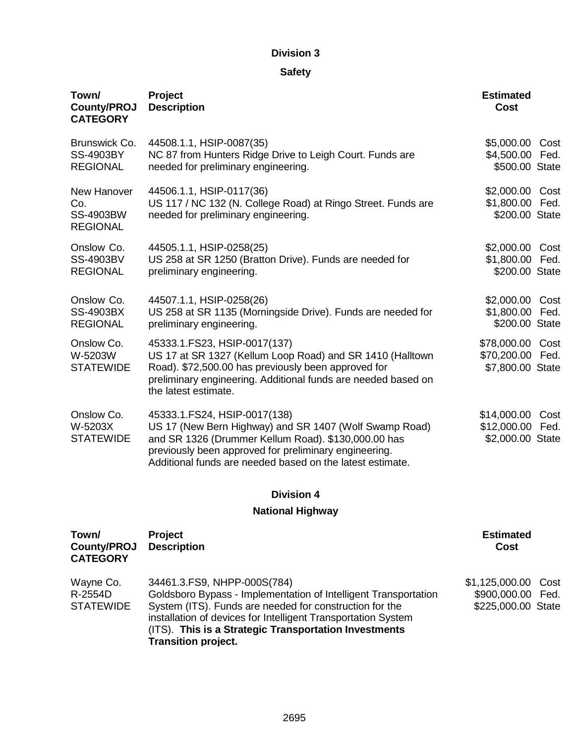### **Safety**

| Town/<br><b>County/PROJ</b><br><b>CATEGORY</b>            | Project<br><b>Description</b>                                                                                                                                                                                                                                       | <b>Estimated</b><br>Cost                             |              |
|-----------------------------------------------------------|---------------------------------------------------------------------------------------------------------------------------------------------------------------------------------------------------------------------------------------------------------------------|------------------------------------------------------|--------------|
| Brunswick Co.<br><b>SS-4903BY</b><br><b>REGIONAL</b>      | 44508.1.1, HSIP-0087(35)<br>NC 87 from Hunters Ridge Drive to Leigh Court. Funds are<br>needed for preliminary engineering.                                                                                                                                         | \$5,000.00 Cost<br>\$4,500.00 Fed.<br>\$500.00 State |              |
| New Hanover<br>Co.<br><b>SS-4903BW</b><br><b>REGIONAL</b> | 44506.1.1, HSIP-0117(36)<br>US 117 / NC 132 (N. College Road) at Ringo Street. Funds are<br>needed for preliminary engineering.                                                                                                                                     | \$2,000.00<br>\$1,800.00 Fed.<br>\$200.00 State      | Cost         |
| Onslow Co.<br><b>SS-4903BV</b><br><b>REGIONAL</b>         | 44505.1.1, HSIP-0258(25)<br>US 258 at SR 1250 (Bratton Drive). Funds are needed for<br>preliminary engineering.                                                                                                                                                     | \$2,000.00 Cost<br>\$1,800.00 Fed.<br>\$200.00 State |              |
| Onslow Co.<br><b>SS-4903BX</b><br><b>REGIONAL</b>         | 44507.1.1, HSIP-0258(26)<br>US 258 at SR 1135 (Morningside Drive). Funds are needed for<br>preliminary engineering.                                                                                                                                                 | \$2,000.00 Cost<br>\$1,800.00 Fed.<br>\$200.00 State |              |
| Onslow Co.<br>W-5203W<br><b>STATEWIDE</b>                 | 45333.1.FS23, HSIP-0017(137)<br>US 17 at SR 1327 (Kellum Loop Road) and SR 1410 (Halltown<br>Road). \$72,500.00 has previously been approved for<br>preliminary engineering. Additional funds are needed based on<br>the latest estimate.                           | \$78,000.00<br>\$70,200.00 Fed.<br>\$7,800.00 State  | Cost         |
| Onslow Co.<br>W-5203X<br><b>STATEWIDE</b>                 | 45333.1.FS24, HSIP-0017(138)<br>US 17 (New Bern Highway) and SR 1407 (Wolf Swamp Road)<br>and SR 1326 (Drummer Kellum Road). \$130,000.00 has<br>previously been approved for preliminary engineering.<br>Additional funds are needed based on the latest estimate. | \$14,000.00<br>\$12,000.00<br>\$2,000.00 State       | Cost<br>Fed. |
|                                                           | <b>Division 4</b>                                                                                                                                                                                                                                                   |                                                      |              |
|                                                           | <b>National Highway</b>                                                                                                                                                                                                                                             |                                                      |              |

| Town/<br>County/PROJ<br><b>CATEGORY</b>  | <b>Project</b><br><b>Description</b>                                                                                                                                                                                                                                                                              | <b>Estimated</b><br>Cost                                       |  |
|------------------------------------------|-------------------------------------------------------------------------------------------------------------------------------------------------------------------------------------------------------------------------------------------------------------------------------------------------------------------|----------------------------------------------------------------|--|
| Wayne Co.<br>R-2554D<br><b>STATEWIDE</b> | 34461.3.FS9, NHPP-000S(784)<br>Goldsboro Bypass - Implementation of Intelligent Transportation<br>System (ITS). Funds are needed for construction for the<br>installation of devices for Intelligent Transportation System<br>(ITS). This is a Strategic Transportation Investments<br><b>Transition project.</b> | \$1,125,000.00 Cost<br>\$900,000.00 Fed.<br>\$225,000.00 State |  |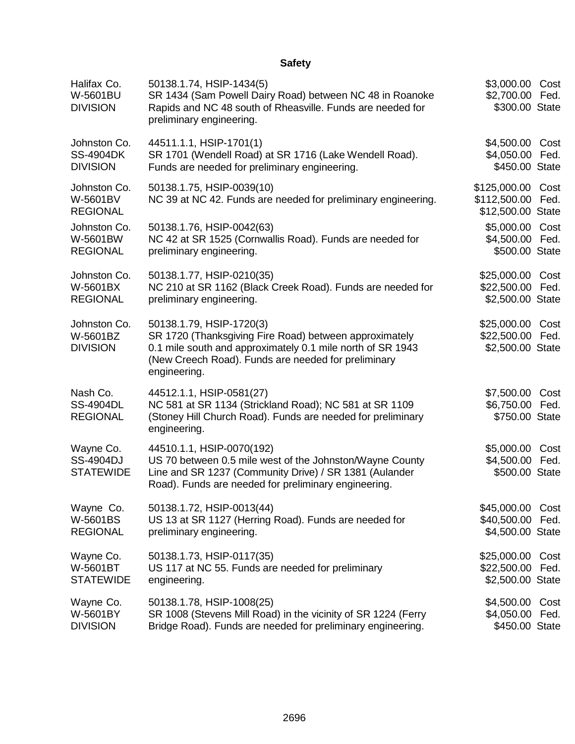### **Safety**

| Halifax Co.<br>W-5601BU<br><b>DIVISION</b>          | 50138.1.74, HSIP-1434(5)<br>SR 1434 (Sam Powell Dairy Road) between NC 48 in Roanoke<br>Rapids and NC 48 south of Rheasville. Funds are needed for<br>preliminary engineering.                                          | \$3,000.00 Cost<br>\$2,700.00 Fed.<br>\$300.00 State     |              |
|-----------------------------------------------------|-------------------------------------------------------------------------------------------------------------------------------------------------------------------------------------------------------------------------|----------------------------------------------------------|--------------|
| Johnston Co.<br><b>SS-4904DK</b><br><b>DIVISION</b> | 44511.1.1, HSIP-1701(1)<br>SR 1701 (Wendell Road) at SR 1716 (Lake Wendell Road).<br>Funds are needed for preliminary engineering.                                                                                      | \$4,500.00 Cost<br>\$4,050.00 Fed.<br>\$450.00 State     |              |
| Johnston Co.<br>W-5601BV<br><b>REGIONAL</b>         | 50138.1.75, HSIP-0039(10)<br>NC 39 at NC 42. Funds are needed for preliminary engineering.                                                                                                                              | \$125,000.00<br>\$112,500.00<br>\$12,500.00 State        | Cost<br>Fed. |
| Johnston Co.<br>W-5601BW<br><b>REGIONAL</b>         | 50138.1.76, HSIP-0042(63)<br>NC 42 at SR 1525 (Cornwallis Road). Funds are needed for<br>preliminary engineering.                                                                                                       | \$5,000.00<br>\$4,500.00<br>\$500.00 State               | Cost<br>Fed. |
| Johnston Co.<br>W-5601BX<br><b>REGIONAL</b>         | 50138.1.77, HSIP-0210(35)<br>NC 210 at SR 1162 (Black Creek Road). Funds are needed for<br>preliminary engineering.                                                                                                     | \$25,000.00 Cost<br>\$22,500.00 Fed.<br>\$2,500.00 State |              |
| Johnston Co.<br>W-5601BZ<br><b>DIVISION</b>         | 50138.1.79, HSIP-1720(3)<br>SR 1720 (Thanksgiving Fire Road) between approximately<br>0.1 mile south and approximately 0.1 mile north of SR 1943<br>(New Creech Road). Funds are needed for preliminary<br>engineering. | \$25,000.00 Cost<br>\$22,500.00 Fed.<br>\$2,500.00 State |              |
| Nash Co.<br><b>SS-4904DL</b><br><b>REGIONAL</b>     | 44512.1.1, HSIP-0581(27)<br>NC 581 at SR 1134 (Strickland Road); NC 581 at SR 1109<br>(Stoney Hill Church Road). Funds are needed for preliminary<br>engineering.                                                       | \$7,500.00 Cost<br>\$6,750.00 Fed.<br>\$750.00 State     |              |
| Wayne Co.<br><b>SS-4904DJ</b><br><b>STATEWIDE</b>   | 44510.1.1, HSIP-0070(192)<br>US 70 between 0.5 mile west of the Johnston/Wayne County<br>Line and SR 1237 (Community Drive) / SR 1381 (Aulander<br>Road). Funds are needed for preliminary engineering.                 | \$5,000.00 Cost<br>\$4,500.00<br>\$500.00 State          | Fed.         |
| Wayne Co.<br>W-5601BS<br><b>REGIONAL</b>            | 50138.1.72, HSIP-0013(44)<br>US 13 at SR 1127 (Herring Road). Funds are needed for<br>preliminary engineering.                                                                                                          | \$45,000.00 Cost<br>\$40,500.00<br>\$4,500.00 State      | Fed.         |
| Wayne Co.<br>W-5601BT<br><b>STATEWIDE</b>           | 50138.1.73, HSIP-0117(35)<br>US 117 at NC 55. Funds are needed for preliminary<br>engineering.                                                                                                                          | \$25,000.00<br>\$22,500.00<br>\$2,500.00 State           | Cost<br>Fed. |
| Wayne Co.<br>W-5601BY<br><b>DIVISION</b>            | 50138.1.78, HSIP-1008(25)<br>SR 1008 (Stevens Mill Road) in the vicinity of SR 1224 (Ferry<br>Bridge Road). Funds are needed for preliminary engineering.                                                               | \$4,500.00<br>\$4,050.00<br>\$450.00 State               | Cost<br>Fed. |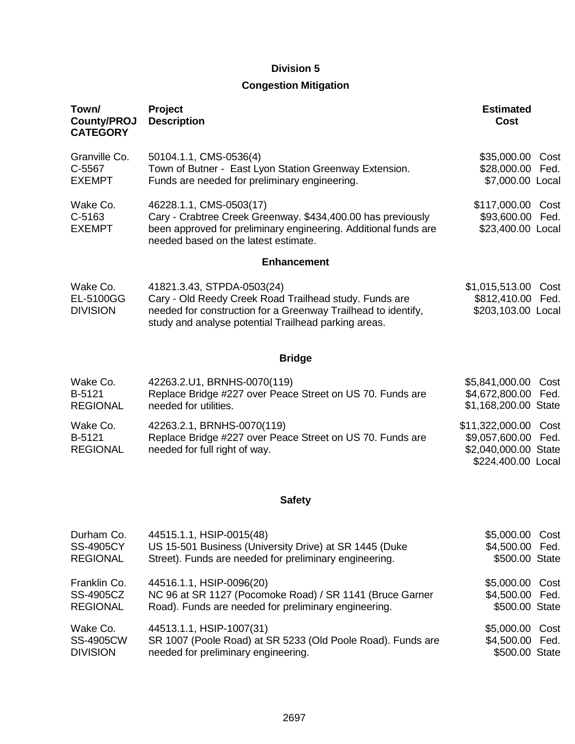### **Congestion Mitigation**

| Town/<br><b>County/PROJ</b><br><b>CATEGORY</b> | Project<br><b>Description</b>                                                                                                                                                                                 | <b>Estimated</b><br>Cost                                                                        |
|------------------------------------------------|---------------------------------------------------------------------------------------------------------------------------------------------------------------------------------------------------------------|-------------------------------------------------------------------------------------------------|
| Granville Co.<br>C-5567<br><b>EXEMPT</b>       | 50104.1.1, CMS-0536(4)<br>Town of Butner - East Lyon Station Greenway Extension.<br>Funds are needed for preliminary engineering.                                                                             | \$35,000.00<br>Cost<br>\$28,000.00<br>Fed.<br>\$7,000.00 Local                                  |
| Wake Co.<br>C-5163<br><b>EXEMPT</b>            | 46228.1.1, CMS-0503(17)<br>Cary - Crabtree Creek Greenway. \$434,400.00 has previously<br>been approved for preliminary engineering. Additional funds are<br>needed based on the latest estimate.             | \$117,000.00<br>Cost<br>\$93,600.00<br>Fed.<br>\$23,400.00 Local                                |
|                                                | <b>Enhancement</b>                                                                                                                                                                                            |                                                                                                 |
| Wake Co.<br>EL-5100GG<br><b>DIVISION</b>       | 41821.3.43, STPDA-0503(24)<br>Cary - Old Reedy Creek Road Trailhead study. Funds are<br>needed for construction for a Greenway Trailhead to identify,<br>study and analyse potential Trailhead parking areas. | \$1,015,513.00<br>Cost<br>\$812,410.00<br>Fed.<br>\$203,103.00 Local                            |
|                                                | <b>Bridge</b>                                                                                                                                                                                                 |                                                                                                 |
| Wake Co.<br>B-5121<br><b>REGIONAL</b>          | 42263.2.U1, BRNHS-0070(119)<br>Replace Bridge #227 over Peace Street on US 70. Funds are<br>needed for utilities.                                                                                             | \$5,841,000.00<br>Cost<br>\$4,672,800.00<br>Fed.<br>\$1,168,200.00 State                        |
| Wake Co.<br>B-5121<br><b>REGIONAL</b>          | 42263.2.1, BRNHS-0070(119)<br>Replace Bridge #227 over Peace Street on US 70. Funds are<br>needed for full right of way.                                                                                      | \$11,322,000.00<br>Cost<br>\$9,057,600.00<br>Fed.<br>\$2,040,000.00 State<br>\$224,400.00 Local |

### **Safety**

| Durham Co.       | 44515.1.1, HSIP-0015(48)                                    | \$5,000.00 Cost |  |
|------------------|-------------------------------------------------------------|-----------------|--|
| <b>SS-4905CY</b> | US 15-501 Business (University Drive) at SR 1445 (Duke      | \$4,500.00 Fed. |  |
| <b>REGIONAL</b>  | Street). Funds are needed for preliminary engineering.      | \$500.00 State  |  |
| Franklin Co.     | 44516.1.1, HSIP-0096(20)                                    | \$5,000.00 Cost |  |
| SS-4905CZ        | NC 96 at SR 1127 (Pocomoke Road) / SR 1141 (Bruce Garner    | \$4,500.00 Fed. |  |
| <b>REGIONAL</b>  | Road). Funds are needed for preliminary engineering.        | \$500.00 State  |  |
| Wake Co.         | 44513.1.1, HSIP-1007(31)                                    | \$5,000.00 Cost |  |
| <b>SS-4905CW</b> | SR 1007 (Poole Road) at SR 5233 (Old Poole Road). Funds are | \$4,500.00 Fed. |  |
| <b>DIVISION</b>  | needed for preliminary engineering.                         | \$500.00 State  |  |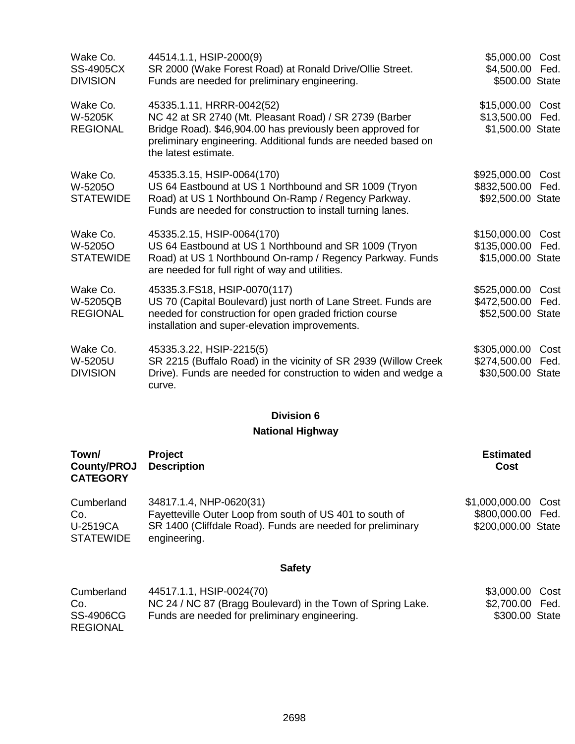| Wake Co.<br><b>SS-4905CX</b><br><b>DIVISION</b> | 44514.1.1, HSIP-2000(9)<br>SR 2000 (Wake Forest Road) at Ronald Drive/Ollie Street.<br>Funds are needed for preliminary engineering.                                                                                                       | \$5,000.00<br>\$4,500.00<br>\$500.00 State        | Cost<br>Fed. |
|-------------------------------------------------|--------------------------------------------------------------------------------------------------------------------------------------------------------------------------------------------------------------------------------------------|---------------------------------------------------|--------------|
| Wake Co.<br>W-5205K<br><b>REGIONAL</b>          | 45335.1.11, HRRR-0042(52)<br>NC 42 at SR 2740 (Mt. Pleasant Road) / SR 2739 (Barber<br>Bridge Road). \$46,904.00 has previously been approved for<br>preliminary engineering. Additional funds are needed based on<br>the latest estimate. | \$15,000.00<br>\$13,500.00<br>\$1,500.00 State    | Cost<br>Fed. |
| Wake Co.<br>W-5205O<br><b>STATEWIDE</b>         | 45335.3.15, HSIP-0064(170)<br>US 64 Eastbound at US 1 Northbound and SR 1009 (Tryon<br>Road) at US 1 Northbound On-Ramp / Regency Parkway.<br>Funds are needed for construction to install turning lanes.                                  | \$925,000.00<br>\$832,500.00<br>\$92,500.00 State | Cost<br>Fed. |
| Wake Co.<br>W-5205O<br><b>STATEWIDE</b>         | 45335.2.15, HSIP-0064(170)<br>US 64 Eastbound at US 1 Northbound and SR 1009 (Tryon<br>Road) at US 1 Northbound On-ramp / Regency Parkway. Funds<br>are needed for full right of way and utilities.                                        | \$150,000.00<br>\$135,000.00<br>\$15,000.00 State | Cost<br>Fed. |
| Wake Co.<br>W-5205QB<br><b>REGIONAL</b>         | 45335.3. FS18, HSIP-0070(117)<br>US 70 (Capital Boulevard) just north of Lane Street. Funds are<br>needed for construction for open graded friction course<br>installation and super-elevation improvements.                               | \$525,000.00<br>\$472,500.00<br>\$52,500.00 State | Cost<br>Fed. |
| Wake Co.<br>W-5205U<br><b>DIVISION</b>          | 45335.3.22, HSIP-2215(5)<br>SR 2215 (Buffalo Road) in the vicinity of SR 2939 (Willow Creek<br>Drive). Funds are needed for construction to widen and wedge a<br>curve.                                                                    | \$305,000.00<br>\$274,500.00<br>\$30,500.00 State | Cost<br>Fed. |

### **National Highway**

| Town/<br>County/PROJ<br><b>CATEGORY</b>           | Project<br><b>Description</b>                                                                                                                                     | <b>Estimated</b><br>Cost                                       |
|---------------------------------------------------|-------------------------------------------------------------------------------------------------------------------------------------------------------------------|----------------------------------------------------------------|
| Cumberland<br>Co.<br>U-2519CA<br><b>STATEWIDE</b> | 34817.1.4, NHP-0620(31)<br>Fayetteville Outer Loop from south of US 401 to south of<br>SR 1400 (Cliffdale Road). Funds are needed for preliminary<br>engineering. | \$1,000,000.00 Cost<br>\$800,000.00 Fed.<br>\$200,000.00 State |
|                                                   | <b>Safety</b>                                                                                                                                                     |                                                                |
| Cumberland<br>Co.                                 | 44517.1.1, HSIP-0024(70)<br>NC 24 / NC 87 (Bragg Boulevard) in the Town of Spring Lake.                                                                           | \$3,000.00<br>Cost<br>\$2,700.00<br>Fed.                       |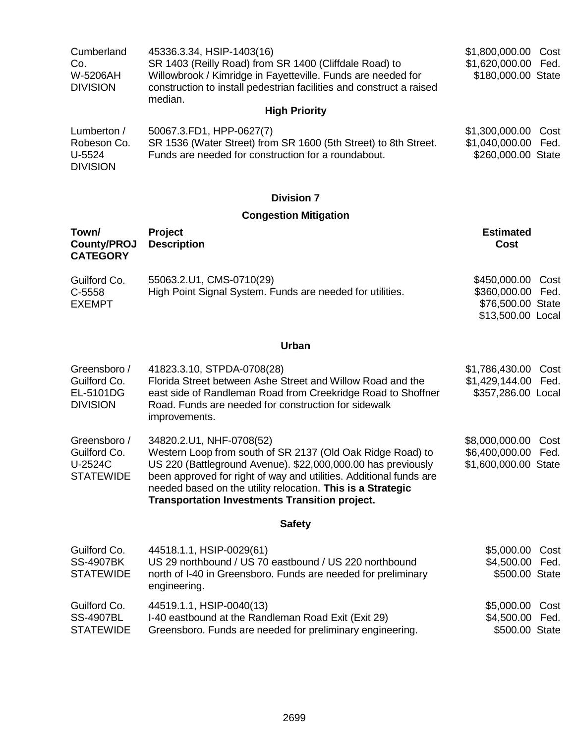| Cumberland      | 45336.3.34, HSIP-1403(16)                                            | \$1,800,000.00 Cost |  |
|-----------------|----------------------------------------------------------------------|---------------------|--|
| Co.             | SR 1403 (Reilly Road) from SR 1400 (Cliffdale Road) to               | \$1,620,000.00 Fed. |  |
| W-5206AH        | Willowbrook / Kimridge in Fayetteville. Funds are needed for         | \$180,000.00 State  |  |
| <b>DIVISION</b> | construction to install pedestrian facilities and construct a raised |                     |  |
|                 | median.                                                              |                     |  |
|                 | <b>High Priority</b>                                                 |                     |  |

| Lumberton /     | 50067.3.FD1, HPP-0627(7)                                        | \$1,300,000.00 Cost |  |
|-----------------|-----------------------------------------------------------------|---------------------|--|
| Robeson Co.     | SR 1536 (Water Street) from SR 1600 (5th Street) to 8th Street. | \$1,040,000.00 Fed. |  |
| U-5524          | Funds are needed for construction for a roundabout.             | \$260,000.00 State  |  |
| <b>DIVISION</b> |                                                                 |                     |  |

### **Congestion Mitigation**

| Town/<br><b>County/PROJ</b><br><b>CATEGORY</b>               | Project<br><b>Description</b>                                                                                                                                                                                                                                                                                                                        | <b>Estimated</b><br>Cost                                                               |  |
|--------------------------------------------------------------|------------------------------------------------------------------------------------------------------------------------------------------------------------------------------------------------------------------------------------------------------------------------------------------------------------------------------------------------------|----------------------------------------------------------------------------------------|--|
| Guilford Co.<br>C-5558<br><b>EXEMPT</b>                      | 55063.2.U1, CMS-0710(29)<br>High Point Signal System. Funds are needed for utilities.                                                                                                                                                                                                                                                                | \$450,000.00<br>Cost<br>\$360,000.00<br>Fed.<br>\$76,500.00 State<br>\$13,500.00 Local |  |
|                                                              | <b>Urban</b>                                                                                                                                                                                                                                                                                                                                         |                                                                                        |  |
| Greensboro /<br>Guilford Co.<br>EL-5101DG<br><b>DIVISION</b> | 41823.3.10, STPDA-0708(28)<br>Florida Street between Ashe Street and Willow Road and the<br>east side of Randleman Road from Creekridge Road to Shoffner<br>Road. Funds are needed for construction for sidewalk<br>improvements.                                                                                                                    | \$1,786,430.00<br>Cost<br>\$1,429,144.00<br>Fed.<br>\$357,286.00 Local                 |  |
| Greensboro /<br>Guilford Co.<br>U-2524C<br><b>STATEWIDE</b>  | 34820.2.U1, NHF-0708(52)<br>Western Loop from south of SR 2137 (Old Oak Ridge Road) to<br>US 220 (Battleground Avenue). \$22,000,000.00 has previously<br>been approved for right of way and utilities. Additional funds are<br>needed based on the utility relocation. This is a Strategic<br><b>Transportation Investments Transition project.</b> | \$8,000,000.00<br>Cost<br>\$6,400,000.00<br>Fed.<br>\$1,600,000.00 State               |  |
|                                                              | <b>Safety</b>                                                                                                                                                                                                                                                                                                                                        |                                                                                        |  |
| Guilford Co.<br><b>SS-4907BK</b><br><b>STATEWIDE</b>         | 44518.1.1, HSIP-0029(61)<br>US 29 northbound / US 70 eastbound / US 220 northbound<br>north of I-40 in Greensboro. Funds are needed for preliminary<br>engineering.                                                                                                                                                                                  | \$5,000.00<br>Cost<br>\$4,500.00<br>Fed.<br>\$500.00 State                             |  |
| Guilford Co.<br><b>SS-4907BL</b><br><b>STATEWIDE</b>         | 44519.1.1, HSIP-0040(13)<br>I-40 eastbound at the Randleman Road Exit (Exit 29)<br>Greensboro. Funds are needed for preliminary engineering.                                                                                                                                                                                                         | \$5,000.00<br>Cost<br>\$4,500.00<br>Fed.<br>\$500.00 State                             |  |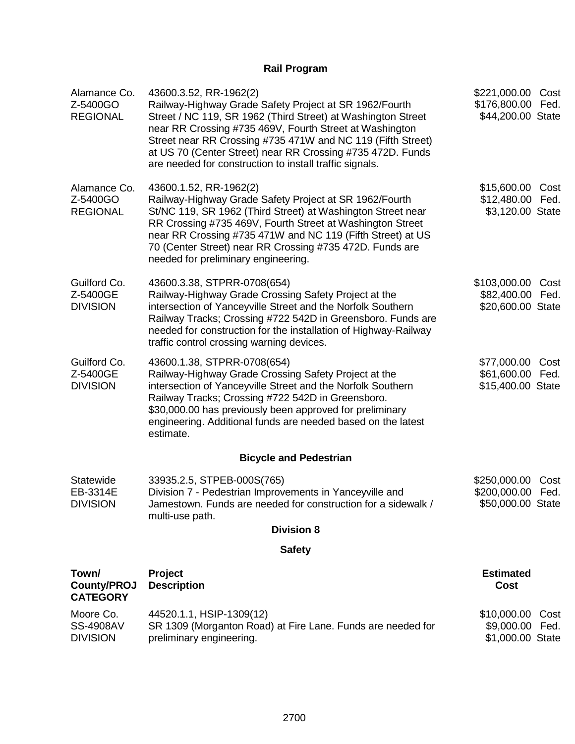### **Rail Program**

| Alamance Co.<br>Z-5400GO<br><b>REGIONAL</b>      | 43600.3.52, RR-1962(2)<br>Railway-Highway Grade Safety Project at SR 1962/Fourth<br>Street / NC 119, SR 1962 (Third Street) at Washington Street<br>near RR Crossing #735 469V, Fourth Street at Washington<br>Street near RR Crossing #735 471W and NC 119 (Fifth Street)<br>at US 70 (Center Street) near RR Crossing #735 472D. Funds<br>are needed for construction to install traffic signals. | \$221,000.00 Cost<br>\$176,800.00 Fed.<br>\$44,200.00 State       |
|--------------------------------------------------|-----------------------------------------------------------------------------------------------------------------------------------------------------------------------------------------------------------------------------------------------------------------------------------------------------------------------------------------------------------------------------------------------------|-------------------------------------------------------------------|
| Alamance Co.<br>Z-5400GO<br><b>REGIONAL</b>      | 43600.1.52, RR-1962(2)<br>Railway-Highway Grade Safety Project at SR 1962/Fourth<br>St/NC 119, SR 1962 (Third Street) at Washington Street near<br>RR Crossing #735 469V, Fourth Street at Washington Street<br>near RR Crossing #735 471W and NC 119 (Fifth Street) at US<br>70 (Center Street) near RR Crossing #735 472D. Funds are<br>needed for preliminary engineering.                       | \$15,600.00 Cost<br>\$12,480.00 Fed.<br>\$3,120.00 State          |
| Guilford Co.<br>Z-5400GE<br><b>DIVISION</b>      | 43600.3.38, STPRR-0708(654)<br>Railway-Highway Grade Crossing Safety Project at the<br>intersection of Yanceyville Street and the Norfolk Southern<br>Railway Tracks; Crossing #722 542D in Greensboro. Funds are<br>needed for construction for the installation of Highway-Railway<br>traffic control crossing warning devices.                                                                   | \$103,000.00 Cost<br>\$82,400.00 Fed.<br>\$20,600.00 State        |
| Guilford Co.<br>Z-5400GE<br><b>DIVISION</b>      | 43600.1.38, STPRR-0708(654)<br>Railway-Highway Grade Crossing Safety Project at the<br>intersection of Yanceyville Street and the Norfolk Southern<br>Railway Tracks; Crossing #722 542D in Greensboro.<br>\$30,000.00 has previously been approved for preliminary<br>engineering. Additional funds are needed based on the latest<br>estimate.                                                    | \$77,000.00 Cost<br>\$61,600.00 Fed.<br>\$15,400.00 State         |
|                                                  | <b>Bicycle and Pedestrian</b>                                                                                                                                                                                                                                                                                                                                                                       |                                                                   |
| Statewide<br>EB-3314E<br><b>DIVISION</b>         | 33935.2.5, STPEB-000S(765)<br>Division 7 - Pedestrian Improvements in Yanceyville and<br>Jamestown. Funds are needed for construction for a sidewalk /<br>multi-use path.                                                                                                                                                                                                                           | \$250,000.00<br>Cost<br>\$200,000.00<br>Fed.<br>\$50,000.00 State |
|                                                  | <b>Division 8</b><br><b>Safety</b>                                                                                                                                                                                                                                                                                                                                                                  |                                                                   |
| Town/                                            |                                                                                                                                                                                                                                                                                                                                                                                                     | <b>Estimated</b>                                                  |
| <b>County/PROJ</b><br><b>CATEGORY</b>            | Project<br><b>Description</b>                                                                                                                                                                                                                                                                                                                                                                       | <b>Cost</b>                                                       |
| Moore Co.<br><b>SS-4908AV</b><br><b>DIVISION</b> | 44520.1.1, HSIP-1309(12)<br>SR 1309 (Morganton Road) at Fire Lane. Funds are needed for<br>preliminary engineering.                                                                                                                                                                                                                                                                                 | \$10,000.00 Cost<br>\$9,000.00 Fed.<br>\$1,000.00 State           |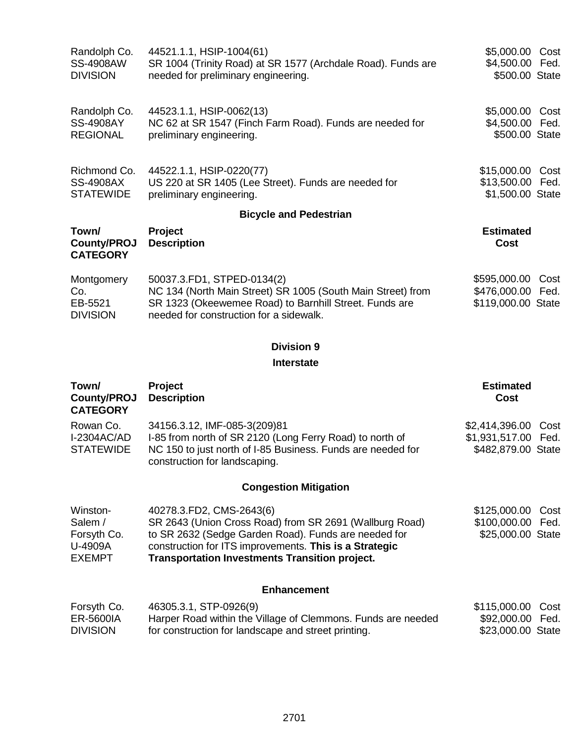| Randolph Co.<br><b>SS-4908AW</b><br><b>DIVISION</b>            | 44521.1.1, HSIP-1004(61)<br>SR 1004 (Trinity Road) at SR 1577 (Archdale Road). Funds are<br>needed for preliminary engineering.                                                                                                                                | \$5,000.00 Cost<br>\$4,500.00 Fed.<br>\$500.00 State                   |
|----------------------------------------------------------------|----------------------------------------------------------------------------------------------------------------------------------------------------------------------------------------------------------------------------------------------------------------|------------------------------------------------------------------------|
| Randolph Co.<br><b>SS-4908AY</b><br><b>REGIONAL</b>            | 44523.1.1, HSIP-0062(13)<br>NC 62 at SR 1547 (Finch Farm Road). Funds are needed for<br>preliminary engineering.                                                                                                                                               | \$5,000.00 Cost<br>\$4,500.00 Fed.<br>\$500.00 State                   |
| Richmond Co.<br><b>SS-4908AX</b><br><b>STATEWIDE</b>           | 44522.1.1, HSIP-0220(77)<br>US 220 at SR 1405 (Lee Street). Funds are needed for<br>preliminary engineering.                                                                                                                                                   | \$15,000.00 Cost<br>\$13,500.00 Fed.<br>\$1,500.00 State               |
|                                                                | <b>Bicycle and Pedestrian</b>                                                                                                                                                                                                                                  |                                                                        |
| Town/<br><b>County/PROJ</b><br><b>CATEGORY</b>                 | Project<br><b>Description</b>                                                                                                                                                                                                                                  | <b>Estimated</b><br><b>Cost</b>                                        |
| Montgomery<br>Co.<br>EB-5521<br><b>DIVISION</b>                | 50037.3.FD1, STPED-0134(2)<br>NC 134 (North Main Street) SR 1005 (South Main Street) from<br>SR 1323 (Okeewemee Road) to Barnhill Street. Funds are<br>needed for construction for a sidewalk.                                                                 | \$595,000.00<br>Cost<br>\$476,000.00<br>Fed.<br>\$119,000.00 State     |
|                                                                | <b>Division 9</b><br><b>Interstate</b>                                                                                                                                                                                                                         |                                                                        |
|                                                                |                                                                                                                                                                                                                                                                |                                                                        |
| Town/<br><b>County/PROJ</b><br><b>CATEGORY</b>                 | Project<br><b>Description</b>                                                                                                                                                                                                                                  | <b>Estimated</b><br><b>Cost</b>                                        |
| Rowan Co.<br><b>I-2304AC/AD</b><br><b>STATEWIDE</b>            | 34156.3.12, IMF-085-3(209)81<br>I-85 from north of SR 2120 (Long Ferry Road) to north of<br>NC 150 to just north of I-85 Business. Funds are needed for<br>construction for landscaping.                                                                       | \$2,414,396.00<br>Cost<br>\$1,931,517.00<br>Fed.<br>\$482,879.00 State |
|                                                                | <b>Congestion Mitigation</b>                                                                                                                                                                                                                                   |                                                                        |
| Winston-<br>Salem /<br>Forsyth Co.<br>U-4909A<br><b>EXEMPT</b> | 40278.3.FD2, CMS-2643(6)<br>SR 2643 (Union Cross Road) from SR 2691 (Wallburg Road)<br>to SR 2632 (Sedge Garden Road). Funds are needed for<br>construction for ITS improvements. This is a Strategic<br><b>Transportation Investments Transition project.</b> | \$125,000.00<br>Cost<br>\$100,000.00<br>Fed.<br>\$25,000.00 State      |
|                                                                | <b>Enhancement</b>                                                                                                                                                                                                                                             |                                                                        |
| Forsyth Co.<br>ER-5600IA<br><b>DIVISION</b>                    | 46305.3.1, STP-0926(9)<br>Harper Road within the Village of Clemmons. Funds are needed<br>for construction for landscape and street printing.                                                                                                                  | \$115,000.00<br>Cost<br>\$92,000.00<br>Fed.<br>\$23,000.00 State       |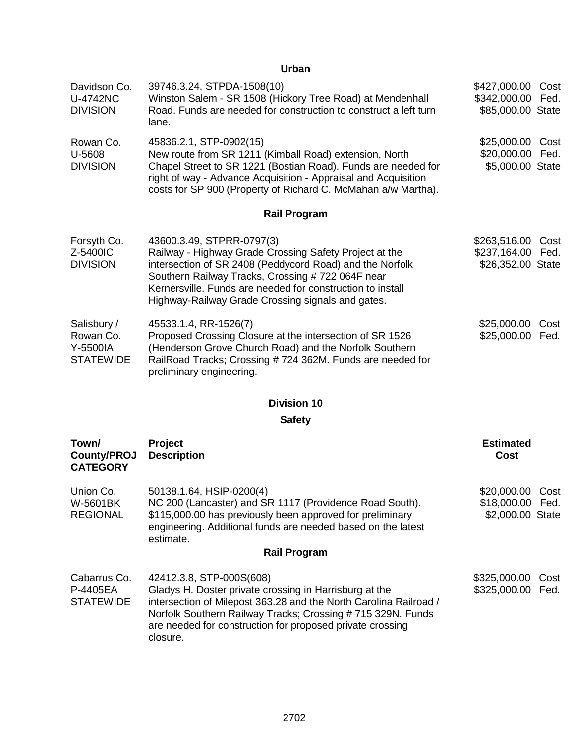### **Urban**

| Davidson Co.<br>U-4742NC<br><b>DIVISION</b>              | 39746.3.24, STPDA-1508(10)<br>Winston Salem - SR 1508 (Hickory Tree Road) at Mendenhall<br>Road. Funds are needed for construction to construct a left turn<br>lane.                                                                                                                                                    | \$427,000.00 Cost<br>\$342,000.00 Fed.<br>\$85,000.00 State    |
|----------------------------------------------------------|-------------------------------------------------------------------------------------------------------------------------------------------------------------------------------------------------------------------------------------------------------------------------------------------------------------------------|----------------------------------------------------------------|
| Rowan Co.<br>U-5608<br><b>DIVISION</b>                   | 45836.2.1, STP-0902(15)<br>New route from SR 1211 (Kimball Road) extension, North<br>Chapel Street to SR 1221 (Bostian Road). Funds are needed for<br>right of way - Advance Acquisition - Appraisal and Acquisition<br>costs for SP 900 (Property of Richard C. McMahan a/w Martha).                                   | \$25,000.00 Cost<br>\$20,000.00<br>Fed.<br>\$5,000.00 State    |
|                                                          | <b>Rail Program</b>                                                                                                                                                                                                                                                                                                     |                                                                |
| Forsyth Co.<br>Z-5400IC<br><b>DIVISION</b>               | 43600.3.49, STPRR-0797(3)<br>Railway - Highway Grade Crossing Safety Project at the<br>intersection of SR 2408 (Peddycord Road) and the Norfolk<br>Southern Railway Tracks, Crossing # 722 064F near<br>Kernersville. Funds are needed for construction to install<br>Highway-Railway Grade Crossing signals and gates. | \$263,516.00<br>Cost<br>\$237,164.00 Fed.<br>\$26,352.00 State |
| Salisbury /<br>Rowan Co.<br>Y-5500IA<br><b>STATEWIDE</b> | 45533.1.4, RR-1526(7)<br>Proposed Crossing Closure at the intersection of SR 1526<br>(Henderson Grove Church Road) and the Norfolk Southern<br>RailRoad Tracks; Crossing #724 362M. Funds are needed for<br>preliminary engineering.                                                                                    | \$25,000.00<br>Cost<br>\$25,000.00<br>Fed.                     |
|                                                          | <b>Division 10</b>                                                                                                                                                                                                                                                                                                      |                                                                |
|                                                          | <b>Safety</b>                                                                                                                                                                                                                                                                                                           |                                                                |
| Town/<br><b>County/PROJ</b><br><b>CATEGORY</b>           | Project<br><b>Description</b>                                                                                                                                                                                                                                                                                           | <b>Estimated</b><br><b>Cost</b>                                |
| Union Co.<br>W-5601BK<br><b>REGIONAL</b>                 | 50138.1.64, HSIP-0200(4)<br>NC 200 (Lancaster) and SR 1117 (Providence Road South).<br>\$115,000.00 has previously been approved for preliminary<br>engineering. Additional funds are needed based on the latest<br>estimate.<br><b>Rail Program</b>                                                                    | \$20,000.00 Cost<br>\$18,000.00 Fed.<br>\$2,000.00 State       |

| Cabarrus Co. | 42412.3.8, STP-000S(608)                                          | \$325,000.00 Cost |  |
|--------------|-------------------------------------------------------------------|-------------------|--|
| P-4405EA     | Gladys H. Doster private crossing in Harrisburg at the            | \$325,000.00 Fed. |  |
| STATEWIDE    | intersection of Milepost 363.28 and the North Carolina Railroad / |                   |  |
|              | Norfolk Southern Railway Tracks; Crossing #715 329N. Funds        |                   |  |
|              | are needed for construction for proposed private crossing         |                   |  |
|              | closure.                                                          |                   |  |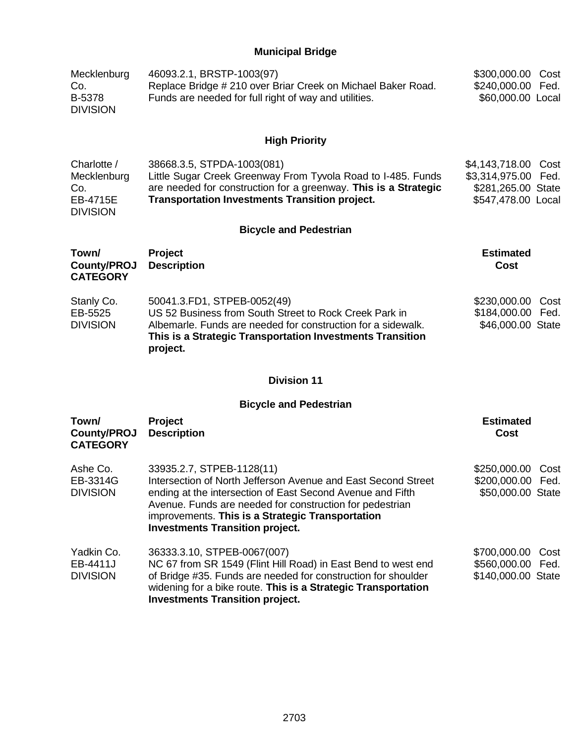### **Municipal Bridge**

| Mecklenburg<br>Co.<br>B-5378<br><b>DIVISION</b>                  | 46093.2.1, BRSTP-1003(97)<br>Replace Bridge # 210 over Briar Creek on Michael Baker Road.<br>Funds are needed for full right of way and utilities.                                                                                                                                                                 | \$300,000.00<br>Cost<br>\$240,000.00<br>Fed.<br>\$60,000.00 Local                            |
|------------------------------------------------------------------|--------------------------------------------------------------------------------------------------------------------------------------------------------------------------------------------------------------------------------------------------------------------------------------------------------------------|----------------------------------------------------------------------------------------------|
|                                                                  | <b>High Priority</b>                                                                                                                                                                                                                                                                                               |                                                                                              |
| Charlotte /<br>Mecklenburg<br>Co.<br>EB-4715E<br><b>DIVISION</b> | 38668.3.5, STPDA-1003(081)<br>Little Sugar Creek Greenway From Tyvola Road to I-485. Funds<br>are needed for construction for a greenway. This is a Strategic<br><b>Transportation Investments Transition project.</b>                                                                                             | \$4,143,718.00<br>Cost<br>\$3,314,975.00<br>Fed.<br>\$281,265.00 State<br>\$547,478.00 Local |
|                                                                  | <b>Bicycle and Pedestrian</b>                                                                                                                                                                                                                                                                                      |                                                                                              |
| Town/<br><b>County/PROJ</b><br><b>CATEGORY</b>                   | Project<br><b>Description</b>                                                                                                                                                                                                                                                                                      | <b>Estimated</b><br>Cost                                                                     |
| Stanly Co.<br>EB-5525<br><b>DIVISION</b>                         | 50041.3.FD1, STPEB-0052(49)<br>US 52 Business from South Street to Rock Creek Park in<br>Albemarle. Funds are needed for construction for a sidewalk.<br>This is a Strategic Transportation Investments Transition<br>project.                                                                                     | \$230,000.00<br>Cost<br>\$184,000.00<br>Fed.<br>\$46,000.00 State                            |
|                                                                  | <b>Division 11</b>                                                                                                                                                                                                                                                                                                 |                                                                                              |
|                                                                  | <b>Bicycle and Pedestrian</b>                                                                                                                                                                                                                                                                                      |                                                                                              |
| Town/<br><b>County/PROJ</b><br><b>CATEGORY</b>                   | Project<br><b>Description</b>                                                                                                                                                                                                                                                                                      | <b>Estimated</b><br><b>Cost</b>                                                              |
| Ashe Co.<br>EB-3314G<br><b>DIVISION</b>                          | 33935.2.7, STPEB-1128(11)<br>Intersection of North Jefferson Avenue and East Second Street<br>ending at the intersection of East Second Avenue and Fifth<br>Avenue. Funds are needed for construction for pedestrian<br>improvements. This is a Strategic Transportation<br><b>Investments Transition project.</b> | \$250,000.00<br>Cost<br>\$200,000.00<br>Fed.<br>\$50,000.00 State                            |
| Yadkin Co.<br>EB-4411J<br><b>DIVISION</b>                        | 36333.3.10, STPEB-0067(007)<br>NC 67 from SR 1549 (Flint Hill Road) in East Bend to west end<br>of Bridge #35. Funds are needed for construction for shoulder<br>widening for a bike route. This is a Strategic Transportation<br><b>Investments Transition project.</b>                                           | \$700,000.00<br>Cost<br>\$560,000.00 Fed.<br>\$140,000.00 State                              |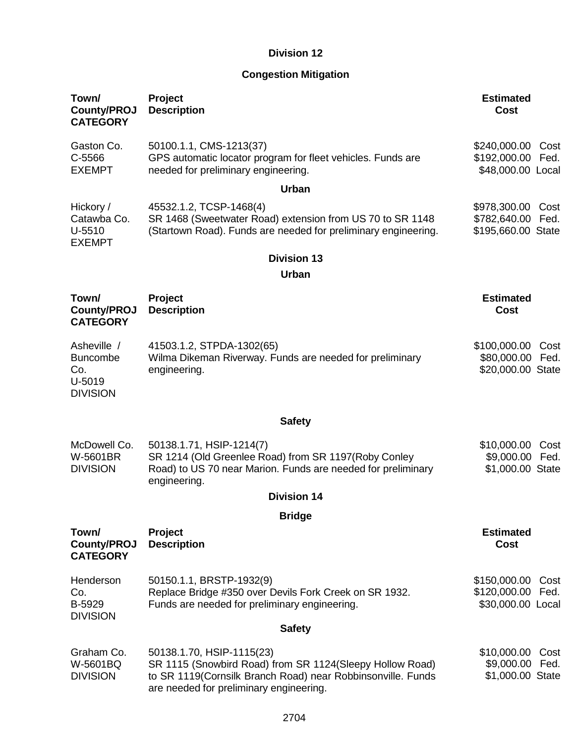### **Congestion Mitigation**

| Town/<br><b>County/PROJ</b><br><b>CATEGORY</b>                     | Project<br><b>Description</b>                                                                                                                                                                    | <b>Estimated</b><br><b>Cost</b>                                    |
|--------------------------------------------------------------------|--------------------------------------------------------------------------------------------------------------------------------------------------------------------------------------------------|--------------------------------------------------------------------|
| Gaston Co.<br>C-5566<br><b>EXEMPT</b>                              | 50100.1.1, CMS-1213(37)<br>GPS automatic locator program for fleet vehicles. Funds are<br>needed for preliminary engineering.                                                                    | \$240,000.00<br>Cost<br>\$192,000.00<br>Fed.<br>\$48,000.00 Local  |
|                                                                    | Urban                                                                                                                                                                                            |                                                                    |
| Hickory /<br>Catawba Co.<br>$U-5510$<br><b>EXEMPT</b>              | 45532.1.2, TCSP-1468(4)<br>SR 1468 (Sweetwater Road) extension from US 70 to SR 1148<br>(Startown Road). Funds are needed for preliminary engineering.                                           | \$978,300.00<br>Cost<br>\$782,640.00<br>Fed.<br>\$195,660.00 State |
|                                                                    | <b>Division 13</b>                                                                                                                                                                               |                                                                    |
|                                                                    | <b>Urban</b>                                                                                                                                                                                     |                                                                    |
| Town/<br><b>County/PROJ</b><br><b>CATEGORY</b>                     | Project<br><b>Description</b>                                                                                                                                                                    | <b>Estimated</b><br><b>Cost</b>                                    |
| Asheville /<br><b>Buncombe</b><br>Co.<br>U-5019<br><b>DIVISION</b> | 41503.1.2, STPDA-1302(65)<br>Wilma Dikeman Riverway. Funds are needed for preliminary<br>engineering.                                                                                            | \$100,000.00<br>Cost<br>\$80,000.00<br>Fed.<br>\$20,000.00 State   |
|                                                                    | <b>Safety</b>                                                                                                                                                                                    |                                                                    |
| McDowell Co.<br>W-5601BR<br><b>DIVISION</b>                        | 50138.1.71, HSIP-1214(7)<br>SR 1214 (Old Greenlee Road) from SR 1197(Roby Conley<br>Road) to US 70 near Marion. Funds are needed for preliminary<br>engineering.                                 | \$10,000.00<br>Cost<br>\$9,000.00<br>Fed.<br>\$1,000.00 State      |
|                                                                    | <b>Division 14</b>                                                                                                                                                                               |                                                                    |
|                                                                    | <b>Bridge</b>                                                                                                                                                                                    |                                                                    |
| Town/<br><b>County/PROJ</b><br><b>CATEGORY</b>                     | <b>Project</b><br><b>Description</b>                                                                                                                                                             | <b>Estimated</b><br><b>Cost</b>                                    |
| Henderson<br>Co.<br>B-5929<br><b>DIVISION</b>                      | 50150.1.1, BRSTP-1932(9)<br>Replace Bridge #350 over Devils Fork Creek on SR 1932.<br>Funds are needed for preliminary engineering.                                                              | \$150,000.00<br>Cost<br>\$120,000.00<br>Fed.<br>\$30,000.00 Local  |
|                                                                    | <b>Safety</b>                                                                                                                                                                                    |                                                                    |
| Graham Co.<br>W-5601BQ<br><b>DIVISION</b>                          | 50138.1.70, HSIP-1115(23)<br>SR 1115 (Snowbird Road) from SR 1124 (Sleepy Hollow Road)<br>to SR 1119(Cornsilk Branch Road) near Robbinsonville. Funds<br>are needed for preliminary engineering. | \$10,000.00<br>Cost<br>\$9,000.00<br>Fed.<br>\$1,000.00 State      |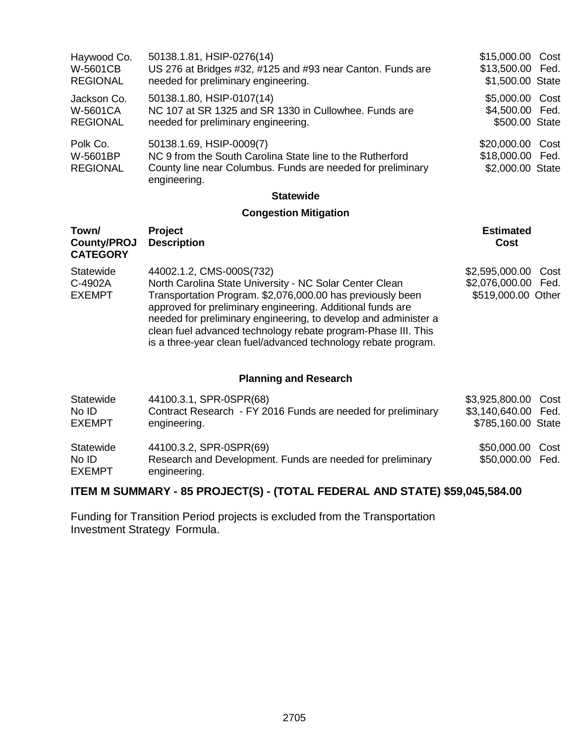| Haywood Co.<br>W-5601CB                           | 50138.1.81, HSIP-0276(14)<br>US 276 at Bridges #32, #125 and #93 near Canton. Funds are                                                                              | \$15,000.00 Cost<br>\$13,500.00 Fed.                     |  |
|---------------------------------------------------|----------------------------------------------------------------------------------------------------------------------------------------------------------------------|----------------------------------------------------------|--|
| <b>REGIONAL</b>                                   | needed for preliminary engineering.                                                                                                                                  | \$1,500.00 State                                         |  |
| Jackson Co.<br><b>W-5601CA</b><br><b>REGIONAL</b> | 50138.1.80, HSIP-0107(14)<br>NC 107 at SR 1325 and SR 1330 in Cullowhee. Funds are<br>needed for preliminary engineering.                                            | \$5,000.00 Cost<br>\$4,500.00 Fed.<br>\$500.00 State     |  |
| Polk Co.<br>W-5601BP<br><b>REGIONAL</b>           | 50138.1.69, HSIP-0009(7)<br>NC 9 from the South Carolina State line to the Rutherford<br>County line near Columbus. Funds are needed for preliminary<br>engineering. | \$20,000.00 Cost<br>\$18,000.00 Fed.<br>\$2,000.00 State |  |
|                                                   | <b>Statewide</b>                                                                                                                                                     |                                                          |  |

## **Congestion Mitigation**

| Town/<br><b>County/PROJ</b><br><b>CATEGORY</b> | <b>Project</b><br><b>Description</b>                                                                                                                                                                                                                                                                                                                                                                                  | <b>Estimated</b><br>Cost                                         |
|------------------------------------------------|-----------------------------------------------------------------------------------------------------------------------------------------------------------------------------------------------------------------------------------------------------------------------------------------------------------------------------------------------------------------------------------------------------------------------|------------------------------------------------------------------|
| Statewide<br>C-4902A<br><b>EXEMPT</b>          | 44002.1.2, CMS-000S(732)<br>North Carolina State University - NC Solar Center Clean<br>Transportation Program. \$2,076,000.00 has previously been<br>approved for preliminary engineering. Additional funds are<br>needed for preliminary engineering, to develop and administer a<br>clean fuel advanced technology rebate program-Phase III. This<br>is a three-year clean fuel/advanced technology rebate program. | \$2,595,000.00 Cost<br>\$2,076,000.00 Fed.<br>\$519,000.00 Other |

### **Planning and Research**

| Statewide                           | 44100.3.1, SPR-0SPR(68)                                                                               | \$3,925,800.00 Cost                  |  |
|-------------------------------------|-------------------------------------------------------------------------------------------------------|--------------------------------------|--|
| No ID                               | Contract Research - FY 2016 Funds are needed for preliminary                                          | \$3,140,640.00 Fed.                  |  |
| <b>EXEMPT</b>                       | engineering.                                                                                          | \$785,160.00 State                   |  |
| Statewide<br>No ID<br><b>EXEMPT</b> | 44100.3.2, SPR-0SPR(69)<br>Research and Development. Funds are needed for preliminary<br>engineering. | \$50,000.00 Cost<br>\$50,000.00 Fed. |  |

### **ITEM M SUMMARY - 85 PROJECT(S) - (TOTAL FEDERAL AND STATE) \$59,045,584.00**

Funding for Transition Period projects is excluded from the Transportation Investment Strategy Formula.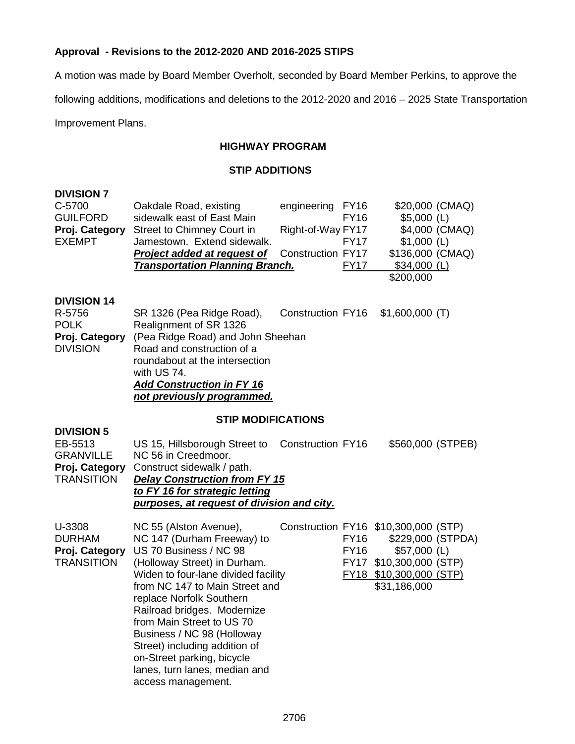### **Approval - Revisions to the 2012-2020 AND 2016-2025 STIPS**

A motion was made by Board Member Overholt, seconded by Board Member Perkins, to approve the

following additions, modifications and deletions to the 2012-2020 and 2016 – 2025 State Transportation

Improvement Plans.

### **HIGHWAY PROGRAM**

#### **STIP ADDITIONS**

| <b>DIVISION 7</b>                                                                       |                                                                                                                                                                                                                                                                                                                                                                                                                                     |                                                            |                                           |                                                                                                                                                  |                                   |
|-----------------------------------------------------------------------------------------|-------------------------------------------------------------------------------------------------------------------------------------------------------------------------------------------------------------------------------------------------------------------------------------------------------------------------------------------------------------------------------------------------------------------------------------|------------------------------------------------------------|-------------------------------------------|--------------------------------------------------------------------------------------------------------------------------------------------------|-----------------------------------|
| C-5700<br><b>GUILFORD</b><br>Proj. Category<br><b>EXEMPT</b>                            | Oakdale Road, existing<br>sidewalk east of East Main<br><b>Street to Chimney Court in</b><br>Jamestown. Extend sidewalk.<br><b>Project added at request of</b><br><b>Transportation Planning Branch.</b>                                                                                                                                                                                                                            | engineering FY16<br>Right-of-Way FY17<br>Construction FY17 | <b>FY16</b><br><b>FY17</b><br><b>FY17</b> | $$5,000$ (L)<br>$$1,000$ (L)<br>\$136,000 (CMAQ)<br>$$34,000$ (L)<br>\$200,000                                                                   | \$20,000 (CMAQ)<br>\$4,000 (CMAQ) |
| <b>DIVISION 14</b><br>R-5756<br><b>POLK</b><br>Proj. Category<br><b>DIVISION</b>        | SR 1326 (Pea Ridge Road),<br>Realignment of SR 1326<br>(Pea Ridge Road) and John Sheehan<br>Road and construction of a<br>roundabout at the intersection<br>with US 74.<br><b>Add Construction in FY 16</b><br>not previously programmed.                                                                                                                                                                                           | Construction FY16                                          |                                           | $$1,600,000$ (T)                                                                                                                                 |                                   |
|                                                                                         | <b>STIP MODIFICATIONS</b>                                                                                                                                                                                                                                                                                                                                                                                                           |                                                            |                                           |                                                                                                                                                  |                                   |
| <b>DIVISION 5</b><br>EB-5513<br><b>GRANVILLE</b><br>Proj. Category<br><b>TRANSITION</b> | US 15, Hillsborough Street to<br>NC 56 in Creedmoor.<br>Construct sidewalk / path.<br><b>Delay Construction from FY 15</b><br>to FY 16 for strategic letting<br>purposes, at request of division and city.                                                                                                                                                                                                                          | <b>Construction FY16</b>                                   |                                           | \$560,000 (STPEB)                                                                                                                                |                                   |
| U-3308<br><b>DURHAM</b><br>Proj. Category<br><b>TRANSITION</b>                          | NC 55 (Alston Avenue),<br>NC 147 (Durham Freeway) to<br>US 70 Business / NC 98<br>(Holloway Street) in Durham.<br>Widen to four-lane divided facility<br>from NC 147 to Main Street and<br>replace Norfolk Southern<br>Railroad bridges. Modernize<br>from Main Street to US 70<br>Business / NC 98 (Holloway<br>Street) including addition of<br>on-Street parking, bicycle<br>lanes, turn lanes, median and<br>access management. |                                                            | <b>FY16</b><br><b>FY16</b>                | Construction FY16 \$10,300,000 (STP)<br>\$229,000 (STPDA)<br>$$57,000$ (L)<br>FY17 \$10,300,000 (STP)<br>FY18 \$10,300,000 (STP)<br>\$31,186,000 |                                   |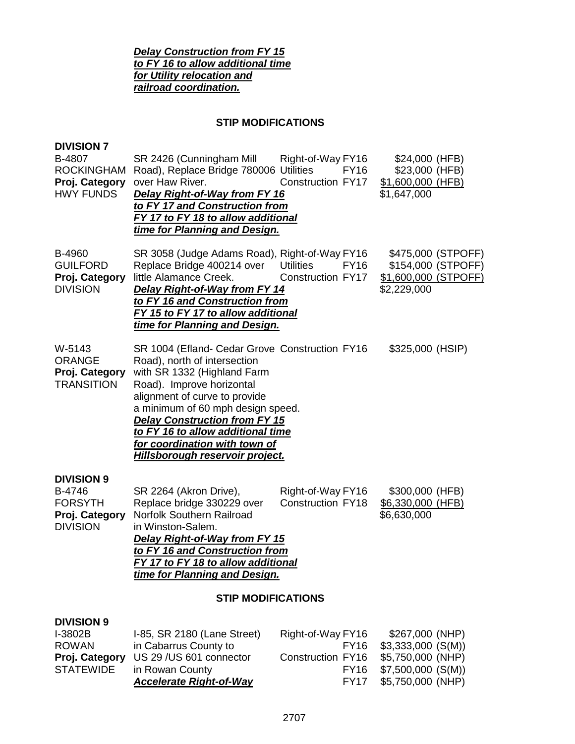*Delay Construction from FY 15 to FY 16 to allow additional time for Utility relocation and railroad coordination.*

#### **STIP MODIFICATIONS**

| <b>DIVISION 7</b><br>B-4807<br><b>ROCKINGHAM</b><br>Proj. Category<br><b>HWY FUNDS</b> | SR 2426 (Cunningham Mill<br>Road), Replace Bridge 780006 Utilities<br>over Haw River.<br><b>Delay Right-of-Way from FY 16</b><br>to FY 17 and Construction from<br>FY 17 to FY 18 to allow additional<br>time for Planning and Design.                                                                                                                                   | Right-of-Way FY16<br><b>FY16</b><br>Construction FY17       | \$24,000 (HFB)<br>\$23,000 (HFB)<br>\$1,600,000 (HFB)<br>\$1,647,000            |
|----------------------------------------------------------------------------------------|--------------------------------------------------------------------------------------------------------------------------------------------------------------------------------------------------------------------------------------------------------------------------------------------------------------------------------------------------------------------------|-------------------------------------------------------------|---------------------------------------------------------------------------------|
| B-4960<br><b>GUILFORD</b><br>Proj. Category<br><b>DIVISION</b>                         | SR 3058 (Judge Adams Road), Right-of-Way FY16<br>Replace Bridge 400214 over<br>little Alamance Creek.<br><b>Delay Right-of-Way from FY 14</b><br>to FY 16 and Construction from<br>FY 15 to FY 17 to allow additional<br>time for Planning and Design.                                                                                                                   | <b>Utilities</b><br><b>FY16</b><br><b>Construction FY17</b> | \$475,000 (STPOFF)<br>\$154,000 (STPOFF)<br>\$1,600,000 (STPOFF)<br>\$2,229,000 |
| W-5143<br><b>ORANGE</b><br>Proj. Category<br><b>TRANSITION</b>                         | SR 1004 (Efland- Cedar Grove Construction FY16<br>Road), north of intersection<br>with SR 1332 (Highland Farm<br>Road). Improve horizontal<br>alignment of curve to provide<br>a minimum of 60 mph design speed.<br><b>Delay Construction from FY 15</b><br>to FY 16 to allow additional time<br>for coordination with town of<br><u>Hillsborough reservoir project.</u> |                                                             | \$325,000 (HSIP)                                                                |
| <b>DIVISION 9</b><br>B-4746<br><b>FORSYTH</b><br>Proj. Category<br><b>DIVISION</b>     | SR 2264 (Akron Drive),<br>Replace bridge 330229 over<br>Norfolk Southern Railroad<br>in Winston-Salem.<br>Delay Right-of-Way from FY 15<br>to FY 16 and Construction from<br>FY 17 to FY 18 to allow additional<br>time for Planning and Design.                                                                                                                         | Right-of-Way FY16<br><b>Construction FY18</b>               | \$300,000 (HFB)<br>\$6,330,000 (HFB)<br>\$6,630,000                             |
|                                                                                        | <b>STIP MODIFICATIONS</b>                                                                                                                                                                                                                                                                                                                                                |                                                             |                                                                                 |
| <b>DIVISION 9</b><br>I-3802B<br><b>ROWAN</b>                                           | I-85, SR 2180 (Lane Street)<br>in Cabarrus County to                                                                                                                                                                                                                                                                                                                     | Right-of-Way FY16<br><b>FY16</b>                            | \$267,000 (NHP)<br>$$3,333,000$ (S(M))                                          |

**Proj. Category** US 29 /US 601 connector Construction FY16 \$5,750,000 (NHP)<br>STATEWIDE in Rowan County FY16 \$7,500,000 (S(M)) in Rowan County<br> **Accelerate Right-of-Way**<br>
FY17 \$5,750,000 (NHP) *Accelerate Right-of-Way* FY17 \$5,750,000 (NHP)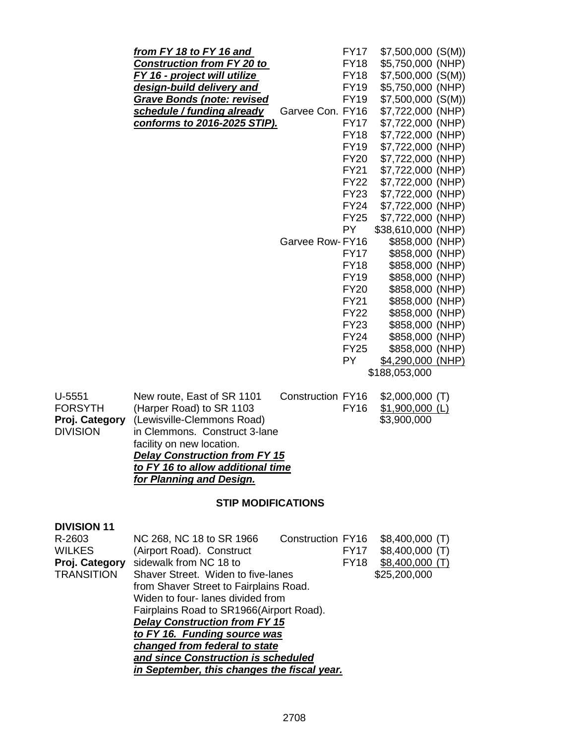|                 | from FY 18 to FY 16 and              |                   | <b>FY17</b> | $$7,500,000$ (S(M)) |  |
|-----------------|--------------------------------------|-------------------|-------------|---------------------|--|
|                 | <b>Construction from FY 20 to</b>    |                   | <b>FY18</b> | \$5,750,000 (NHP)   |  |
|                 | FY 16 - project will utilize         |                   | <b>FY18</b> | \$7,500,000 (S(M))  |  |
|                 | design-build delivery and            |                   | <b>FY19</b> | \$5,750,000 (NHP)   |  |
|                 | <b>Grave Bonds (note: revised</b>    |                   | <b>FY19</b> | \$7,500,000 (S(M))  |  |
|                 | schedule / funding already           | Garvee Con. FY16  |             | \$7,722,000 (NHP)   |  |
|                 | conforms to 2016-2025 STIP).         |                   | <b>FY17</b> | \$7,722,000 (NHP)   |  |
|                 |                                      |                   | <b>FY18</b> | \$7,722,000 (NHP)   |  |
|                 |                                      |                   | <b>FY19</b> | \$7,722,000 (NHP)   |  |
|                 |                                      |                   | <b>FY20</b> | \$7,722,000 (NHP)   |  |
|                 |                                      |                   | <b>FY21</b> | \$7,722,000 (NHP)   |  |
|                 |                                      |                   | <b>FY22</b> | \$7,722,000 (NHP)   |  |
|                 |                                      |                   | <b>FY23</b> | \$7,722,000 (NHP)   |  |
|                 |                                      |                   | <b>FY24</b> | \$7,722,000 (NHP)   |  |
|                 |                                      |                   | <b>FY25</b> | \$7,722,000 (NHP)   |  |
|                 |                                      |                   | <b>PY</b>   | \$38,610,000 (NHP)  |  |
|                 |                                      | Garvee Row-FY16   |             | \$858,000 (NHP)     |  |
|                 |                                      |                   | <b>FY17</b> | \$858,000 (NHP)     |  |
|                 |                                      |                   | <b>FY18</b> | \$858,000 (NHP)     |  |
|                 |                                      |                   | <b>FY19</b> | \$858,000 (NHP)     |  |
|                 |                                      |                   | <b>FY20</b> | \$858,000 (NHP)     |  |
|                 |                                      |                   | <b>FY21</b> | \$858,000 (NHP)     |  |
|                 |                                      |                   | <b>FY22</b> | \$858,000 (NHP)     |  |
|                 |                                      |                   | <b>FY23</b> | \$858,000 (NHP)     |  |
|                 |                                      |                   | <b>FY24</b> | \$858,000 (NHP)     |  |
|                 |                                      |                   | <b>FY25</b> | \$858,000 (NHP)     |  |
|                 |                                      |                   | <b>PY</b>   | \$4,290,000 (NHP)   |  |
|                 |                                      |                   |             | \$188,053,000       |  |
| $U-5551$        | New route, East of SR 1101           | Construction FY16 |             | $$2,000,000$ (T)    |  |
| <b>FORSYTH</b>  | (Harper Road) to SR 1103             |                   | <b>FY16</b> | $$1,900,000$ (L)    |  |
| Proj. Category  | (Lewisville-Clemmons Road)           |                   |             | \$3,900,000         |  |
| <b>DIVISION</b> | in Clemmons. Construct 3-lane        |                   |             |                     |  |
|                 | facility on new location.            |                   |             |                     |  |
|                 | <b>Delay Construction from FY 15</b> |                   |             |                     |  |
|                 |                                      |                   |             |                     |  |

#### **STIP MODIFICATIONS**

*to FY 16 to allow additional time*

*for Planning and Design.*

| <b>DIVISION 11</b>                  |                                             |                   |             |                  |  |  |
|-------------------------------------|---------------------------------------------|-------------------|-------------|------------------|--|--|
| R-2603                              | NC 268, NC 18 to SR 1966                    | Construction FY16 |             | $$8,400,000$ (T) |  |  |
| <b>WILKES</b>                       | (Airport Road). Construct                   |                   | <b>FY17</b> | $$8,400,000$ (T) |  |  |
| Proj. Category                      | sidewalk from NC 18 to                      |                   | <b>FY18</b> | $$8,400,000$ (T) |  |  |
| <b>TRANSITION</b>                   | Shaver Street. Widen to five-lanes          |                   |             | \$25,200,000     |  |  |
|                                     | from Shaver Street to Fairplains Road.      |                   |             |                  |  |  |
|                                     | Widen to four- lanes divided from           |                   |             |                  |  |  |
|                                     | Fairplains Road to SR1966(Airport Road).    |                   |             |                  |  |  |
|                                     | <b>Delay Construction from FY 15</b>        |                   |             |                  |  |  |
|                                     | to FY 16. Funding source was                |                   |             |                  |  |  |
|                                     | changed from federal to state               |                   |             |                  |  |  |
| and since Construction is scheduled |                                             |                   |             |                  |  |  |
|                                     | in September, this changes the fiscal year. |                   |             |                  |  |  |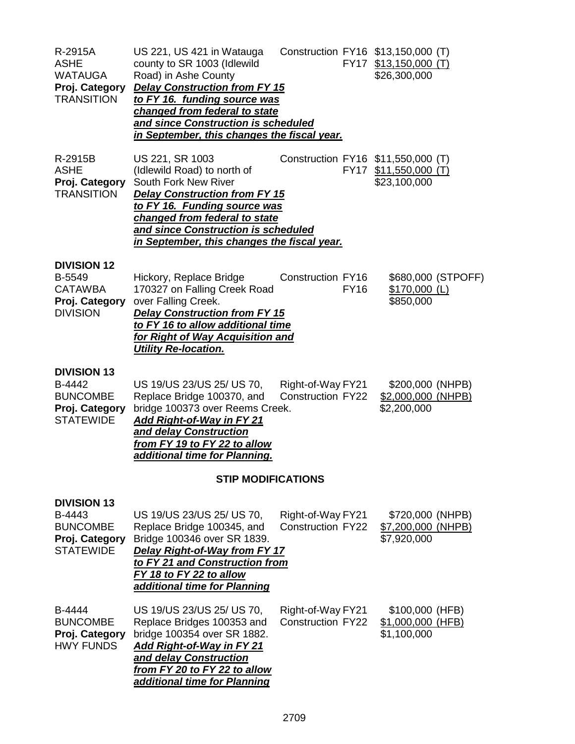| R-2915A<br><b>ASHE</b><br><b>WATAUGA</b><br>Proj. Category<br><b>TRANSITION</b>       | US 221, US 421 in Watauga<br>county to SR 1003 (Idlewild<br>Road) in Ashe County<br><b>Delay Construction from FY 15</b><br>to FY 16. funding source was<br>changed from federal to state<br>and since Construction is scheduled<br>in September, this changes the fiscal year. |                                               |             | Construction FY16 \$13,150,000 (T)<br>FY17 \$13,150,000 (T)<br>\$26,300,000 |
|---------------------------------------------------------------------------------------|---------------------------------------------------------------------------------------------------------------------------------------------------------------------------------------------------------------------------------------------------------------------------------|-----------------------------------------------|-------------|-----------------------------------------------------------------------------|
| R-2915B<br><b>ASHE</b><br>Proj. Category<br><b>TRANSITION</b>                         | US 221, SR 1003<br>(Idlewild Road) to north of<br>South Fork New River<br><b>Delay Construction from FY 15</b><br>to FY 16. Funding source was<br>changed from federal to state<br>and since Construction is scheduled<br>in September, this changes the fiscal year.           |                                               |             | Construction FY16 \$11,550,000 (T)<br>FY17 \$11,550,000 (T)<br>\$23,100,000 |
| <b>DIVISION 12</b><br>B-5549<br><b>CATAWBA</b><br>Proj. Category<br><b>DIVISION</b>   | Hickory, Replace Bridge<br>170327 on Falling Creek Road<br>over Falling Creek.<br><b>Delay Construction from FY 15</b><br>to FY 16 to allow additional time<br>for Right of Way Acquisition and<br><b>Utility Re-location.</b>                                                  | Construction FY16                             | <b>FY16</b> | \$680,000 (STPOFF)<br>$$170,000$ (L)<br>\$850,000                           |
| <b>DIVISION 13</b><br>B-4442<br><b>BUNCOMBE</b><br>Proj. Category<br><b>STATEWIDE</b> | US 19/US 23/US 25/ US 70,<br>Replace Bridge 100370, and<br>bridge 100373 over Reems Creek.<br>Add Right-of-Way in FY 21<br>and delay Construction<br>from FY 19 to FY 22 to allow<br>additional time for Planning.                                                              | Right-of-Way FY21<br><b>Construction FY22</b> |             | \$200,000 (NHPB)<br>\$2,000,000 (NHPB)<br>\$2,200,000                       |
|                                                                                       | <b>STIP MODIFICATIONS</b>                                                                                                                                                                                                                                                       |                                               |             |                                                                             |
| <b>DIVISION 13</b><br>B-4443<br><b>BUNCOMBE</b><br>Proj. Category<br><b>STATEWIDE</b> | US 19/US 23/US 25/ US 70,<br>Replace Bridge 100345, and<br>Bridge 100346 over SR 1839.<br>Delay Right-of-Way from FY 17<br>to FY 21 and Construction from<br>FY 18 to FY 22 to allow<br>additional time for Planning                                                            | Right-of-Way FY21<br><b>Construction FY22</b> |             | \$720,000 (NHPB)<br>\$7,200,000 (NHPB)<br>\$7,920,000                       |
| B-4444<br><b>BUNCOMBE</b><br>Proj. Category<br><b>HWY FUNDS</b>                       | US 19/US 23/US 25/ US 70,<br>Replace Bridges 100353 and<br>bridge 100354 over SR 1882.<br><b>Add Right-of-Way in FY 21</b><br>and delay Construction<br>from FY 20 to FY 22 to allow<br>additional time for Planning                                                            | Right-of-Way FY21<br><b>Construction FY22</b> |             | \$100,000 (HFB)<br>\$1,000,000 (HFB)<br>\$1,100,000                         |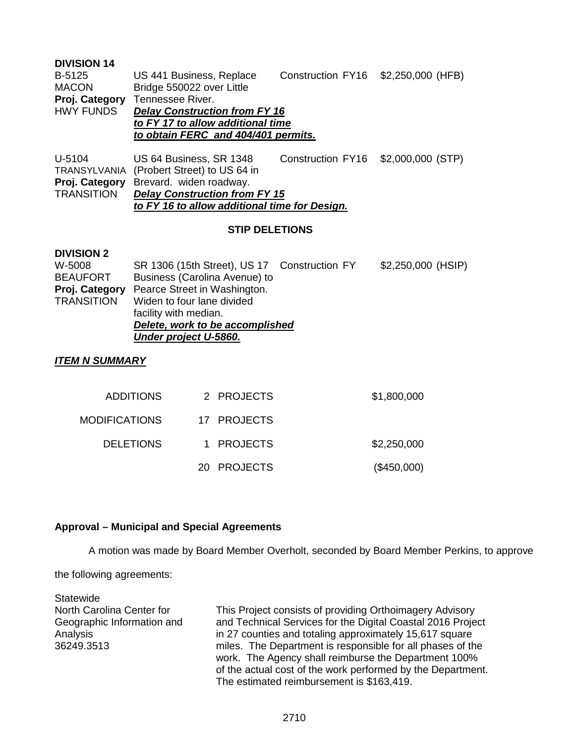#### **DIVISION 14**

| B-5125         | US 441 Business, Replace             | Construction FY16 \$2,250,000 (HFB) |  |  |  |
|----------------|--------------------------------------|-------------------------------------|--|--|--|
| <b>MACON</b>   | Bridge 550022 over Little            |                                     |  |  |  |
| Proj. Category | Tennessee River.                     |                                     |  |  |  |
| HWY FUNDS      | <b>Delay Construction from FY 16</b> |                                     |  |  |  |
|                | to FY 17 to allow additional time    |                                     |  |  |  |
|                | to obtain FERC and 404/401 permits.  |                                     |  |  |  |
|                |                                      |                                     |  |  |  |

U-5104 US 64 Business, SR 1348 Construction FY16 \$2,000,000 (STP) TRANSYLVANIA (Probert Street) to US 64 in **Proj. Category** Brevard. widen roadway. TRANSITION *Delay Construction from FY 15 to FY 16 to allow additional time for Design.*

#### **STIP DELETIONS**

#### **DIVISION 2**

| W-5008            | SR 1306 (15th Street), US 17 Construction FY | \$2,250,000 (HSIP) |
|-------------------|----------------------------------------------|--------------------|
| <b>BEAUFORT</b>   | Business (Carolina Avenue) to                |                    |
| Proj. Category    | Pearce Street in Washington.                 |                    |
| <b>TRANSITION</b> | Widen to four lane divided                   |                    |
|                   | facility with median.                        |                    |
|                   | Delete, work to be accomplished              |                    |
|                   | Under project U-5860.                        |                    |

#### *ITEM N SUMMARY*

| \$1,800,000 | 2 PROJECTS  | <b>ADDITIONS</b> |
|-------------|-------------|------------------|
|             | 17 PROJECTS | MODIFICATIONS    |
| \$2,250,000 | 1 PROJECTS  | <b>DELETIONS</b> |
| (\$450,000) | 20 PROJECTS |                  |

#### **Approval – Municipal and Special Agreements**

A motion was made by Board Member Overholt, seconded by Board Member Perkins, to approve

the following agreements:

**Statewide** North Carolina Center for Geographic Information and Analysis 36249.3513

This Project consists of providing Orthoimagery Advisory and Technical Services for the Digital Coastal 2016 Project in 27 counties and totaling approximately 15,617 square miles. The Department is responsible for all phases of the work. The Agency shall reimburse the Department 100% of the actual cost of the work performed by the Department. The estimated reimbursement is \$163,419.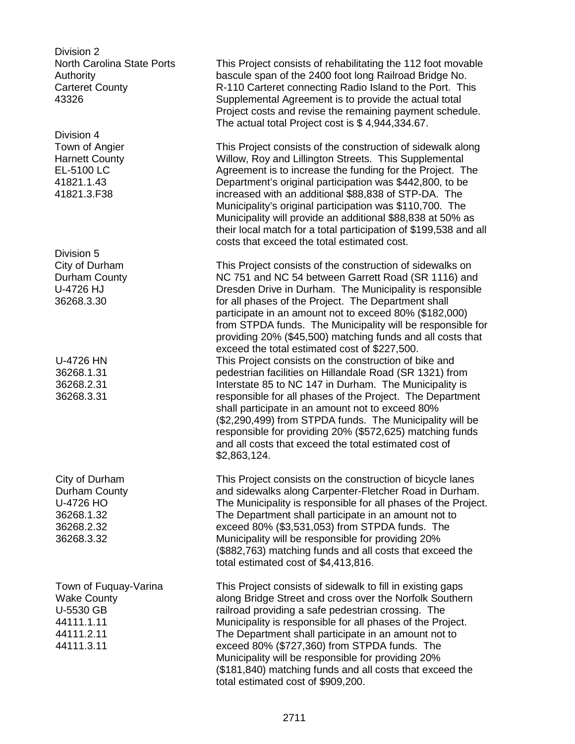Division 2 North Carolina State Ports Authority Carteret County 43326

Division 4 Town of Angier Harnett County EL-5100 LC 41821.1.43 41821.3.F38

Division 5 City of Durham Durham County U-4726 HJ 36268.3.30

U-4726 HN 36268.1.31 36268.2.31 36268.3.31

City of Durham Durham County U-4726 HO 36268.1.32 36268.2.32 36268.3.32

Town of Fuquay-Varina Wake County U-5530 GB 44111.1.11 44111.2.11 44111.3.11

This Project consists of rehabilitating the 112 foot movable bascule span of the 2400 foot long Railroad Bridge No. R-110 Carteret connecting Radio Island to the Port. This Supplemental Agreement is to provide the actual total Project costs and revise the remaining payment schedule. The actual total Project cost is \$ 4,944,334.67.

This Project consists of the construction of sidewalk along Willow, Roy and Lillington Streets. This Supplemental Agreement is to increase the funding for the Project. The Department's original participation was \$442,800, to be increased with an additional \$88,838 of STP-DA. The Municipality's original participation was \$110,700. The Municipality will provide an additional \$88,838 at 50% as their local match for a total participation of \$199,538 and all costs that exceed the total estimated cost.

This Project consists of the construction of sidewalks on NC 751 and NC 54 between Garrett Road (SR 1116) and Dresden Drive in Durham. The Municipality is responsible for all phases of the Project. The Department shall participate in an amount not to exceed 80% (\$182,000) from STPDA funds. The Municipality will be responsible for providing 20% (\$45,500) matching funds and all costs that exceed the total estimated cost of \$227,500. This Project consists on the construction of bike and pedestrian facilities on Hillandale Road (SR 1321) from Interstate 85 to NC 147 in Durham. The Municipality is responsible for all phases of the Project. The Department shall participate in an amount not to exceed 80% (\$2,290,499) from STPDA funds. The Municipality will be responsible for providing 20% (\$572,625) matching funds and all costs that exceed the total estimated cost of \$2,863,124.

This Project consists on the construction of bicycle lanes and sidewalks along Carpenter-Fletcher Road in Durham. The Municipality is responsible for all phases of the Project. The Department shall participate in an amount not to exceed 80% (\$3,531,053) from STPDA funds. The Municipality will be responsible for providing 20% (\$882,763) matching funds and all costs that exceed the total estimated cost of \$4,413,816.

This Project consists of sidewalk to fill in existing gaps along Bridge Street and cross over the Norfolk Southern railroad providing a safe pedestrian crossing. The Municipality is responsible for all phases of the Project. The Department shall participate in an amount not to exceed 80% (\$727,360) from STPDA funds. The Municipality will be responsible for providing 20% (\$181,840) matching funds and all costs that exceed the total estimated cost of \$909,200.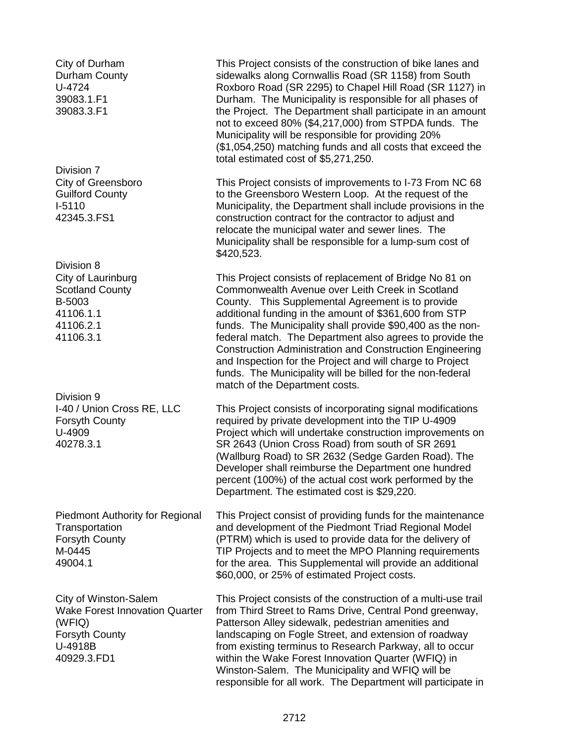City of Durham Durham County U-4724 39083.1.F1 39083.3.F1

Division 7 City of Greensboro Guilford County I-5110 42345.3.FS1

Division 8 City of Laurinburg Scotland County B-5003 41106.1.1 41106.2.1 41106.3.1

Division 9 I-40 / Union Cross RE, LLC Forsyth County U-4909 40278.3.1

Piedmont Authority for Regional **Transportation** Forsyth County M-0445 49004.1

City of Winston-Salem Wake Forest Innovation Quarter (WFIQ) Forsyth County U-4918B 40929.3.FD1

This Project consists of the construction of bike lanes and sidewalks along Cornwallis Road (SR 1158) from South Roxboro Road (SR 2295) to Chapel Hill Road (SR 1127) in Durham. The Municipality is responsible for all phases of the Project. The Department shall participate in an amount not to exceed 80% (\$4,217,000) from STPDA funds. The Municipality will be responsible for providing 20% (\$1,054,250) matching funds and all costs that exceed the total estimated cost of \$5,271,250.

This Project consists of improvements to I-73 From NC 68 to the Greensboro Western Loop. At the request of the Municipality, the Department shall include provisions in the construction contract for the contractor to adjust and relocate the municipal water and sewer lines. The Municipality shall be responsible for a lump-sum cost of \$420,523.

This Project consists of replacement of Bridge No 81 on Commonwealth Avenue over Leith Creek in Scotland County. This Supplemental Agreement is to provide additional funding in the amount of \$361,600 from STP funds. The Municipality shall provide \$90,400 as the nonfederal match. The Department also agrees to provide the Construction Administration and Construction Engineering and Inspection for the Project and will charge to Project funds. The Municipality will be billed for the non-federal match of the Department costs.

This Project consists of incorporating signal modifications required by private development into the TIP U-4909 Project which will undertake construction improvements on SR 2643 (Union Cross Road) from south of SR 2691 (Wallburg Road) to SR 2632 (Sedge Garden Road). The Developer shall reimburse the Department one hundred percent (100%) of the actual cost work performed by the Department. The estimated cost is \$29,220.

This Project consist of providing funds for the maintenance and development of the Piedmont Triad Regional Model (PTRM) which is used to provide data for the delivery of TIP Projects and to meet the MPO Planning requirements for the area. This Supplemental will provide an additional \$60,000, or 25% of estimated Project costs.

This Project consists of the construction of a multi-use trail from Third Street to Rams Drive, Central Pond greenway, Patterson Alley sidewalk, pedestrian amenities and landscaping on Fogle Street, and extension of roadway from existing terminus to Research Parkway, all to occur within the Wake Forest Innovation Quarter (WFIQ) in Winston-Salem. The Municipality and WFIQ will be responsible for all work. The Department will participate in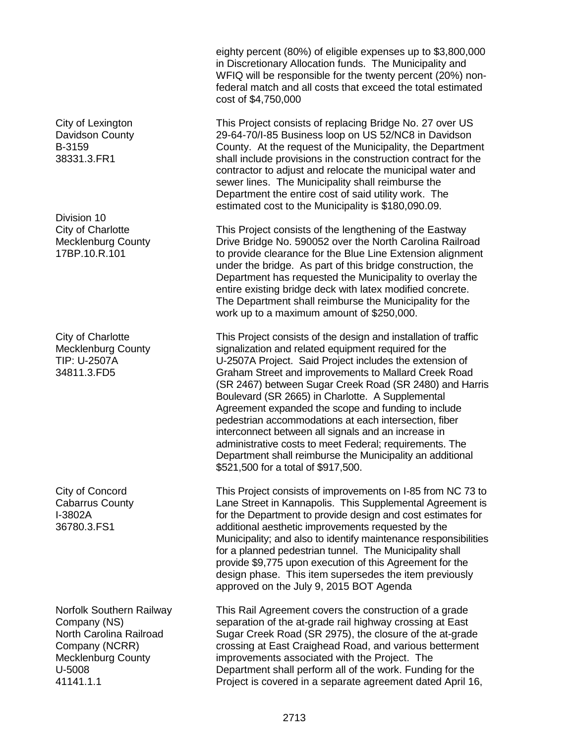City of Lexington Davidson County B-3159 38331.3.FR1

Division 10 City of Charlotte Mecklenburg County 17BP.10.R.101

City of Charlotte Mecklenburg County TIP: U-2507A 34811.3.FD5

City of Concord Cabarrus County I-3802A 36780.3.FS1

Norfolk Southern Railway Company (NS) North Carolina Railroad Company (NCRR) Mecklenburg County U-5008 41141.1.1

eighty percent (80%) of eligible expenses up to \$3,800,000 in Discretionary Allocation funds. The Municipality and WFIQ will be responsible for the twenty percent (20%) nonfederal match and all costs that exceed the total estimated cost of \$4,750,000

This Project consists of replacing Bridge No. 27 over US 29-64-70/I-85 Business loop on US 52/NC8 in Davidson County. At the request of the Municipality, the Department shall include provisions in the construction contract for the contractor to adjust and relocate the municipal water and sewer lines. The Municipality shall reimburse the Department the entire cost of said utility work. The estimated cost to the Municipality is \$180,090.09.

This Project consists of the lengthening of the Eastway Drive Bridge No. 590052 over the North Carolina Railroad to provide clearance for the Blue Line Extension alignment under the bridge. As part of this bridge construction, the Department has requested the Municipality to overlay the entire existing bridge deck with latex modified concrete. The Department shall reimburse the Municipality for the work up to a maximum amount of \$250,000.

This Project consists of the design and installation of traffic signalization and related equipment required for the U-2507A Project. Said Project includes the extension of Graham Street and improvements to Mallard Creek Road (SR 2467) between Sugar Creek Road (SR 2480) and Harris Boulevard (SR 2665) in Charlotte. A Supplemental Agreement expanded the scope and funding to include pedestrian accommodations at each intersection, fiber interconnect between all signals and an increase in administrative costs to meet Federal; requirements. The Department shall reimburse the Municipality an additional \$521,500 for a total of \$917,500.

This Project consists of improvements on I-85 from NC 73 to Lane Street in Kannapolis. This Supplemental Agreement is for the Department to provide design and cost estimates for additional aesthetic improvements requested by the Municipality; and also to identify maintenance responsibilities for a planned pedestrian tunnel. The Municipality shall provide \$9,775 upon execution of this Agreement for the design phase. This item supersedes the item previously approved on the July 9, 2015 BOT Agenda

This Rail Agreement covers the construction of a grade separation of the at-grade rail highway crossing at East Sugar Creek Road (SR 2975), the closure of the at-grade crossing at East Craighead Road, and various betterment improvements associated with the Project. The Department shall perform all of the work. Funding for the Project is covered in a separate agreement dated April 16,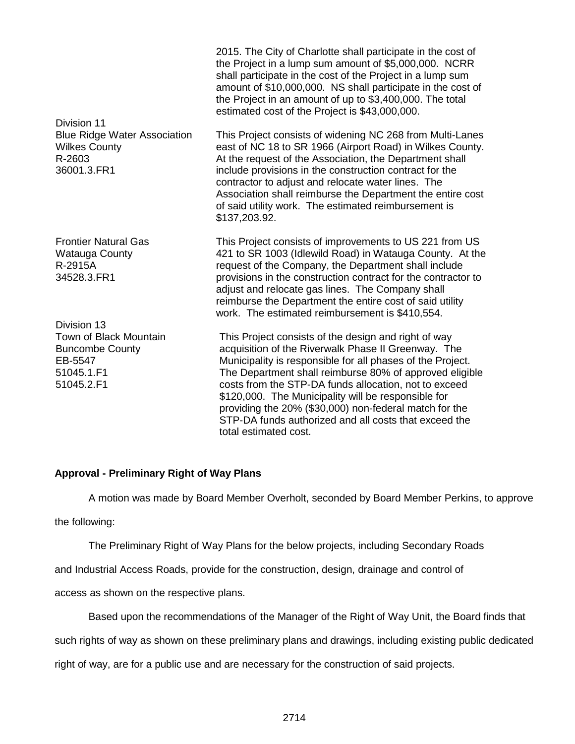| Division 11                                                                                            | 2015. The City of Charlotte shall participate in the cost of<br>the Project in a lump sum amount of \$5,000,000. NCRR<br>shall participate in the cost of the Project in a lump sum<br>amount of \$10,000,000. NS shall participate in the cost of<br>the Project in an amount of up to \$3,400,000. The total<br>estimated cost of the Project is \$43,000,000.                                                                                                                                 |
|--------------------------------------------------------------------------------------------------------|--------------------------------------------------------------------------------------------------------------------------------------------------------------------------------------------------------------------------------------------------------------------------------------------------------------------------------------------------------------------------------------------------------------------------------------------------------------------------------------------------|
| <b>Blue Ridge Water Association</b><br><b>Wilkes County</b><br>R-2603<br>36001.3.FR1                   | This Project consists of widening NC 268 from Multi-Lanes<br>east of NC 18 to SR 1966 (Airport Road) in Wilkes County.<br>At the request of the Association, the Department shall<br>include provisions in the construction contract for the<br>contractor to adjust and relocate water lines. The<br>Association shall reimburse the Department the entire cost<br>of said utility work. The estimated reimbursement is<br>\$137,203.92.                                                        |
| <b>Frontier Natural Gas</b><br><b>Watauga County</b><br>R-2915A<br>34528.3.FR1                         | This Project consists of improvements to US 221 from US<br>421 to SR 1003 (Idlewild Road) in Watauga County. At the<br>request of the Company, the Department shall include<br>provisions in the construction contract for the contractor to<br>adjust and relocate gas lines. The Company shall<br>reimburse the Department the entire cost of said utility<br>work. The estimated reimbursement is \$410,554.                                                                                  |
| Division 13<br>Town of Black Mountain<br><b>Buncombe County</b><br>EB-5547<br>51045.1.F1<br>51045.2.F1 | This Project consists of the design and right of way<br>acquisition of the Riverwalk Phase II Greenway. The<br>Municipality is responsible for all phases of the Project.<br>The Department shall reimburse 80% of approved eligible<br>costs from the STP-DA funds allocation, not to exceed<br>\$120,000. The Municipality will be responsible for<br>providing the 20% (\$30,000) non-federal match for the<br>STP-DA funds authorized and all costs that exceed the<br>total estimated cost. |

#### **Approval - Preliminary Right of Way Plans**

A motion was made by Board Member Overholt, seconded by Board Member Perkins, to approve

the following:

The Preliminary Right of Way Plans for the below projects, including Secondary Roads

and Industrial Access Roads, provide for the construction, design, drainage and control of

access as shown on the respective plans.

Based upon the recommendations of the Manager of the Right of Way Unit, the Board finds that

such rights of way as shown on these preliminary plans and drawings, including existing public dedicated

right of way, are for a public use and are necessary for the construction of said projects.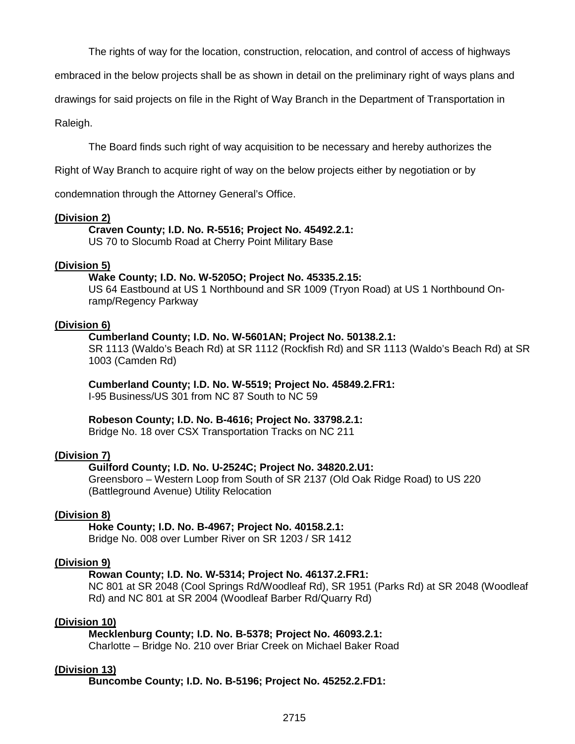The rights of way for the location, construction, relocation, and control of access of highways

embraced in the below projects shall be as shown in detail on the preliminary right of ways plans and

drawings for said projects on file in the Right of Way Branch in the Department of Transportation in

Raleigh.

The Board finds such right of way acquisition to be necessary and hereby authorizes the

Right of Way Branch to acquire right of way on the below projects either by negotiation or by

condemnation through the Attorney General's Office.

#### **(Division 2)**

#### **Craven County; I.D. No. R-5516; Project No. 45492.2.1:**

US 70 to Slocumb Road at Cherry Point Military Base

#### **(Division 5)**

#### **Wake County; I.D. No. W-5205O; Project No. 45335.2.15:**

US 64 Eastbound at US 1 Northbound and SR 1009 (Tryon Road) at US 1 Northbound Onramp/Regency Parkway

#### **(Division 6)**

#### **Cumberland County; I.D. No. W-5601AN; Project No. 50138.2.1:**

SR 1113 (Waldo's Beach Rd) at SR 1112 (Rockfish Rd) and SR 1113 (Waldo's Beach Rd) at SR 1003 (Camden Rd)

#### **Cumberland County; I.D. No. W-5519; Project No. 45849.2.FR1:**

I-95 Business/US 301 from NC 87 South to NC 59

#### **Robeson County; I.D. No. B-4616; Project No. 33798.2.1:**

Bridge No. 18 over CSX Transportation Tracks on NC 211

#### **(Division 7)**

#### **Guilford County; I.D. No. U-2524C; Project No. 34820.2.U1:**

Greensboro – Western Loop from South of SR 2137 (Old Oak Ridge Road) to US 220 (Battleground Avenue) Utility Relocation

#### **(Division 8)**

#### **Hoke County; I.D. No. B-4967; Project No. 40158.2.1:**

Bridge No. 008 over Lumber River on SR 1203 / SR 1412

#### **(Division 9)**

#### **Rowan County; I.D. No. W-5314; Project No. 46137.2.FR1:**

NC 801 at SR 2048 (Cool Springs Rd/Woodleaf Rd), SR 1951 (Parks Rd) at SR 2048 (Woodleaf Rd) and NC 801 at SR 2004 (Woodleaf Barber Rd/Quarry Rd)

#### **(Division 10)**

#### **Mecklenburg County; I.D. No. B-5378; Project No. 46093.2.1:**

Charlotte – Bridge No. 210 over Briar Creek on Michael Baker Road

#### **(Division 13)**

**Buncombe County; I.D. No. B-5196; Project No. 45252.2.FD1:**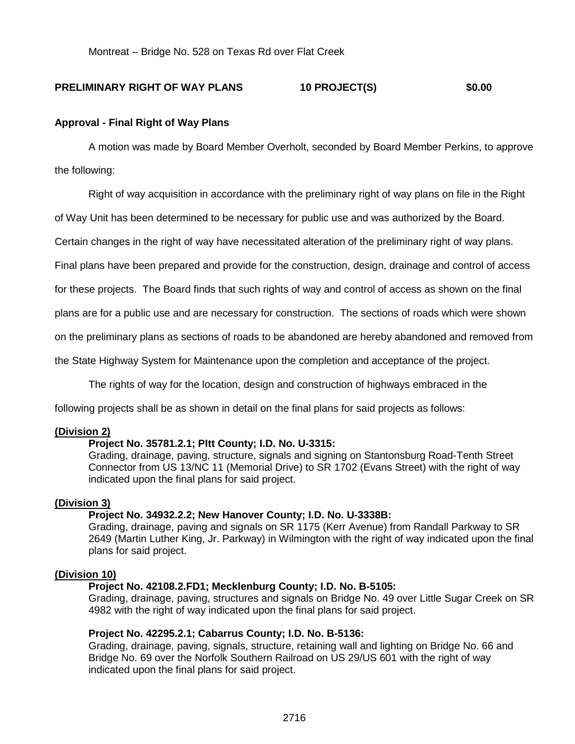Montreat – Bridge No. 528 on Texas Rd over Flat Creek

#### **PRELIMINARY RIGHT OF WAY PLANS 10 PROJECT(S) \$0.00**

#### **Approval - Final Right of Way Plans**

A motion was made by Board Member Overholt, seconded by Board Member Perkins, to approve the following:

Right of way acquisition in accordance with the preliminary right of way plans on file in the Right

of Way Unit has been determined to be necessary for public use and was authorized by the Board.

Certain changes in the right of way have necessitated alteration of the preliminary right of way plans.

Final plans have been prepared and provide for the construction, design, drainage and control of access

for these projects. The Board finds that such rights of way and control of access as shown on the final

plans are for a public use and are necessary for construction. The sections of roads which were shown

on the preliminary plans as sections of roads to be abandoned are hereby abandoned and removed from

the State Highway System for Maintenance upon the completion and acceptance of the project.

The rights of way for the location, design and construction of highways embraced in the

following projects shall be as shown in detail on the final plans for said projects as follows:

#### **(Division 2)**

#### **Project No. 35781.2.1; PItt County; I.D. No. U-3315:**

Grading, drainage, paving, structure, signals and signing on Stantonsburg Road-Tenth Street Connector from US 13/NC 11 (Memorial Drive) to SR 1702 (Evans Street) with the right of way indicated upon the final plans for said project.

#### **(Division 3)**

#### **Project No. 34932.2.2; New Hanover County; I.D. No. U-3338B:**

Grading, drainage, paving and signals on SR 1175 (Kerr Avenue) from Randall Parkway to SR 2649 (Martin Luther King, Jr. Parkway) in Wilmington with the right of way indicated upon the final plans for said project.

#### **(Division 10)**

#### **Project No. 42108.2.FD1; Mecklenburg County; I.D. No. B-5105:**

Grading, drainage, paving, structures and signals on Bridge No. 49 over Little Sugar Creek on SR 4982 with the right of way indicated upon the final plans for said project.

#### **Project No. 42295.2.1; Cabarrus County; I.D. No. B-5136:**

Grading, drainage, paving, signals, structure, retaining wall and lighting on Bridge No. 66 and Bridge No. 69 over the Norfolk Southern Railroad on US 29/US 601 with the right of way indicated upon the final plans for said project.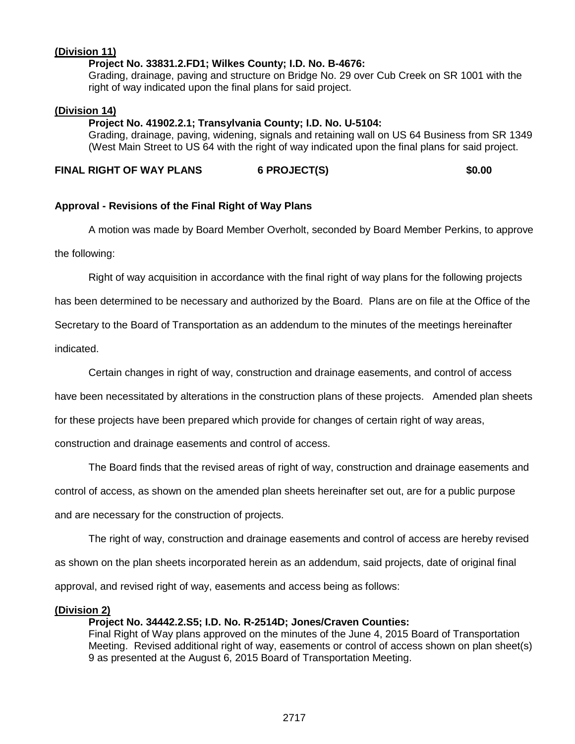### **(Division 11)**

#### **Project No. 33831.2.FD1; Wilkes County; I.D. No. B-4676:**

Grading, drainage, paving and structure on Bridge No. 29 over Cub Creek on SR 1001 with the right of way indicated upon the final plans for said project.

#### **(Division 14)**

#### **Project No. 41902.2.1; Transylvania County; I.D. No. U-5104:**

Grading, drainage, paving, widening, signals and retaining wall on US 64 Business from SR 1349 (West Main Street to US 64 with the right of way indicated upon the final plans for said project.

#### **FINAL RIGHT OF WAY PLANS 6 PROJECT(S) \$0.00**

#### **Approval - Revisions of the Final Right of Way Plans**

A motion was made by Board Member Overholt, seconded by Board Member Perkins, to approve the following:

Right of way acquisition in accordance with the final right of way plans for the following projects

has been determined to be necessary and authorized by the Board. Plans are on file at the Office of the

Secretary to the Board of Transportation as an addendum to the minutes of the meetings hereinafter

indicated.

Certain changes in right of way, construction and drainage easements, and control of access

have been necessitated by alterations in the construction plans of these projects. Amended plan sheets

for these projects have been prepared which provide for changes of certain right of way areas,

construction and drainage easements and control of access.

The Board finds that the revised areas of right of way, construction and drainage easements and

control of access, as shown on the amended plan sheets hereinafter set out, are for a public purpose

and are necessary for the construction of projects.

The right of way, construction and drainage easements and control of access are hereby revised

as shown on the plan sheets incorporated herein as an addendum, said projects, date of original final

approval, and revised right of way, easements and access being as follows:

#### **(Division 2)**

#### **Project No. 34442.2.S5; I.D. No. R-2514D; Jones/Craven Counties:**

Final Right of Way plans approved on the minutes of the June 4, 2015 Board of Transportation Meeting. Revised additional right of way, easements or control of access shown on plan sheet(s) 9 as presented at the August 6, 2015 Board of Transportation Meeting.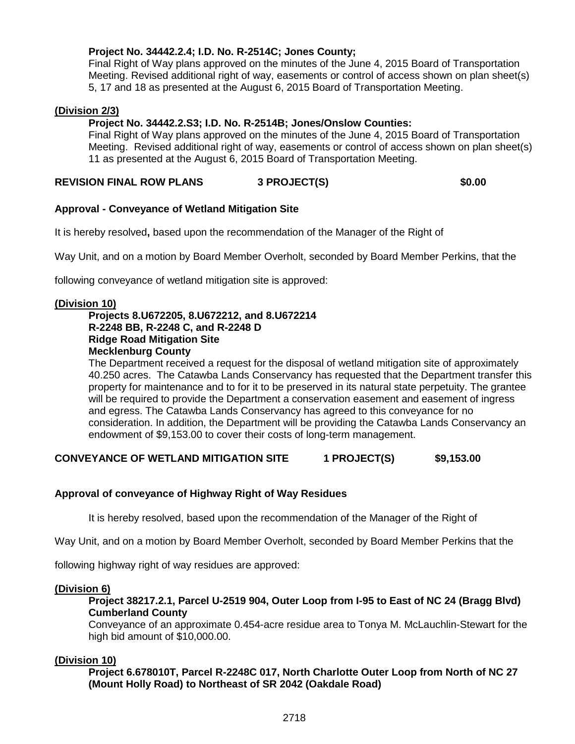#### **Project No. 34442.2.4; I.D. No. R-2514C; Jones County;**

Final Right of Way plans approved on the minutes of the June 4, 2015 Board of Transportation Meeting. Revised additional right of way, easements or control of access shown on plan sheet(s) 5, 17 and 18 as presented at the August 6, 2015 Board of Transportation Meeting.

#### **(Division 2/3)**

#### **Project No. 34442.2.S3; I.D. No. R-2514B; Jones/Onslow Counties:**

Final Right of Way plans approved on the minutes of the June 4, 2015 Board of Transportation Meeting. Revised additional right of way, easements or control of access shown on plan sheet(s) 11 as presented at the August 6, 2015 Board of Transportation Meeting.

#### **REVISION FINAL ROW PLANS 3 PROJECT(S) \$0.00**

#### **Approval - Conveyance of Wetland Mitigation Site**

It is hereby resolved**,** based upon the recommendation of the Manager of the Right of

Way Unit, and on a motion by Board Member Overholt, seconded by Board Member Perkins, that the

following conveyance of wetland mitigation site is approved:

#### **(Division 10)**

#### **Projects 8.U672205, 8.U672212, and 8.U672214 R-2248 BB, R-2248 C, and R-2248 D Ridge Road Mitigation Site Mecklenburg County**

The Department received a request for the disposal of wetland mitigation site of approximately 40.250 acres. The Catawba Lands Conservancy has requested that the Department transfer this property for maintenance and to for it to be preserved in its natural state perpetuity. The grantee will be required to provide the Department a conservation easement and easement of ingress and egress. The Catawba Lands Conservancy has agreed to this conveyance for no consideration. In addition, the Department will be providing the Catawba Lands Conservancy an endowment of \$9,153.00 to cover their costs of long-term management.

#### **CONVEYANCE OF WETLAND MITIGATION SITE 4 PROJECT(S) \$9,153.00**

#### **Approval of conveyance of Highway Right of Way Residues**

It is hereby resolved, based upon the recommendation of the Manager of the Right of

Way Unit, and on a motion by Board Member Overholt, seconded by Board Member Perkins that the

following highway right of way residues are approved:

#### **(Division 6)**

#### **Project 38217.2.1, Parcel U-2519 904, Outer Loop from I-95 to East of NC 24 (Bragg Blvd) Cumberland County**

Conveyance of an approximate 0.454-acre residue area to Tonya M. McLauchlin-Stewart for the high bid amount of \$10,000.00.

#### **(Division 10)**

**Project 6.678010T, Parcel R-2248C 017, North Charlotte Outer Loop from North of NC 27 (Mount Holly Road) to Northeast of SR 2042 (Oakdale Road)**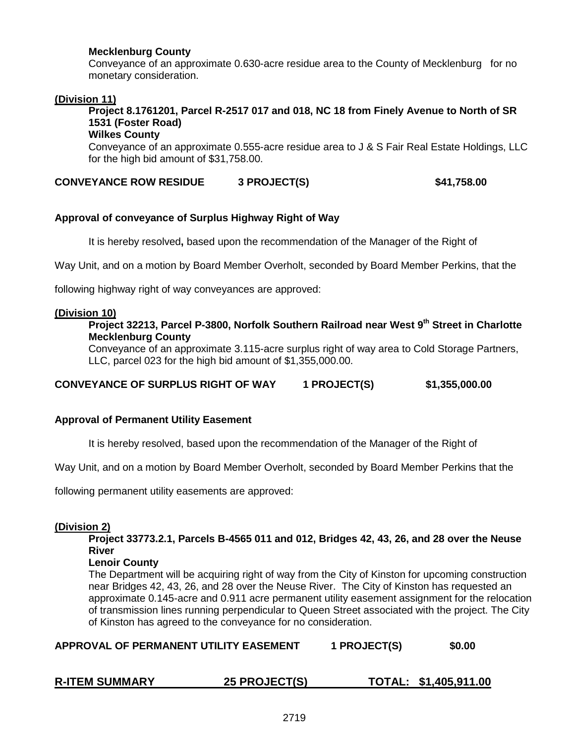#### **Mecklenburg County**

Conveyance of an approximate 0.630-acre residue area to the County of Mecklenburg for no monetary consideration.

#### **(Division 11)**

**Project 8.1761201, Parcel R-2517 017 and 018, NC 18 from Finely Avenue to North of SR 1531 (Foster Road)** 

### **Wilkes County**

Conveyance of an approximate 0.555-acre residue area to J & S Fair Real Estate Holdings, LLC for the high bid amount of \$31,758.00.

**CONVEYANCE ROW RESIDUE 3 PROJECT(S) \$41,758.00**

#### **Approval of conveyance of Surplus Highway Right of Way**

It is hereby resolved**,** based upon the recommendation of the Manager of the Right of

Way Unit, and on a motion by Board Member Overholt, seconded by Board Member Perkins, that the

following highway right of way conveyances are approved:

#### **(Division 10)**

#### **Project 32213, Parcel P-3800, Norfolk Southern Railroad near West 9th Street in Charlotte Mecklenburg County**

Conveyance of an approximate 3.115-acre surplus right of way area to Cold Storage Partners, LLC, parcel 023 for the high bid amount of \$1,355,000.00.

**CONVEYANCE OF SURPLUS RIGHT OF WAY 1 PROJECT(S) \$1,355,000.00**

#### **Approval of Permanent Utility Easement**

It is hereby resolved, based upon the recommendation of the Manager of the Right of

Way Unit, and on a motion by Board Member Overholt, seconded by Board Member Perkins that the

following permanent utility easements are approved:

#### **(Division 2)**

**Project 33773.2.1, Parcels B-4565 011 and 012, Bridges 42, 43, 26, and 28 over the Neuse River** 

#### **Lenoir County**

The Department will be acquiring right of way from the City of Kinston for upcoming construction near Bridges 42, 43, 26, and 28 over the Neuse River. The City of Kinston has requested an approximate 0.145-acre and 0.911 acre permanent utility easement assignment for the relocation of transmission lines running perpendicular to Queen Street associated with the project. The City of Kinston has agreed to the conveyance for no consideration.

APPROVAL OF PERMANENT UTILITY EASEMENT 1 PROJECT(S) \$0.00

| <b>R-ITEM SUMMARY</b><br><b>25 PROJECT(S)</b> | TOTAL: \$1,405,911.00 |
|-----------------------------------------------|-----------------------|
|-----------------------------------------------|-----------------------|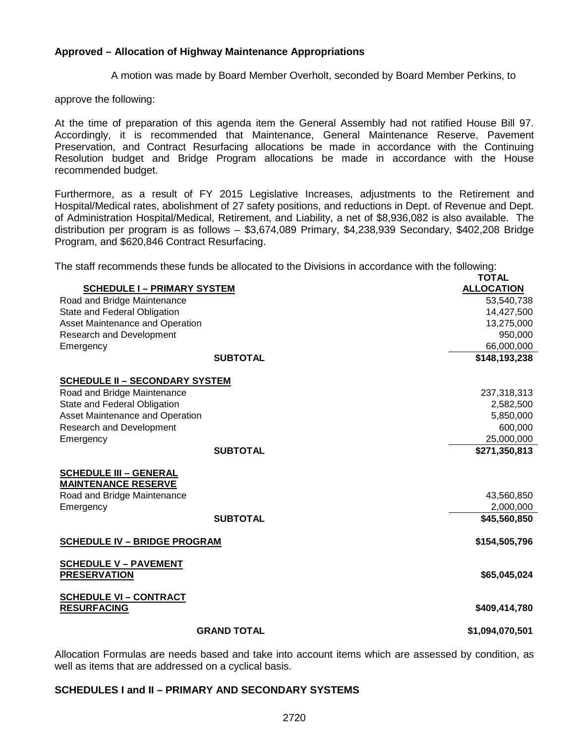#### **Approved – Allocation of Highway Maintenance Appropriations**

A motion was made by Board Member Overholt, seconded by Board Member Perkins, to

approve the following:

At the time of preparation of this agenda item the General Assembly had not ratified House Bill 97. Accordingly, it is recommended that Maintenance, General Maintenance Reserve, Pavement Preservation, and Contract Resurfacing allocations be made in accordance with the Continuing Resolution budget and Bridge Program allocations be made in accordance with the House recommended budget.

Furthermore, as a result of FY 2015 Legislative Increases, adjustments to the Retirement and Hospital/Medical rates, abolishment of 27 safety positions, and reductions in Dept. of Revenue and Dept. of Administration Hospital/Medical, Retirement, and Liability, a net of \$8,936,082 is also available. The distribution per program is as follows – \$3,674,089 Primary, \$4,238,939 Secondary, \$402,208 Bridge Program, and \$620,846 Contract Resurfacing.

The staff recommends these funds be allocated to the Divisions in accordance with the following: **TOTAL**

|                                       | או טו             |
|---------------------------------------|-------------------|
| <b>SCHEDULE I - PRIMARY SYSTEM</b>    | <b>ALLOCATION</b> |
| Road and Bridge Maintenance           | 53,540,738        |
| State and Federal Obligation          | 14,427,500        |
| Asset Maintenance and Operation       | 13,275,000        |
| <b>Research and Development</b>       | 950,000           |
| Emergency                             | 66,000,000        |
| <b>SUBTOTAL</b>                       | \$148,193,238     |
| <b>SCHEDULE II - SECONDARY SYSTEM</b> |                   |
| Road and Bridge Maintenance           | 237,318,313       |
| State and Federal Obligation          | 2,582,500         |
| Asset Maintenance and Operation       | 5,850,000         |
| Research and Development              | 600,000           |
| Emergency                             | 25,000,000        |
| <b>SUBTOTAL</b>                       | \$271,350,813     |
| <b>SCHEDULE III - GENERAL</b>         |                   |
| <b>MAINTENANCE RESERVE</b>            |                   |
| Road and Bridge Maintenance           | 43,560,850        |
| Emergency                             | 2,000,000         |
| <b>SUBTOTAL</b>                       | \$45,560,850      |
| <b>SCHEDULE IV - BRIDGE PROGRAM</b>   | \$154,505,796     |
| <b>SCHEDULE V - PAVEMENT</b>          |                   |
| <b>PRESERVATION</b>                   | \$65,045,024      |
| <b>SCHEDULE VI - CONTRACT</b>         |                   |
| <b>RESURFACING</b>                    | \$409,414,780     |
| <b>GRAND TOTAL</b>                    | \$1,094,070,501   |
|                                       |                   |

Allocation Formulas are needs based and take into account items which are assessed by condition, as well as items that are addressed on a cyclical basis.

#### **SCHEDULES I and II – PRIMARY AND SECONDARY SYSTEMS**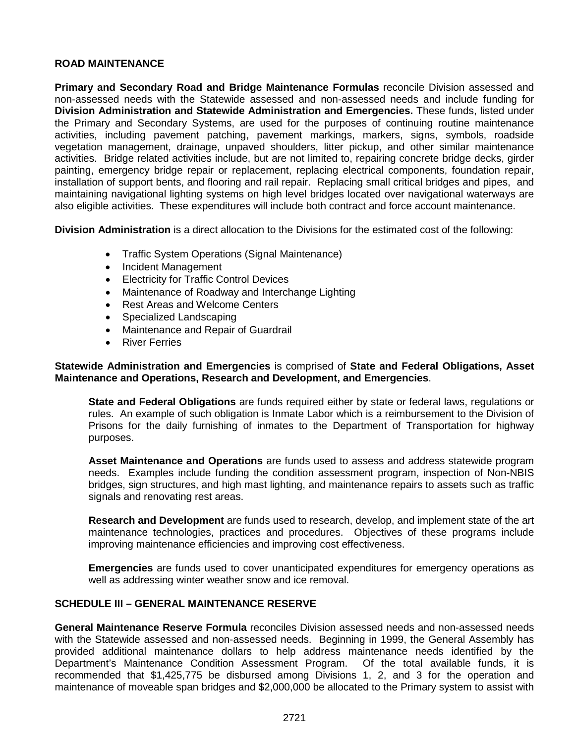#### **ROAD MAINTENANCE**

**Primary and Secondary Road and Bridge Maintenance Formulas** reconcile Division assessed and non-assessed needs with the Statewide assessed and non-assessed needs and include funding for **Division Administration and Statewide Administration and Emergencies.** These funds, listed under the Primary and Secondary Systems, are used for the purposes of continuing routine maintenance activities, including pavement patching, pavement markings, markers, signs, symbols, roadside vegetation management, drainage, unpaved shoulders, litter pickup, and other similar maintenance activities. Bridge related activities include, but are not limited to, repairing concrete bridge decks, girder painting, emergency bridge repair or replacement, replacing electrical components, foundation repair, installation of support bents, and flooring and rail repair. Replacing small critical bridges and pipes, and maintaining navigational lighting systems on high level bridges located over navigational waterways are also eligible activities. These expenditures will include both contract and force account maintenance.

**Division Administration** is a direct allocation to the Divisions for the estimated cost of the following:

- Traffic System Operations (Signal Maintenance)
- Incident Management
- Electricity for Traffic Control Devices
- Maintenance of Roadway and Interchange Lighting
- Rest Areas and Welcome Centers
- Specialized Landscaping
- Maintenance and Repair of Guardrail
- River Ferries

#### **Statewide Administration and Emergencies** is comprised of **State and Federal Obligations, Asset Maintenance and Operations, Research and Development, and Emergencies**.

**State and Federal Obligations** are funds required either by state or federal laws, regulations or rules. An example of such obligation is Inmate Labor which is a reimbursement to the Division of Prisons for the daily furnishing of inmates to the Department of Transportation for highway purposes.

**Asset Maintenance and Operations** are funds used to assess and address statewide program needs. Examples include funding the condition assessment program, inspection of Non-NBIS bridges, sign structures, and high mast lighting, and maintenance repairs to assets such as traffic signals and renovating rest areas.

**Research and Development** are funds used to research, develop, and implement state of the art maintenance technologies, practices and procedures. Objectives of these programs include improving maintenance efficiencies and improving cost effectiveness.

**Emergencies** are funds used to cover unanticipated expenditures for emergency operations as well as addressing winter weather snow and ice removal.

#### **SCHEDULE III – GENERAL MAINTENANCE RESERVE**

**General Maintenance Reserve Formula** reconciles Division assessed needs and non-assessed needs with the Statewide assessed and non-assessed needs. Beginning in 1999, the General Assembly has provided additional maintenance dollars to help address maintenance needs identified by the Department's Maintenance Condition Assessment Program. Of the total available funds, it is recommended that \$1,425,775 be disbursed among Divisions 1, 2, and 3 for the operation and maintenance of moveable span bridges and \$2,000,000 be allocated to the Primary system to assist with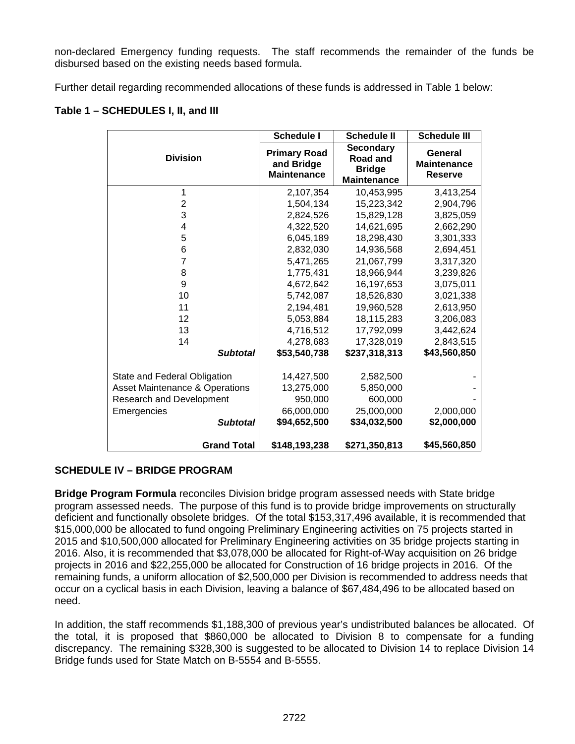non-declared Emergency funding requests. The staff recommends the remainder of the funds be disbursed based on the existing needs based formula.

Further detail regarding recommended allocations of these funds is addressed in Table 1 below:

| Table 1 - SCHEDULES I, II, and III |  |
|------------------------------------|--|
|------------------------------------|--|

|                                | <b>Schedule I</b>                                       | <b>Schedule II</b>                                                         | <b>Schedule III</b>                             |
|--------------------------------|---------------------------------------------------------|----------------------------------------------------------------------------|-------------------------------------------------|
| <b>Division</b>                | <b>Primary Road</b><br>and Bridge<br><b>Maintenance</b> | <b>Secondary</b><br><b>Road and</b><br><b>Bridge</b><br><b>Maintenance</b> | General<br><b>Maintenance</b><br><b>Reserve</b> |
| 1                              | 2,107,354                                               | 10,453,995                                                                 | 3,413,254                                       |
| $\overline{2}$                 | 1,504,134                                               | 15,223,342                                                                 | 2,904,796                                       |
| 3                              | 2,824,526                                               | 15,829,128                                                                 | 3,825,059                                       |
| 4                              | 4,322,520                                               | 14,621,695                                                                 | 2,662,290                                       |
| 5                              | 6,045,189                                               | 18,298,430                                                                 | 3,301,333                                       |
| 6                              | 2,832,030                                               | 14,936,568                                                                 | 2,694,451                                       |
| 7                              | 5,471,265                                               | 21,067,799                                                                 | 3,317,320                                       |
| 8                              | 1,775,431                                               | 18,966,944                                                                 | 3,239,826                                       |
| 9                              | 4,672,642                                               | 16,197,653                                                                 | 3,075,011                                       |
| 10                             | 5,742,087                                               | 18,526,830                                                                 | 3,021,338                                       |
| 11                             | 2,194,481                                               | 19,960,528                                                                 | 2,613,950                                       |
| 12                             | 5,053,884                                               | 18,115,283                                                                 | 3,206,083                                       |
| 13                             | 4,716,512                                               | 17,792,099                                                                 | 3,442,624                                       |
| 14                             | 4,278,683                                               | 17,328,019                                                                 | 2,843,515                                       |
| <b>Subtotal</b>                | \$53,540,738                                            | \$237,318,313                                                              | \$43,560,850                                    |
| State and Federal Obligation   | 14,427,500                                              | 2,582,500                                                                  |                                                 |
| Asset Maintenance & Operations | 13,275,000                                              | 5,850,000                                                                  |                                                 |
| Research and Development       | 950,000                                                 | 600,000                                                                    |                                                 |
| Emergencies                    | 66,000,000                                              | 25,000,000                                                                 | 2,000,000                                       |
| <b>Subtotal</b>                | \$94,652,500                                            | \$34,032,500                                                               | \$2,000,000                                     |
| <b>Grand Total</b>             | \$148,193,238                                           | \$271,350,813                                                              | \$45,560,850                                    |

### **SCHEDULE IV – BRIDGE PROGRAM**

**Bridge Program Formula** reconciles Division bridge program assessed needs with State bridge program assessed needs. The purpose of this fund is to provide bridge improvements on structurally deficient and functionally obsolete bridges. Of the total \$153,317,496 available, it is recommended that \$15,000,000 be allocated to fund ongoing Preliminary Engineering activities on 75 projects started in 2015 and \$10,500,000 allocated for Preliminary Engineering activities on 35 bridge projects starting in 2016. Also, it is recommended that \$3,078,000 be allocated for Right-of-Way acquisition on 26 bridge projects in 2016 and \$22,255,000 be allocated for Construction of 16 bridge projects in 2016. Of the remaining funds, a uniform allocation of \$2,500,000 per Division is recommended to address needs that occur on a cyclical basis in each Division, leaving a balance of \$67,484,496 to be allocated based on need.

In addition, the staff recommends \$1,188,300 of previous year's undistributed balances be allocated. Of the total, it is proposed that \$860,000 be allocated to Division 8 to compensate for a funding discrepancy. The remaining \$328,300 is suggested to be allocated to Division 14 to replace Division 14 Bridge funds used for State Match on B-5554 and B-5555.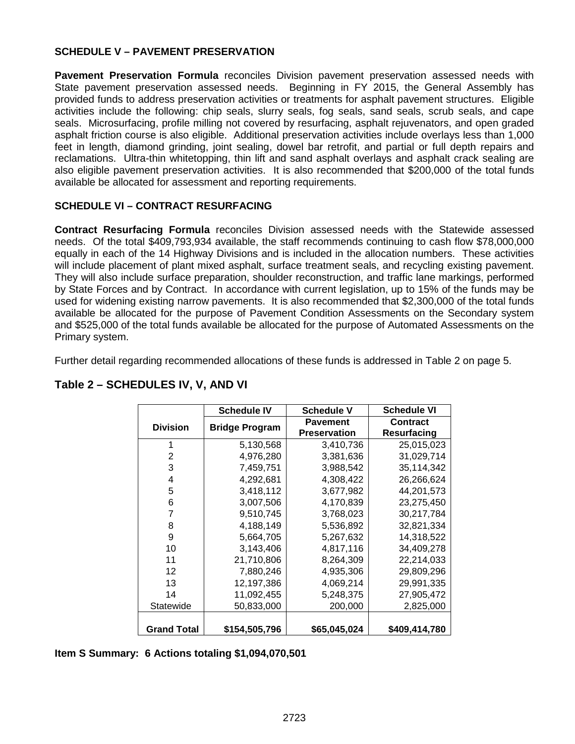### **SCHEDULE V – PAVEMENT PRESERVATION**

Pavement Preservation Formula reconciles Division pavement preservation assessed needs with State pavement preservation assessed needs. Beginning in FY 2015, the General Assembly has provided funds to address preservation activities or treatments for asphalt pavement structures. Eligible activities include the following: chip seals, slurry seals, fog seals, sand seals, scrub seals, and cape seals. Microsurfacing, profile milling not covered by resurfacing, asphalt rejuvenators, and open graded asphalt friction course is also eligible. Additional preservation activities include overlays less than 1,000 feet in length, diamond grinding, joint sealing, dowel bar retrofit, and partial or full depth repairs and reclamations. Ultra-thin whitetopping, thin lift and sand asphalt overlays and asphalt crack sealing are also eligible pavement preservation activities. It is also recommended that \$200,000 of the total funds available be allocated for assessment and reporting requirements.

### **SCHEDULE VI – CONTRACT RESURFACING**

**Contract Resurfacing Formula** reconciles Division assessed needs with the Statewide assessed needs. Of the total \$409,793,934 available, the staff recommends continuing to cash flow \$78,000,000 equally in each of the 14 Highway Divisions and is included in the allocation numbers. These activities will include placement of plant mixed asphalt, surface treatment seals, and recycling existing pavement. They will also include surface preparation, shoulder reconstruction, and traffic lane markings, performed by State Forces and by Contract. In accordance with current legislation, up to 15% of the funds may be used for widening existing narrow pavements. It is also recommended that \$2,300,000 of the total funds available be allocated for the purpose of Pavement Condition Assessments on the Secondary system and \$525,000 of the total funds available be allocated for the purpose of Automated Assessments on the Primary system.

Further detail regarding recommended allocations of these funds is addressed in Table 2 on page 5.

|                    | <b>Schedule IV</b>    | <b>Schedule V</b>   | <b>Schedule VI</b> |
|--------------------|-----------------------|---------------------|--------------------|
| <b>Division</b>    | <b>Bridge Program</b> | <b>Pavement</b>     | <b>Contract</b>    |
|                    |                       | <b>Preservation</b> | Resurfacing        |
| 1                  | 5,130,568             | 3,410,736           | 25,015,023         |
| 2                  | 4,976,280             | 3,381,636           | 31,029,714         |
| 3                  | 7,459,751             | 3,988,542           | 35,114,342         |
| 4                  | 4,292,681             | 4,308,422           | 26,266,624         |
| 5                  | 3,418,112             | 3,677,982           | 44,201,573         |
| 6                  | 3,007,506             | 4,170,839           | 23,275,450         |
| 7                  | 9,510,745             | 3,768,023           | 30,217,784         |
| 8                  | 4,188,149             | 5,536,892           | 32,821,334         |
| 9                  | 5,664,705             | 5,267,632           | 14,318,522         |
| 10                 | 3,143,406             | 4,817,116           | 34,409,278         |
| 11                 | 21,710,806            | 8,264,309           | 22,214,033         |
| 12                 | 7,880,246             | 4,935,306           | 29,809,296         |
| 13                 | 12,197,386            | 4,069,214           | 29,991,335         |
| 14                 | 11,092,455            | 5,248,375           | 27,905,472         |
| Statewide          | 50,833,000            | 200,000             | 2,825,000          |
|                    |                       |                     |                    |
| <b>Grand Total</b> | \$154,505,796         | \$65,045,024        | \$409,414,780      |

### **Table 2 – SCHEDULES IV, V, AND VI**

**Item S Summary: 6 Actions totaling \$1,094,070,501**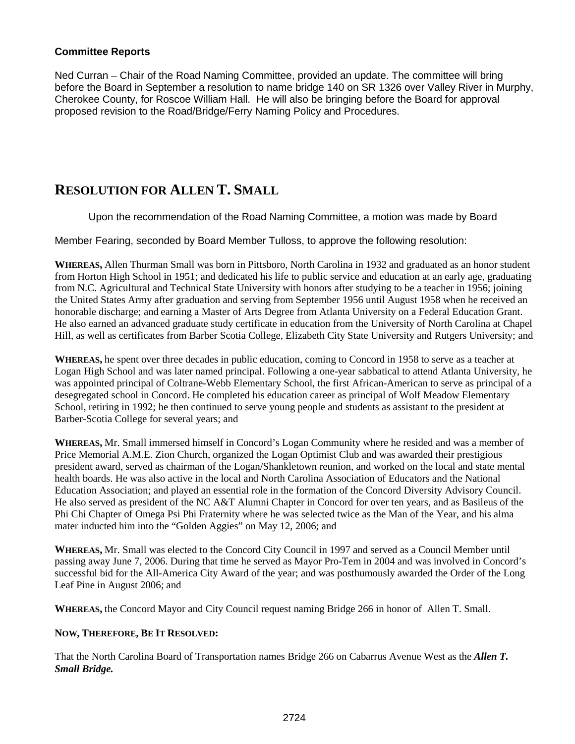#### **Committee Reports**

Ned Curran – Chair of the Road Naming Committee, provided an update. The committee will bring before the Board in September a resolution to name bridge 140 on SR 1326 over Valley River in Murphy, Cherokee County, for Roscoe William Hall. He will also be bringing before the Board for approval proposed revision to the Road/Bridge/Ferry Naming Policy and Procedures.

### **RESOLUTION FOR ALLEN T. SMALL**

Upon the recommendation of the Road Naming Committee, a motion was made by Board

Member Fearing, seconded by Board Member Tulloss, to approve the following resolution:

**WHEREAS,** Allen Thurman Small was born in Pittsboro, North Carolina in 1932 and graduated as an honor student from Horton High School in 1951; and dedicated his life to public service and education at an early age, graduating from N.C. Agricultural and Technical State University with honors after studying to be a teacher in 1956; joining the United States Army after graduation and serving from September 1956 until August 1958 when he received an honorable discharge; and earning a Master of Arts Degree from Atlanta University on a Federal Education Grant. He also earned an advanced graduate study certificate in education from the University of North Carolina at Chapel Hill, as well as certificates from Barber Scotia College, Elizabeth City State University and Rutgers University; and

**WHEREAS,** he spent over three decades in public education, coming to Concord in 1958 to serve as a teacher at Logan High School and was later named principal. Following a one-year sabbatical to attend Atlanta University, he was appointed principal of Coltrane-Webb Elementary School, the first African-American to serve as principal of a desegregated school in Concord. He completed his education career as principal of Wolf Meadow Elementary School, retiring in 1992; he then continued to serve young people and students as assistant to the president at Barber-Scotia College for several years; and

**WHEREAS,** Mr. Small immersed himself in Concord's Logan Community where he resided and was a member of Price Memorial A.M.E. Zion Church, organized the Logan Optimist Club and was awarded their prestigious president award, served as chairman of the Logan/Shankletown reunion, and worked on the local and state mental health boards. He was also active in the local and North Carolina Association of Educators and the National Education Association; and played an essential role in the formation of the Concord Diversity Advisory Council. He also served as president of the NC A&T Alumni Chapter in Concord for over ten years, and as Basileus of the Phi Chi Chapter of Omega Psi Phi Fraternity where he was selected twice as the Man of the Year, and his alma mater inducted him into the "Golden Aggies" on May 12, 2006; and

**WHEREAS,** Mr. Small was elected to the Concord City Council in 1997 and served as a Council Member until passing away June 7, 2006. During that time he served as Mayor Pro-Tem in 2004 and was involved in Concord's successful bid for the All-America City Award of the year; and was posthumously awarded the Order of the Long Leaf Pine in August 2006; and

**WHEREAS,** the Concord Mayor and City Council request naming Bridge 266 in honor of Allen T. Small.

#### **NOW, THEREFORE, BE IT RESOLVED:**

That the North Carolina Board of Transportation names Bridge 266 on Cabarrus Avenue West as the *Allen T. Small Bridge.*